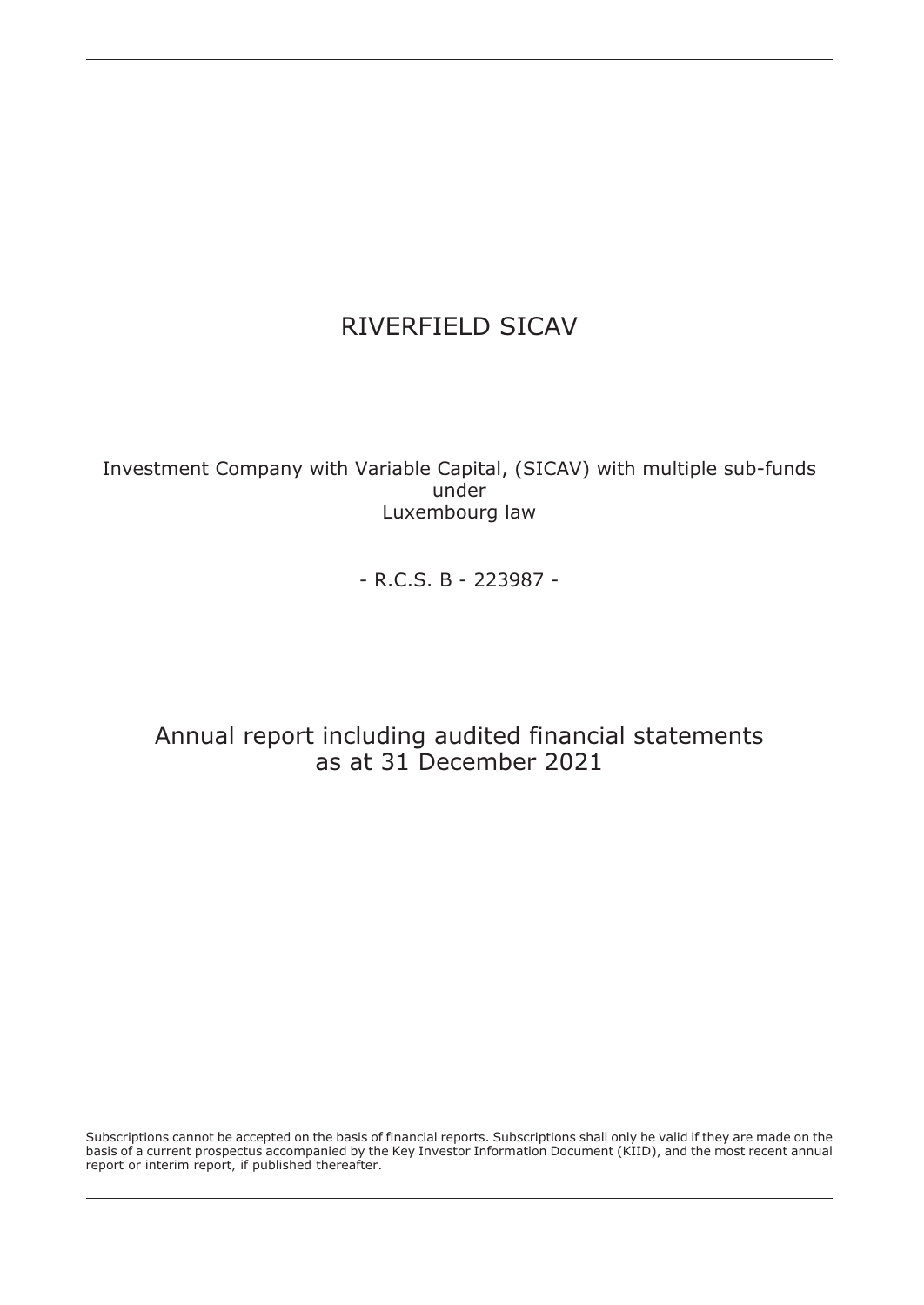Investment Company with Variable Capital, (SICAV) with multiple sub-funds under Luxembourg law

- R.C.S. B - 223987 -

# Annual report including audited financial statements as at 31 December 2021

Subscriptions cannot be accepted on the basis of financial reports. Subscriptions shall only be valid if they are made on the basis of a current prospectus accompanied by the Key Investor Information Document (KIID), and the most recent annual report or interim report, if published thereafter.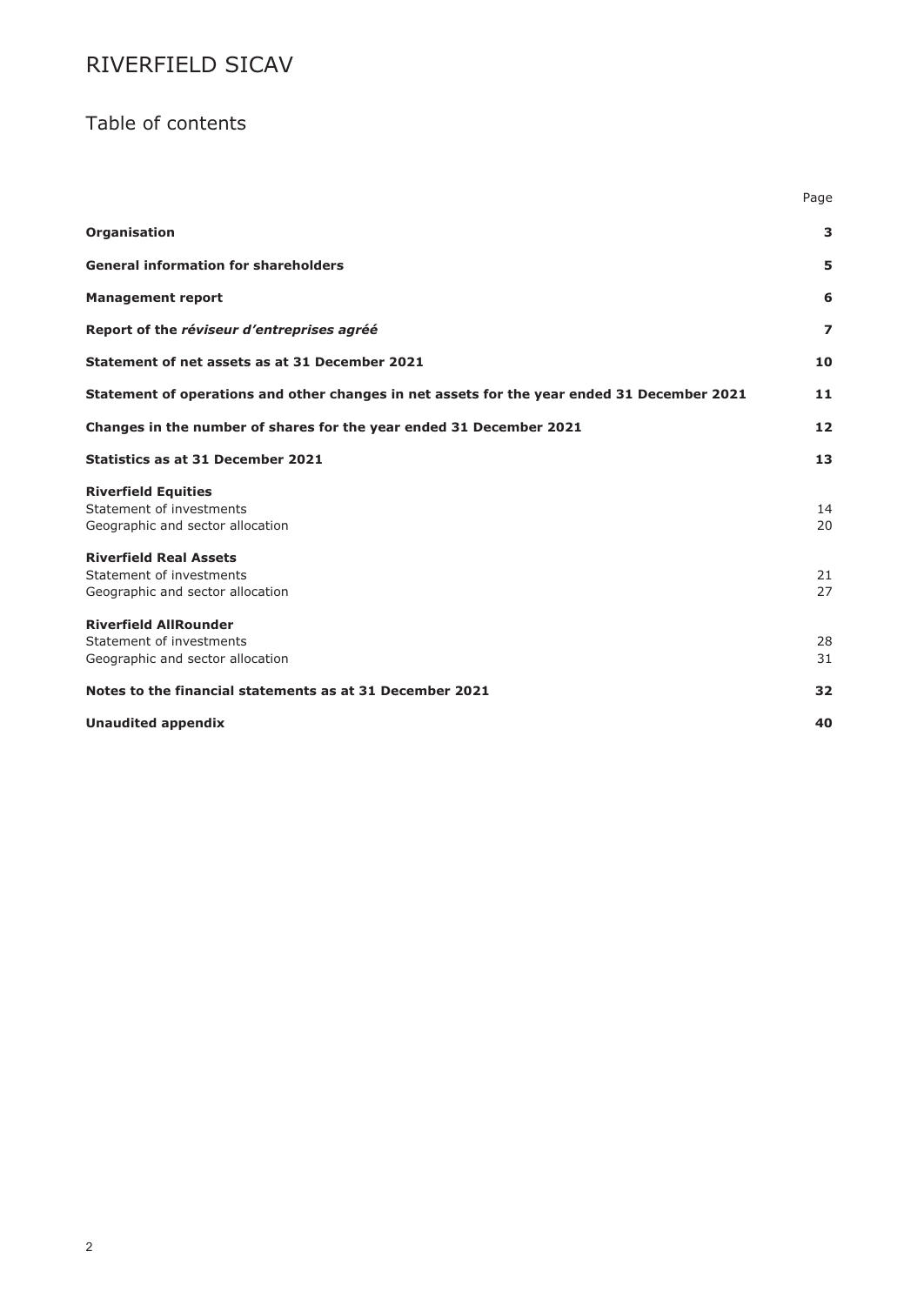## Table of contents

|                                                                                               | Page           |
|-----------------------------------------------------------------------------------------------|----------------|
| Organisation                                                                                  | 3              |
| <b>General information for shareholders</b>                                                   | 5              |
| <b>Management report</b>                                                                      | 6              |
| Report of the réviseur d'entreprises agréé                                                    | $\overline{z}$ |
| Statement of net assets as at 31 December 2021                                                | 10             |
| Statement of operations and other changes in net assets for the year ended 31 December 2021   | 11             |
| Changes in the number of shares for the year ended 31 December 2021                           | 12             |
| <b>Statistics as at 31 December 2021</b>                                                      | 13             |
| <b>Riverfield Equities</b><br>Statement of investments<br>Geographic and sector allocation    | 14<br>20       |
| <b>Riverfield Real Assets</b><br>Statement of investments<br>Geographic and sector allocation | 21<br>27       |
| <b>Riverfield AllRounder</b><br>Statement of investments<br>Geographic and sector allocation  | 28<br>31       |
| Notes to the financial statements as at 31 December 2021                                      | 32             |
| <b>Unaudited appendix</b>                                                                     | 40             |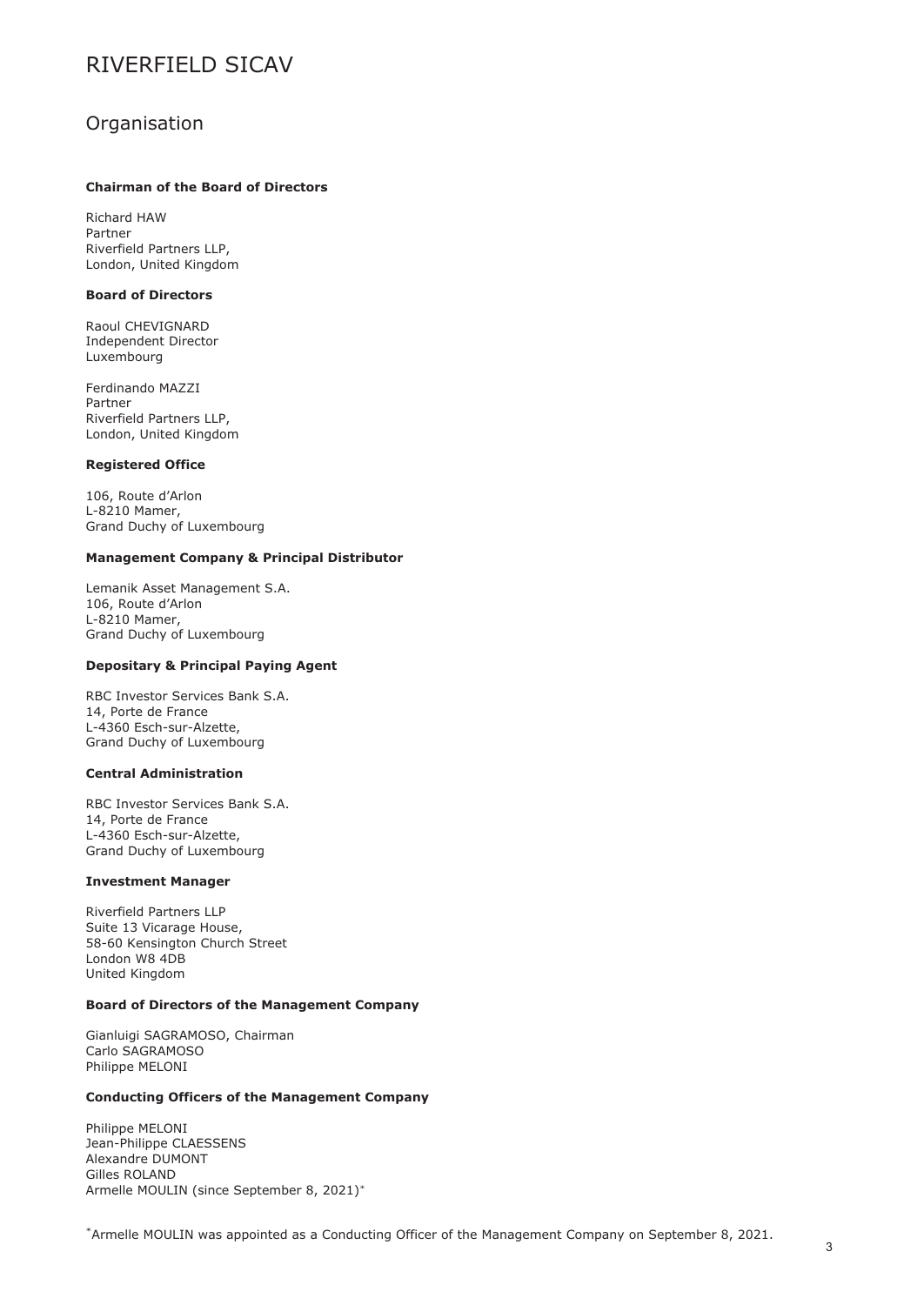### <span id="page-2-0"></span>**Organisation**

### **Chairman of the Board of Directors**

Richard HAW Partner Riverfield Partners LLP, London, United Kingdom

#### **Board of Directors**

Raoul CHEVIGNARD Independent Director Luxembourg

Ferdinando MAZZI Partner Riverfield Partners LLP, London, United Kingdom

#### **Registered Office**

106, Route d'Arlon L-8210 Mamer, Grand Duchy of Luxembourg

#### **Management Company & Principal Distributor**

Lemanik Asset Management S.A. 106, Route d'Arlon L-8210 Mamer, Grand Duchy of Luxembourg

#### **Depositary & Principal Paying Agent**

RBC Investor Services Bank S.A. 14, Porte de France L-4360 Esch-sur-Alzette, Grand Duchy of Luxembourg

### **Central Administration**

RBC Investor Services Bank S.A. 14, Porte de France L-4360 Esch-sur-Alzette, Grand Duchy of Luxembourg

#### **Investment Manager**

Riverfield Partners LLP Suite 13 Vicarage House, 58-60 Kensington Church Street London W8 4DB United Kingdom

#### **Board of Directors of the Management Company**

Gianluigi SAGRAMOSO, Chairman Carlo SAGRAMOSO Philippe MELONI

#### **Conducting Officers of the Management Company**

Philippe MELONI Jean-Philippe CLAESSENS Alexandre DUMONT Gilles ROLAND Armelle MOULIN (since September 8, 2021)\*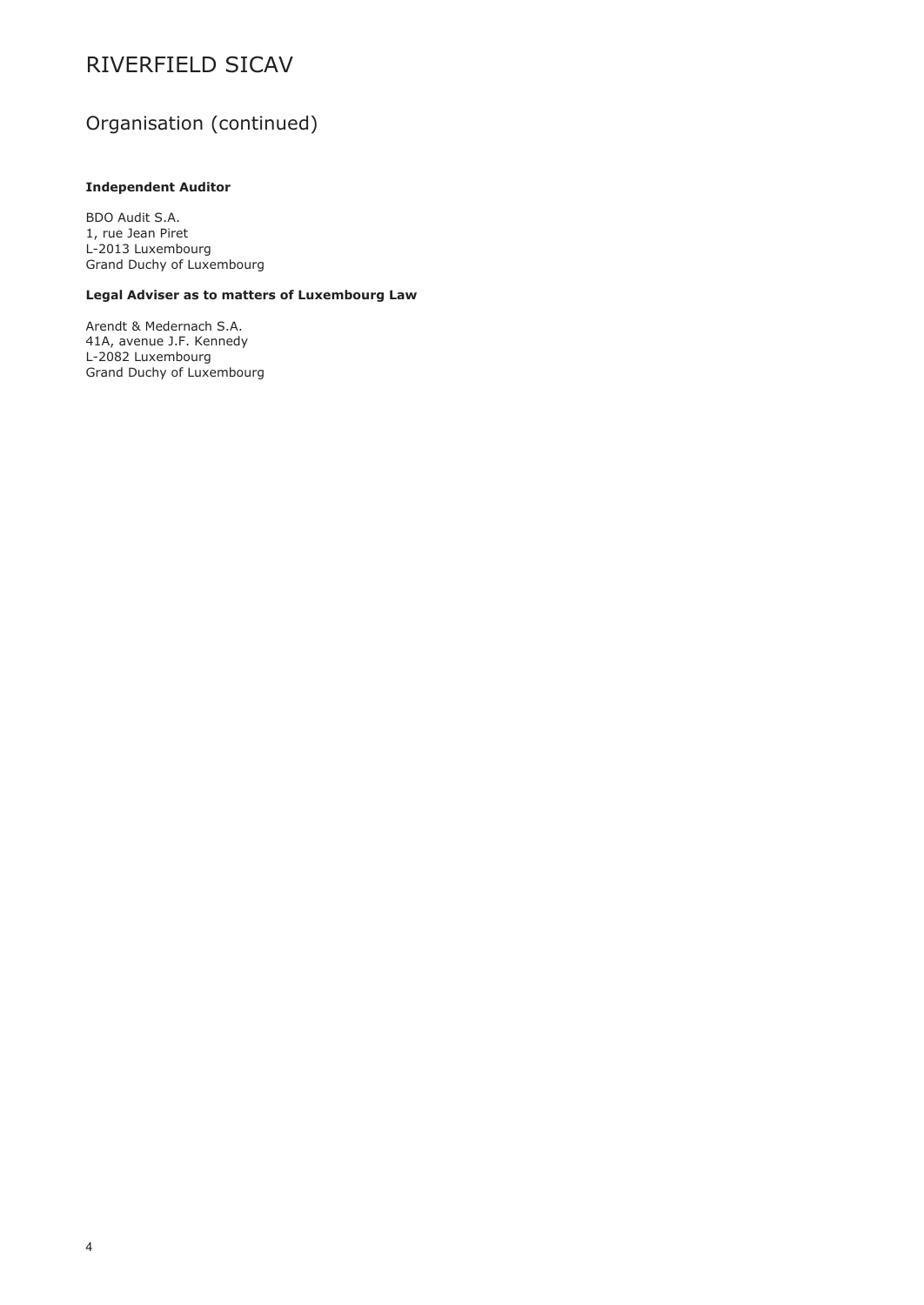# Organisation (continued)

### **Independent Auditor**

BDO Audit S.A. 1, rue Jean Piret L-2013 Luxembourg Grand Duchy of Luxembourg

### **Legal Adviser as to matters of Luxembourg Law**

Arendt & Medernach S.A. 41A, avenue J.F. Kennedy L-2082 Luxembourg Grand Duchy of Luxembourg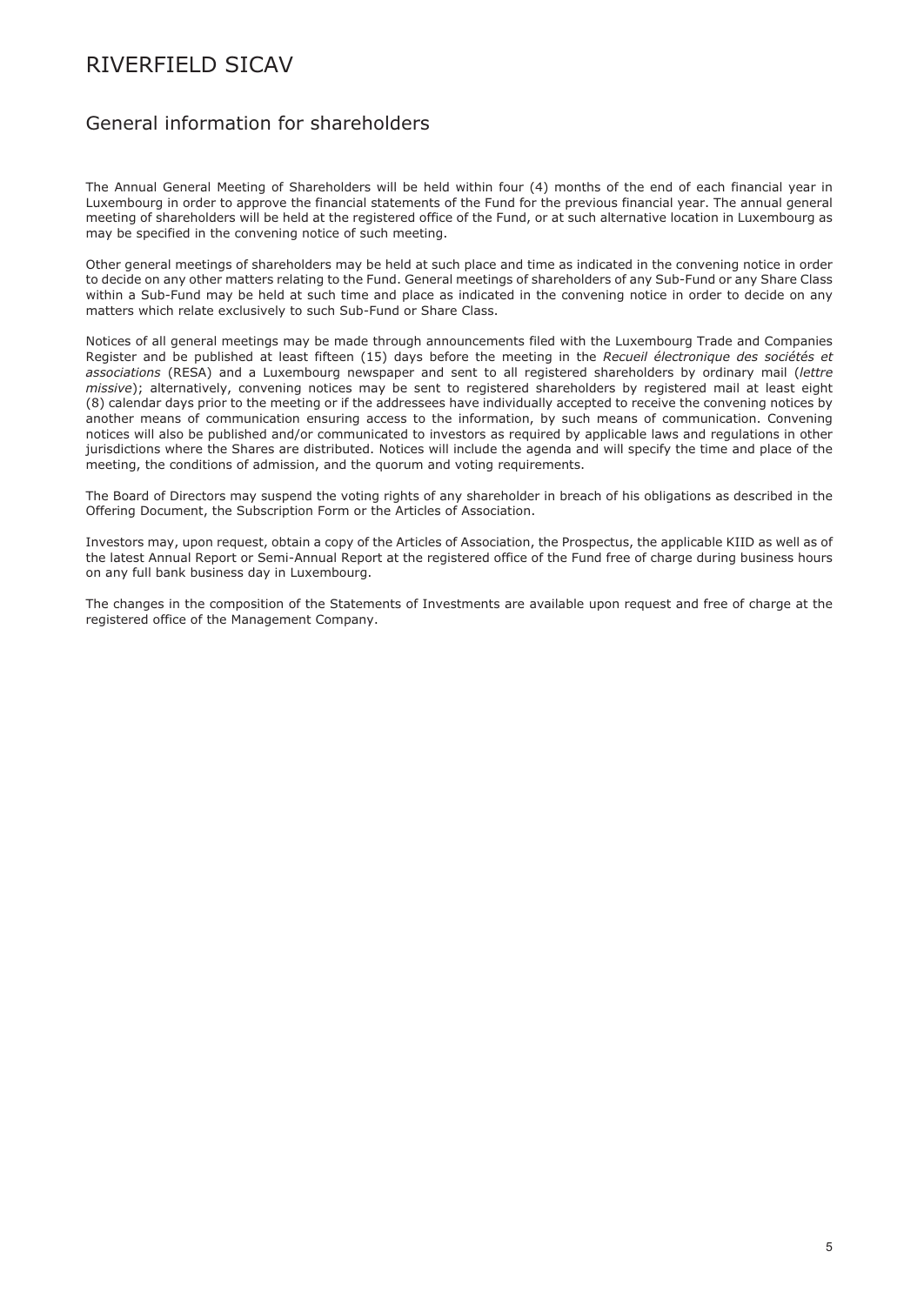### <span id="page-4-0"></span>General information for shareholders

The Annual General Meeting of Shareholders will be held within four (4) months of the end of each financial year in Luxembourg in order to approve the financial statements of the Fund for the previous financial year. The annual general meeting of shareholders will be held at the registered office of the Fund, or at such alternative location in Luxembourg as may be specified in the convening notice of such meeting.

Other general meetings of shareholders may be held at such place and time as indicated in the convening notice in order to decide on any other matters relating to the Fund. General meetings of shareholders of any Sub-Fund or any Share Class within a Sub-Fund may be held at such time and place as indicated in the convening notice in order to decide on any matters which relate exclusively to such Sub-Fund or Share Class.

Notices of all general meetings may be made through announcements filed with the Luxembourg Trade and Companies Register and be published at least fifteen (15) days before the meeting in the *Recueil électronique des sociétés et associations* (RESA) and a Luxembourg newspaper and sent to all registered shareholders by ordinary mail (*lettre missive*); alternatively, convening notices may be sent to registered shareholders by registered mail at least eight (8) calendar days prior to the meeting or if the addressees have individually accepted to receive the convening notices by another means of communication ensuring access to the information, by such means of communication. Convening notices will also be published and/or communicated to investors as required by applicable laws and regulations in other jurisdictions where the Shares are distributed. Notices will include the agenda and will specify the time and place of the meeting, the conditions of admission, and the quorum and voting requirements.

The Board of Directors may suspend the voting rights of any shareholder in breach of his obligations as described in the Offering Document, the Subscription Form or the Articles of Association.

Investors may, upon request, obtain a copy of the Articles of Association, the Prospectus, the applicable KIID as well as of the latest Annual Report or Semi-Annual Report at the registered office of the Fund free of charge during business hours on any full bank business day in Luxembourg.

The changes in the composition of the Statements of Investments are available upon request and free of charge at the registered office of the Management Company.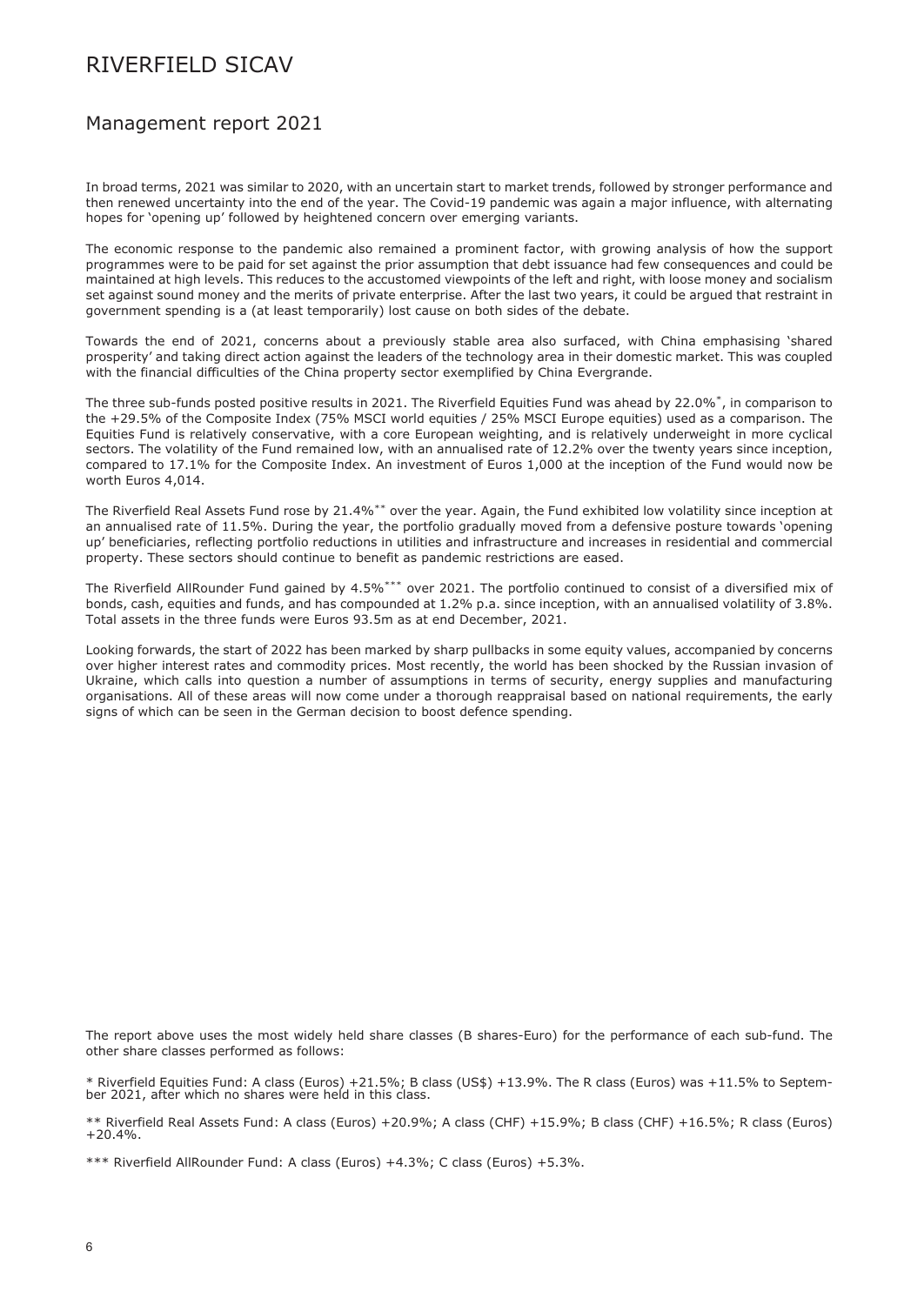### <span id="page-5-0"></span>Management report 2021

In broad terms, 2021 was similar to 2020, with an uncertain start to market trends, followed by stronger performance and then renewed uncertainty into the end of the year. The Covid-19 pandemic was again a major influence, with alternating hopes for 'opening up' followed by heightened concern over emerging variants.

The economic response to the pandemic also remained a prominent factor, with growing analysis of how the support programmes were to be paid for set against the prior assumption that debt issuance had few consequences and could be maintained at high levels. This reduces to the accustomed viewpoints of the left and right, with loose money and socialism set against sound money and the merits of private enterprise. After the last two years, it could be argued that restraint in government spending is a (at least temporarily) lost cause on both sides of the debate.

Towards the end of 2021, concerns about a previously stable area also surfaced, with China emphasising 'shared prosperity' and taking direct action against the leaders of the technology area in their domestic market. This was coupled with the financial difficulties of the China property sector exemplified by China Evergrande.

The three sub-funds posted positive results in 2021. The Riverfield Equities Fund was ahead by 22.0%\*, in comparison to the +29.5% of the Composite Index (75% MSCI world equities / 25% MSCI Europe equities) used as a comparison. The Equities Fund is relatively conservative, with a core European weighting, and is relatively underweight in more cyclical sectors. The volatility of the Fund remained low, with an annualised rate of 12.2% over the twenty years since inception, compared to 17.1% for the Composite Index. An investment of Euros 1,000 at the inception of the Fund would now be worth Euros 4,014.

The Riverfield Real Assets Fund rose by 21.4%\*\* over the year. Again, the Fund exhibited low volatility since inception at an annualised rate of 11.5%. During the year, the portfolio gradually moved from a defensive posture towards 'opening up' beneficiaries, reflecting portfolio reductions in utilities and infrastructure and increases in residential and commercial property. These sectors should continue to benefit as pandemic restrictions are eased.

The Riverfield AllRounder Fund gained by 4.5%\*\*\* over 2021. The portfolio continued to consist of a diversified mix of bonds, cash, equities and funds, and has compounded at 1.2% p.a. since inception, with an annualised volatility of 3.8%. Total assets in the three funds were Euros 93.5m as at end December, 2021.

Looking forwards, the start of 2022 has been marked by sharp pullbacks in some equity values, accompanied by concerns over higher interest rates and commodity prices. Most recently, the world has been shocked by the Russian invasion of Ukraine, which calls into question a number of assumptions in terms of security, energy supplies and manufacturing organisations. All of these areas will now come under a thorough reappraisal based on national requirements, the early signs of which can be seen in the German decision to boost defence spending.

The report above uses the most widely held share classes (B shares-Euro) for the performance of each sub-fund. The other share classes performed as follows:

\* Riverfield Equities Fund: A class (Euros) +21.5%; B class (US\$) +13.9%. The R class (Euros) was +11.5% to Septem-ber 2021, after which no shares were held in this class.

\*\* Riverfield Real Assets Fund: A class (Euros) +20.9%; A class (CHF) +15.9%; B class (CHF) +16.5%; R class (Euros) +20.4%.

\*\*\* Riverfield AllRounder Fund: A class (Euros) +4.3%; C class (Euros) +5.3%.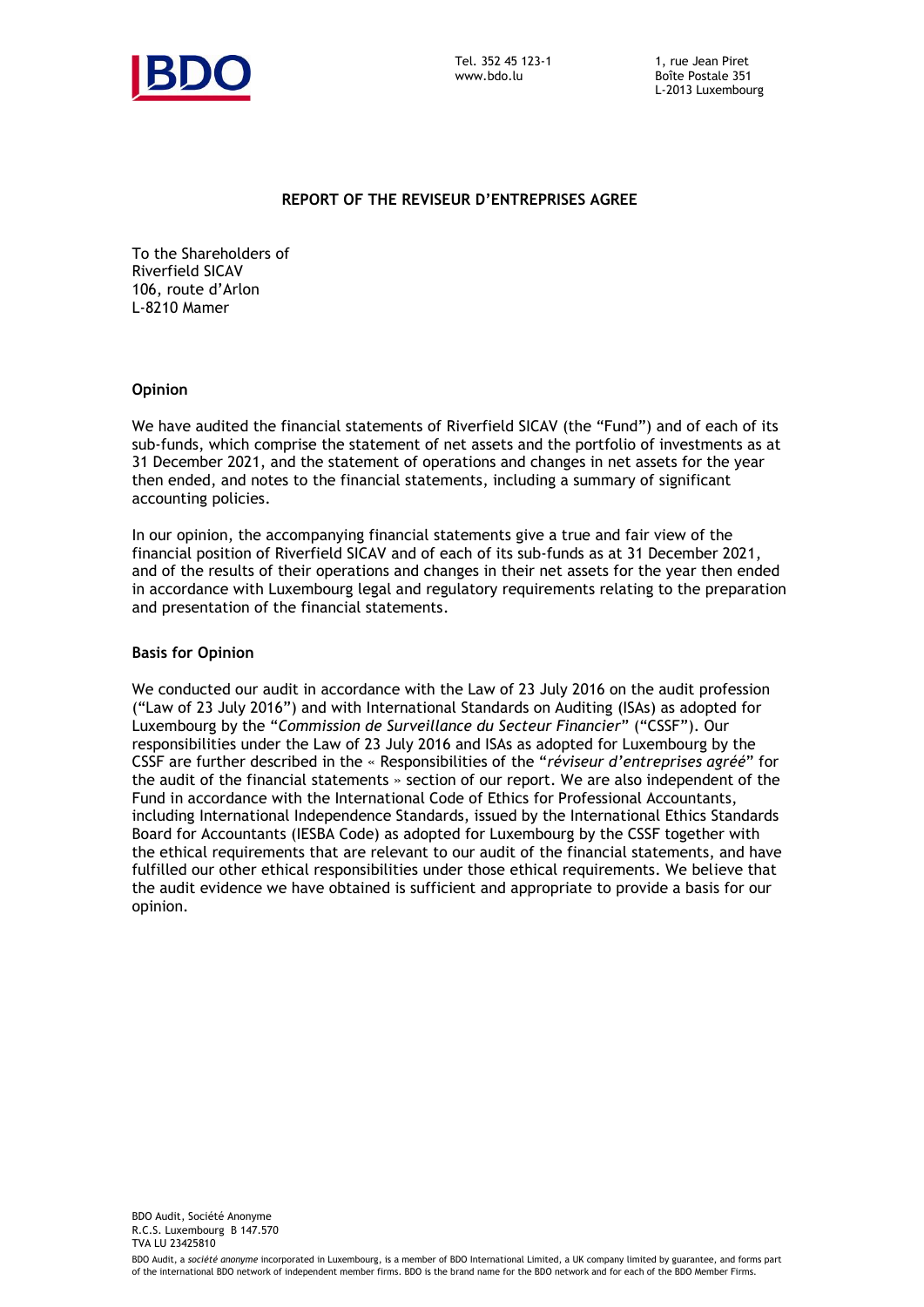

### **REPORT OF THE REVISEUR D'ENTREPRISES AGREE**

To the Shareholders of Riverfield SICAV 106, route d'Arlon L-8210 Mamer

### **Opinion**

We have audited the financial statements of Riverfield SICAV (the "Fund") and of each of its sub-funds, which comprise the statement of net assets and the portfolio of investments as at 31 December 2021, and the statement of operations and changes in net assets for the year then ended, and notes to the financial statements, including a summary of significant accounting policies.

In our opinion, the accompanying financial statements give a true and fair view of the financial position of Riverfield SICAV and of each of its sub-funds as at 31 December 2021, and of the results of their operations and changes in their net assets for the year then ended in accordance with Luxembourg legal and regulatory requirements relating to the preparation and presentation of the financial statements.

### **Basis for Opinion**

We conducted our audit in accordance with the Law of 23 July 2016 on the audit profession ("Law of 23 July 2016") and with International Standards on Auditing (ISAs) as adopted for Luxembourg by the "*Commission de Surveillance du Secteur Financier*" ("CSSF"). Our responsibilities under the Law of 23 July 2016 and ISAs as adopted for Luxembourg by the CSSF are further described in the « Responsibilities of the "*réviseur d'entreprises agréé*" for the audit of the financial statements » section of our report. We are also independent of the Fund in accordance with the International Code of Ethics for Professional Accountants, including International Independence Standards, issued by the International Ethics Standards Board for Accountants (IESBA Code) as adopted for Luxembourg by the CSSF together with the ethical requirements that are relevant to our audit of the financial statements, and have fulfilled our other ethical responsibilities under those ethical requirements. We believe that the audit evidence we have obtained is sufficient and appropriate to provide a basis for our opinion.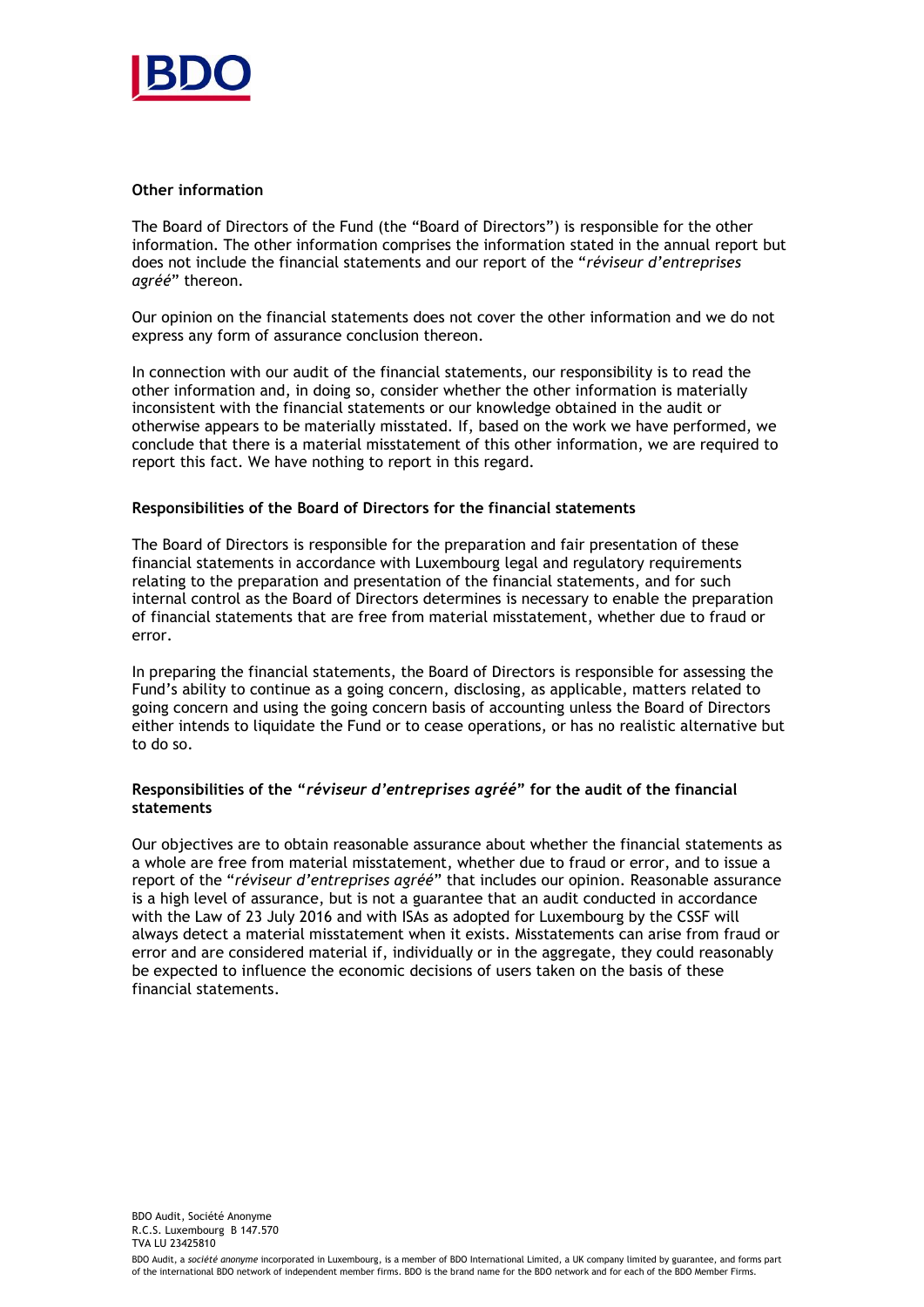

### **Other information**

The Board of Directors of the Fund (the "Board of Directors") is responsible for the other information. The other information comprises the information stated in the annual report but does not include the financial statements and our report of the "*réviseur d'entreprises agréé*" thereon.

Our opinion on the financial statements does not cover the other information and we do not express any form of assurance conclusion thereon.

In connection with our audit of the financial statements, our responsibility is to read the other information and, in doing so, consider whether the other information is materially inconsistent with the financial statements or our knowledge obtained in the audit or otherwise appears to be materially misstated. If, based on the work we have performed, we conclude that there is a material misstatement of this other information, we are required to report this fact. We have nothing to report in this regard.

### **Responsibilities of the Board of Directors for the financial statements**

The Board of Directors is responsible for the preparation and fair presentation of these financial statements in accordance with Luxembourg legal and regulatory requirements relating to the preparation and presentation of the financial statements, and for such internal control as the Board of Directors determines is necessary to enable the preparation of financial statements that are free from material misstatement, whether due to fraud or error.

In preparing the financial statements, the Board of Directors is responsible for assessing the Fund's ability to continue as a going concern, disclosing, as applicable, matters related to going concern and using the going concern basis of accounting unless the Board of Directors either intends to liquidate the Fund or to cease operations, or has no realistic alternative but to do so.

### **Responsibilities of the "***réviseur d'entreprises agréé***" for the audit of the financial statements**

Our objectives are to obtain reasonable assurance about whether the financial statements as a whole are free from material misstatement, whether due to fraud or error, and to issue a report of the "*réviseur d'entreprises agréé*" that includes our opinion. Reasonable assurance is a high level of assurance, but is not a guarantee that an audit conducted in accordance with the Law of 23 July 2016 and with ISAs as adopted for Luxembourg by the CSSF will always detect a material misstatement when it exists. Misstatements can arise from fraud or error and are considered material if, individually or in the aggregate, they could reasonably be expected to influence the economic decisions of users taken on the basis of these financial statements.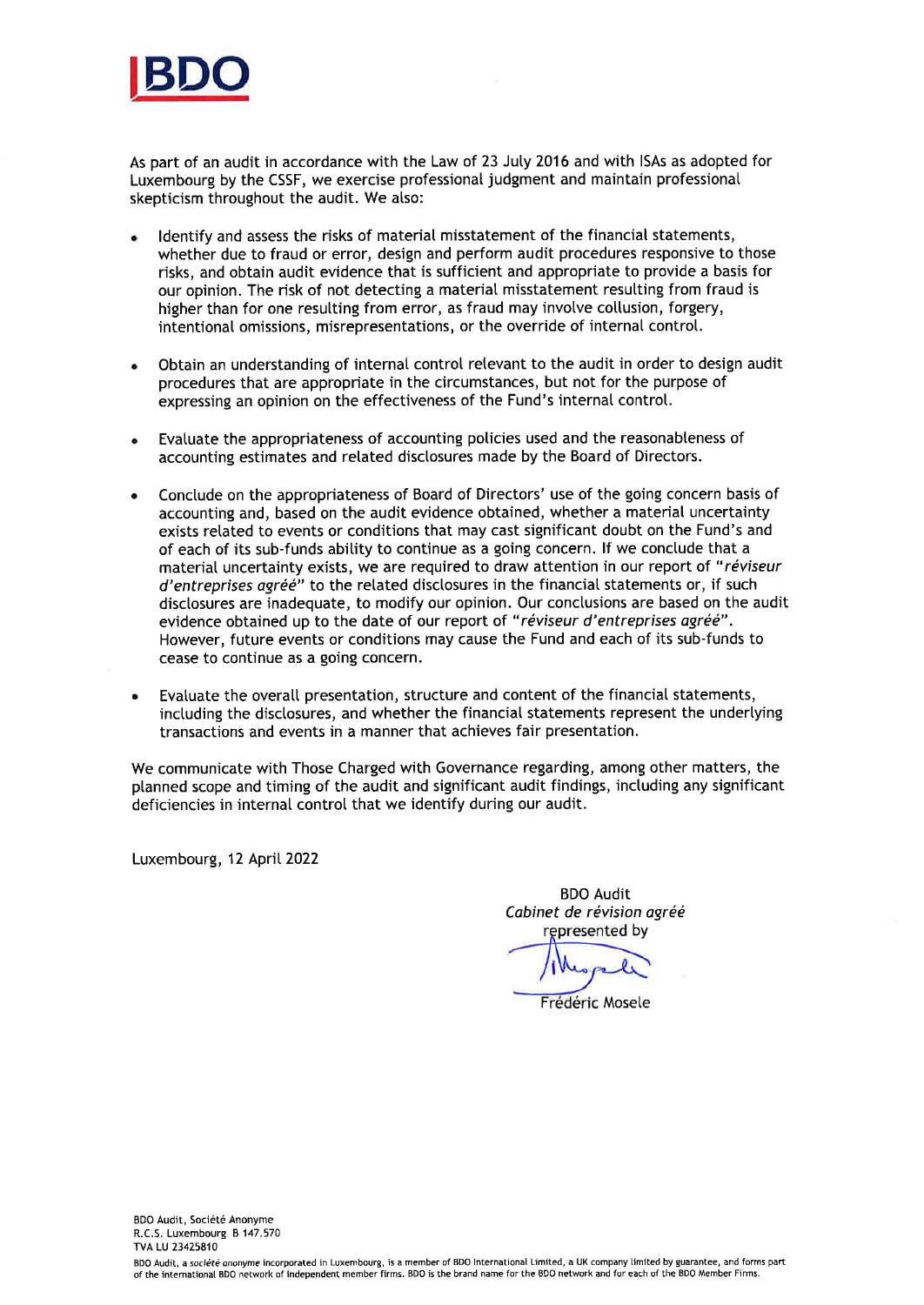

As part of an audit in accordance with the Law of 23 Juty 2016 and with lSAs as adopted for Luxembourg by the CSSF, we exercise professional judgment and maintain professionat skepticism throughout the audit. We also:

- Identify and assess the risks of material misstatement of the financial statements, whether due to fraud or error, design and perform audit procedures responsive to those risks, and obtain audit evidence that is sufficient and appropriate to provide a basis for our opinion. The risk of not detecting a material misstatement resutting from fraud is higher than for one resulting from error, as fraud may involve collusion, forgery, intentional omissions, misrepresentations, or the override of internal control. a
- Obtain an understanding of internal control retevant to the audit in order to design audit procedures that are appropriate in the circumstances, but not for the purpose of expressing an opinion on the effectiveness of the Fund's internal controt.
- Evatuate the appropriateness of accounting policies used and the reasonabteness of accounting estimates and retated disctosures made by the Board of Directors.
- a Conctude on the appropriateness of Board of Directors' use of the going concern basis of accounting and, based on the audit evidence obtained, whether a material uncertainty exists retated to events or conditions that may cast significant doubt on the Fund's and of each of its sub-funds abitity to continue as a going concern. lf we conctude that a material uncertainty exists, we are required to draw attention in our report of "réviseur d'entreprises agréé" to the related disclosures in the financial statements or, if such disclosures are inadequate, to modify our opinion. Our conclusions are based on the audit evidence obtained up to the date of our report of "réviseur d'entreprises agréé". However, future events or conditions may cause the Fund and each of its sub-funds to cease to continue as a going concern.
- a Evaluate the overall presentation, structure and content of the financial statements, including the disclosures, and whether the financial statements represent the underlying transactions and events in a manner that achieves fair presentation.

We communicate with Those Charged with Governance regarding, among other matters, the ptanned scope and timing of the audit and significant audit findings, inctuding any significant deficiencies in internal control that we identify during our audit.

Luxembourg, 12 April 2022

BDO Audit Cabinet de révision agréé represented by

Frédéric Mosele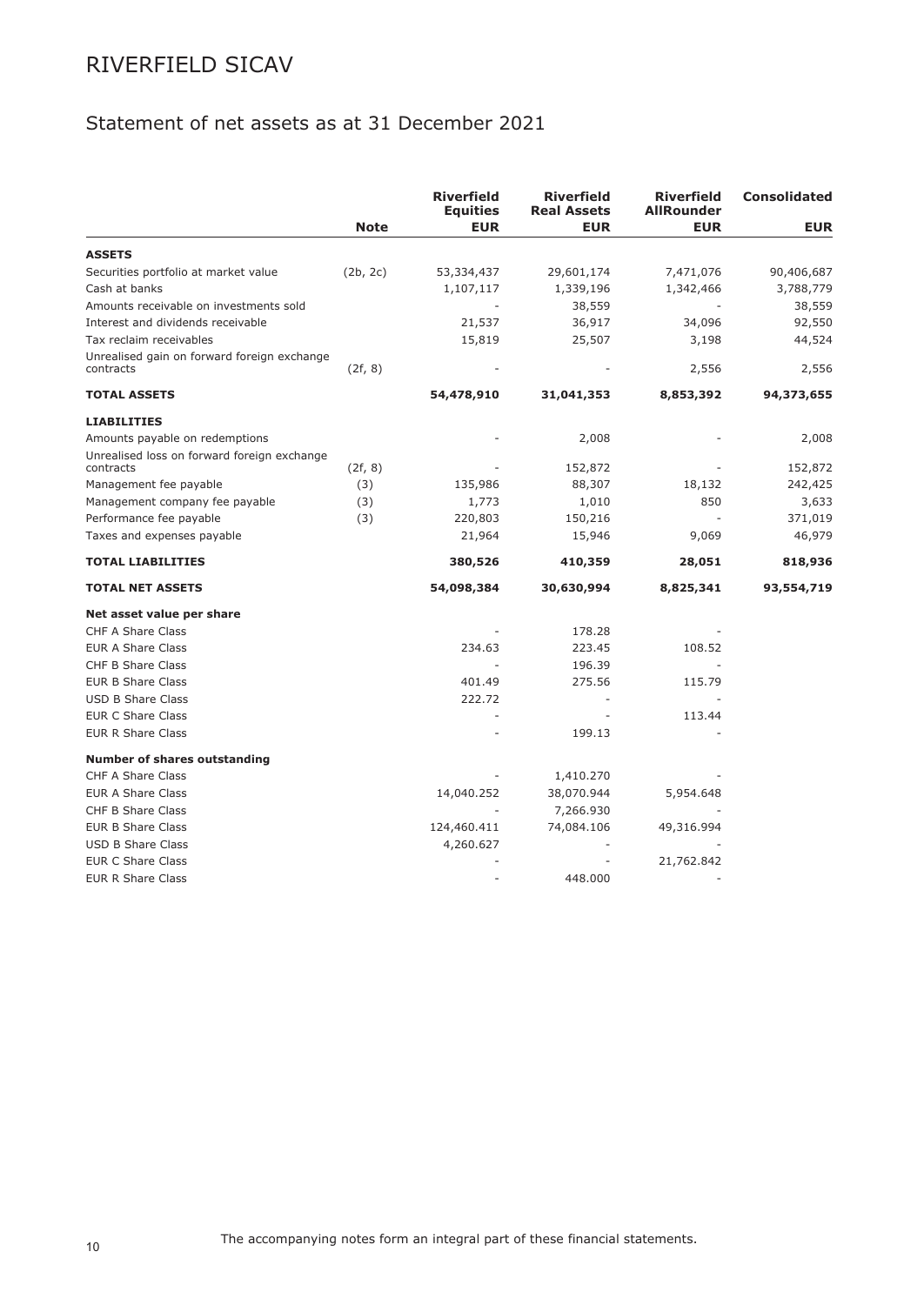## Statement of net assets as at 31 December 2021

|                                             |             | <b>Riverfield</b><br><b>Equities</b> | <b>Riverfield</b><br><b>Real Assets</b> | <b>Riverfield</b><br><b>AllRounder</b> | <b>Consolidated</b> |
|---------------------------------------------|-------------|--------------------------------------|-----------------------------------------|----------------------------------------|---------------------|
|                                             | <b>Note</b> | <b>EUR</b>                           | <b>EUR</b>                              | <b>EUR</b>                             | <b>EUR</b>          |
| <b>ASSETS</b>                               |             |                                      |                                         |                                        |                     |
| Securities portfolio at market value        | (2b, 2c)    | 53,334,437                           | 29,601,174                              | 7,471,076                              | 90,406,687          |
| Cash at banks                               |             | 1,107,117                            | 1,339,196                               | 1,342,466                              | 3,788,779           |
| Amounts receivable on investments sold      |             |                                      | 38,559                                  |                                        | 38,559              |
| Interest and dividends receivable           |             | 21,537                               | 36,917                                  | 34,096                                 | 92,550              |
| Tax reclaim receivables                     |             | 15,819                               | 25,507                                  | 3,198                                  | 44,524              |
| Unrealised gain on forward foreign exchange |             |                                      |                                         |                                        |                     |
| contracts                                   | (2f, 8)     |                                      |                                         | 2,556                                  | 2,556               |
| <b>TOTAL ASSETS</b>                         |             | 54,478,910                           | 31,041,353                              | 8,853,392                              | 94,373,655          |
| <b>LIABILITIES</b>                          |             |                                      |                                         |                                        |                     |
| Amounts payable on redemptions              |             |                                      | 2,008                                   |                                        | 2,008               |
| Unrealised loss on forward foreign exchange |             |                                      |                                         |                                        |                     |
| contracts                                   | (2f, 8)     |                                      | 152,872                                 |                                        | 152,872             |
| Management fee payable                      | (3)         | 135,986                              | 88,307                                  | 18,132                                 | 242,425             |
| Management company fee payable              | (3)         | 1,773                                | 1,010                                   | 850                                    | 3,633               |
| Performance fee payable                     | (3)         | 220,803                              | 150,216                                 | ٠                                      | 371,019             |
| Taxes and expenses payable                  |             | 21,964                               | 15,946                                  | 9,069                                  | 46,979              |
| <b>TOTAL LIABILITIES</b>                    |             | 380,526                              | 410,359                                 | 28,051                                 | 818,936             |
| <b>TOTAL NET ASSETS</b>                     |             | 54,098,384                           | 30,630,994                              | 8,825,341                              | 93,554,719          |
| Net asset value per share                   |             |                                      |                                         |                                        |                     |
| <b>CHF A Share Class</b>                    |             |                                      | 178.28                                  |                                        |                     |
| <b>EUR A Share Class</b>                    |             | 234.63                               | 223.45                                  | 108.52                                 |                     |
| <b>CHF B Share Class</b>                    |             |                                      | 196.39                                  |                                        |                     |
| <b>EUR B Share Class</b>                    |             | 401.49                               | 275.56                                  | 115.79                                 |                     |
| <b>USD B Share Class</b>                    |             | 222.72                               | ÷,                                      |                                        |                     |
| <b>EUR C Share Class</b>                    |             | ÷,                                   | $\overline{\phantom{a}}$                | 113.44                                 |                     |
| <b>EUR R Share Class</b>                    |             |                                      | 199.13                                  |                                        |                     |
| <b>Number of shares outstanding</b>         |             |                                      |                                         |                                        |                     |
| CHF A Share Class                           |             |                                      | 1,410.270                               |                                        |                     |
| <b>EUR A Share Class</b>                    |             | 14,040.252                           | 38,070.944                              | 5,954.648                              |                     |
| CHF B Share Class                           |             |                                      | 7,266.930                               |                                        |                     |
| <b>EUR B Share Class</b>                    |             | 124,460.411                          | 74,084.106                              | 49,316.994                             |                     |
| <b>USD B Share Class</b>                    |             | 4,260.627                            |                                         |                                        |                     |
| <b>EUR C Share Class</b>                    |             |                                      |                                         | 21,762.842                             |                     |
| <b>EUR R Share Class</b>                    |             |                                      | 448,000                                 |                                        |                     |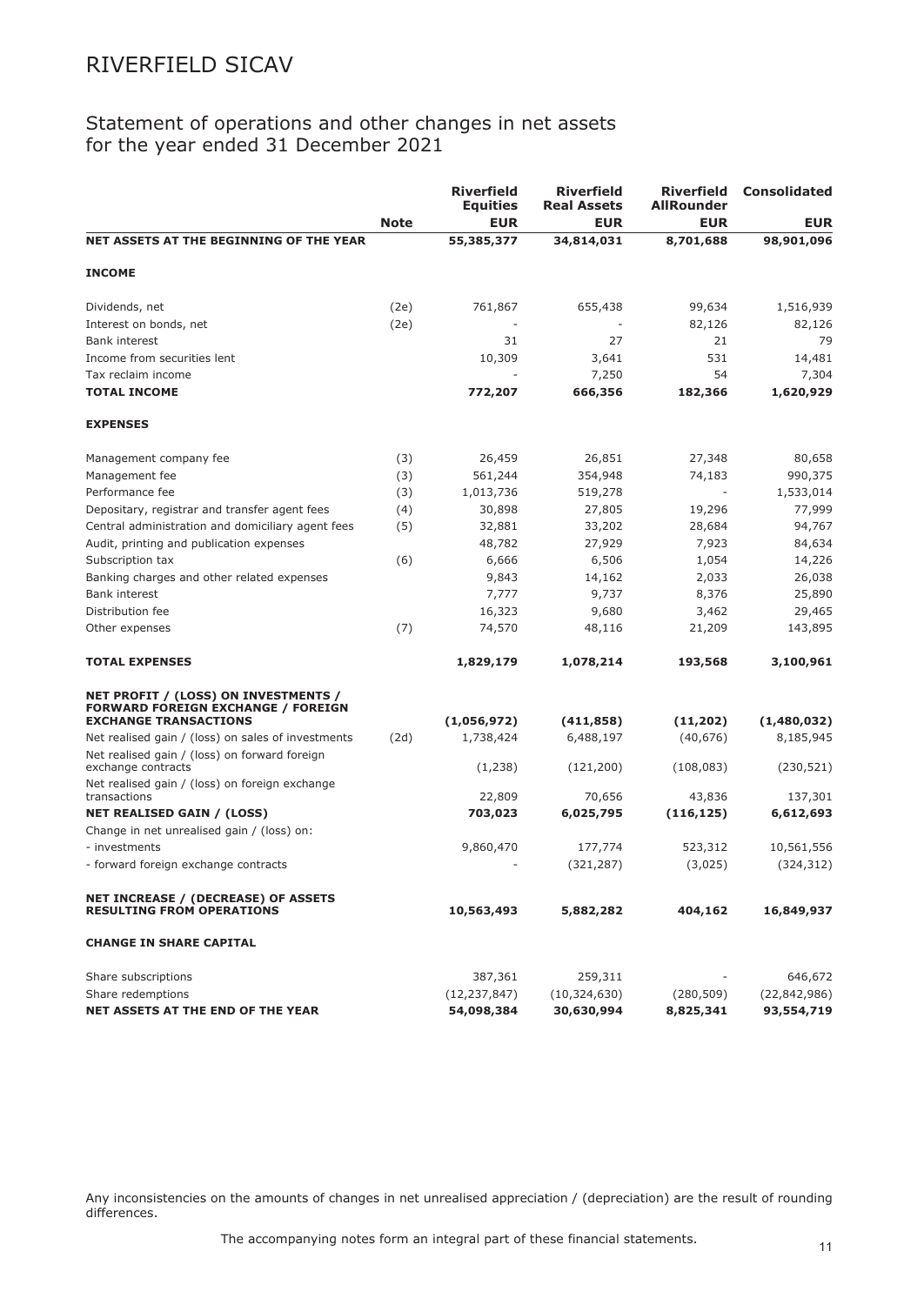## Statement of operations and other changes in net assets for the year ended 31 December 2021

|                                                                                   | <b>Note</b> | <b>Riverfield</b><br><b>Equities</b><br><b>EUR</b> | <b>Riverfield</b><br><b>Real Assets</b><br><b>EUR</b> | <b>Riverfield</b><br><b>AllRounder</b><br><b>EUR</b> | <b>Consolidated</b><br><b>EUR</b> |
|-----------------------------------------------------------------------------------|-------------|----------------------------------------------------|-------------------------------------------------------|------------------------------------------------------|-----------------------------------|
| NET ASSETS AT THE BEGINNING OF THE YEAR                                           |             |                                                    |                                                       |                                                      |                                   |
|                                                                                   |             | 55,385,377                                         | 34,814,031                                            | 8,701,688                                            | 98,901,096                        |
| <b>INCOME</b>                                                                     |             |                                                    |                                                       |                                                      |                                   |
| Dividends, net                                                                    | (2e)        | 761,867                                            | 655,438                                               | 99,634                                               | 1,516,939                         |
| Interest on bonds, net                                                            | (2e)        |                                                    |                                                       | 82,126                                               | 82,126                            |
| <b>Bank interest</b>                                                              |             | 31                                                 | 27                                                    | 21                                                   | 79                                |
| Income from securities lent                                                       |             | 10,309                                             | 3,641                                                 | 531                                                  | 14,481                            |
| Tax reclaim income                                                                |             |                                                    | 7,250                                                 | 54                                                   | 7,304                             |
| <b>TOTAL INCOME</b>                                                               |             | 772,207                                            | 666,356                                               | 182,366                                              | 1,620,929                         |
| <b>EXPENSES</b>                                                                   |             |                                                    |                                                       |                                                      |                                   |
| Management company fee                                                            | (3)         | 26,459                                             | 26,851                                                | 27,348                                               | 80,658                            |
| Management fee                                                                    | (3)         | 561,244                                            | 354,948                                               | 74,183                                               | 990,375                           |
| Performance fee                                                                   | (3)         | 1,013,736                                          | 519,278                                               |                                                      | 1,533,014                         |
| Depositary, registrar and transfer agent fees                                     | (4)         | 30,898                                             | 27,805                                                | 19,296                                               | 77,999                            |
| Central administration and domiciliary agent fees                                 | (5)         | 32,881                                             | 33,202                                                | 28,684                                               | 94,767                            |
| Audit, printing and publication expenses                                          |             | 48,782                                             | 27,929                                                | 7,923                                                | 84,634                            |
| Subscription tax                                                                  | (6)         | 6,666                                              | 6,506                                                 | 1,054                                                | 14,226                            |
| Banking charges and other related expenses                                        |             | 9,843                                              | 14,162                                                | 2,033                                                | 26,038                            |
| <b>Bank interest</b>                                                              |             | 7,777                                              | 9,737                                                 | 8,376                                                | 25,890                            |
| Distribution fee                                                                  |             | 16,323                                             | 9,680                                                 | 3,462                                                | 29,465                            |
| Other expenses                                                                    | (7)         | 74,570                                             | 48,116                                                | 21,209                                               | 143,895                           |
| <b>TOTAL EXPENSES</b>                                                             |             | 1,829,179                                          | 1,078,214                                             | 193,568                                              | 3,100,961                         |
| NET PROFIT / (LOSS) ON INVESTMENTS /<br><b>FORWARD FOREIGN EXCHANGE / FOREIGN</b> |             |                                                    |                                                       |                                                      |                                   |
| <b>EXCHANGE TRANSACTIONS</b>                                                      |             | (1,056,972)                                        | (411, 858)                                            | (11, 202)                                            | (1,480,032)                       |
| Net realised gain / (loss) on sales of investments                                | (2d)        | 1,738,424                                          | 6,488,197                                             | (40, 676)                                            | 8,185,945                         |
| Net realised gain / (loss) on forward foreign<br>exchange contracts               |             | (1,238)                                            | (121, 200)                                            | (108, 083)                                           | (230, 521)                        |
| Net realised gain / (loss) on foreign exchange<br>transactions                    |             | 22,809                                             | 70,656                                                | 43,836                                               | 137,301                           |
| <b>NET REALISED GAIN / (LOSS)</b>                                                 |             | 703,023                                            | 6,025,795                                             | (116, 125)                                           | 6,612,693                         |
| Change in net unrealised gain / (loss) on:                                        |             |                                                    |                                                       |                                                      |                                   |
| - investments                                                                     |             | 9,860,470                                          | 177,774                                               | 523,312                                              | 10,561,556                        |
| - forward foreign exchange contracts                                              |             |                                                    | (321, 287)                                            | (3,025)                                              | (324, 312)                        |
|                                                                                   |             |                                                    |                                                       |                                                      |                                   |
| <b>NET INCREASE / (DECREASE) OF ASSETS</b><br><b>RESULTING FROM OPERATIONS</b>    |             | 10,563,493                                         | 5,882,282                                             | 404,162                                              | 16,849,937                        |
| <b>CHANGE IN SHARE CAPITAL</b>                                                    |             |                                                    |                                                       |                                                      |                                   |
| Share subscriptions                                                               |             | 387,361                                            | 259,311                                               |                                                      | 646,672                           |
| Share redemptions                                                                 |             | (12, 237, 847)                                     | (10, 324, 630)                                        | (280, 509)                                           | (22, 842, 986)                    |
| NET ASSETS AT THE END OF THE YEAR                                                 |             | 54,098,384                                         | 30,630,994                                            | 8,825,341                                            | 93,554,719                        |

Any inconsistencies on the amounts of changes in net unrealised appreciation / (depreciation) are the result of rounding differences.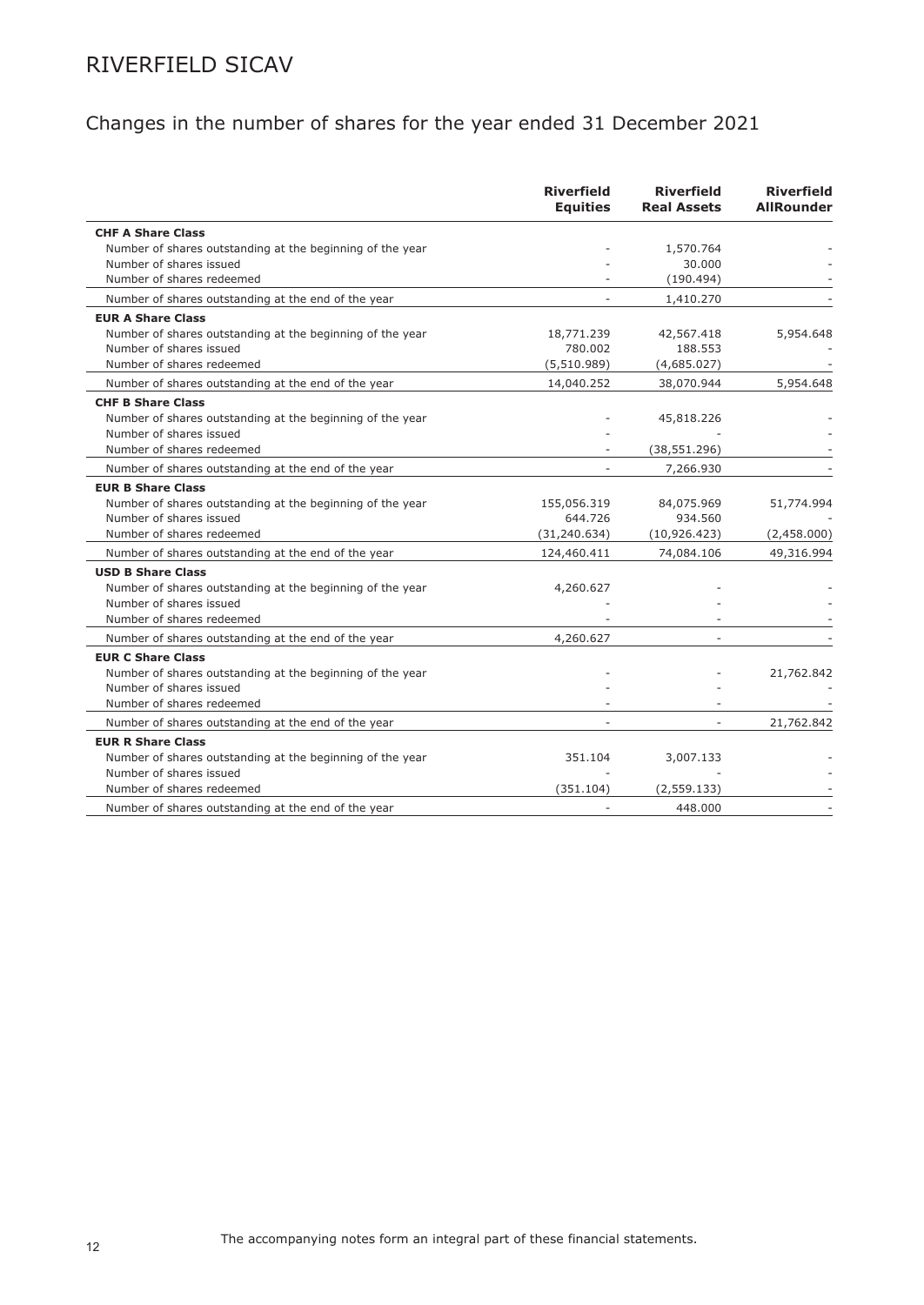# Changes in the number of shares for the year ended 31 December 2021

|                                                           | <b>Riverfield</b><br><b>Equities</b> | <b>Riverfield</b><br><b>Real Assets</b> | <b>Riverfield</b><br><b>AllRounder</b> |
|-----------------------------------------------------------|--------------------------------------|-----------------------------------------|----------------------------------------|
| <b>CHF A Share Class</b>                                  |                                      |                                         |                                        |
| Number of shares outstanding at the beginning of the year |                                      | 1,570.764                               |                                        |
| Number of shares issued                                   |                                      | 30.000                                  |                                        |
| Number of shares redeemed                                 |                                      | (190.494)                               |                                        |
| Number of shares outstanding at the end of the year       |                                      | 1,410.270                               |                                        |
| <b>EUR A Share Class</b>                                  |                                      |                                         |                                        |
| Number of shares outstanding at the beginning of the year | 18,771.239                           | 42,567.418                              | 5,954.648                              |
| Number of shares issued                                   | 780.002                              | 188.553                                 |                                        |
| Number of shares redeemed                                 | (5,510.989)                          | (4,685.027)                             |                                        |
| Number of shares outstanding at the end of the year       | 14,040.252                           | 38,070.944                              | 5,954.648                              |
| <b>CHF B Share Class</b>                                  |                                      |                                         |                                        |
| Number of shares outstanding at the beginning of the year |                                      | 45,818.226                              |                                        |
| Number of shares issued                                   |                                      |                                         |                                        |
| Number of shares redeemed                                 |                                      | (38, 551.296)                           |                                        |
| Number of shares outstanding at the end of the year       |                                      | 7,266.930                               |                                        |
| <b>EUR B Share Class</b>                                  |                                      |                                         |                                        |
| Number of shares outstanding at the beginning of the year | 155,056.319                          | 84,075.969                              | 51,774.994                             |
| Number of shares issued                                   | 644.726                              | 934.560                                 |                                        |
| Number of shares redeemed                                 | (31, 240.634)                        | (10, 926.423)                           | (2,458.000)                            |
| Number of shares outstanding at the end of the year       | 124,460.411                          | 74,084.106                              | 49,316.994                             |
| <b>USD B Share Class</b>                                  |                                      |                                         |                                        |
| Number of shares outstanding at the beginning of the year | 4,260.627                            |                                         |                                        |
| Number of shares issued                                   |                                      |                                         |                                        |
| Number of shares redeemed                                 |                                      |                                         |                                        |
| Number of shares outstanding at the end of the year       | 4,260.627                            |                                         |                                        |
| <b>EUR C Share Class</b>                                  |                                      |                                         |                                        |
| Number of shares outstanding at the beginning of the year |                                      |                                         | 21,762.842                             |
| Number of shares issued                                   |                                      |                                         |                                        |
| Number of shares redeemed                                 |                                      |                                         |                                        |
| Number of shares outstanding at the end of the year       |                                      |                                         | 21,762.842                             |
| <b>EUR R Share Class</b>                                  |                                      |                                         |                                        |
| Number of shares outstanding at the beginning of the year | 351.104                              | 3,007.133                               |                                        |
| Number of shares issued                                   |                                      |                                         |                                        |
| Number of shares redeemed                                 | (351.104)                            | (2, 559.133)                            |                                        |
| Number of shares outstanding at the end of the year       |                                      | 448,000                                 |                                        |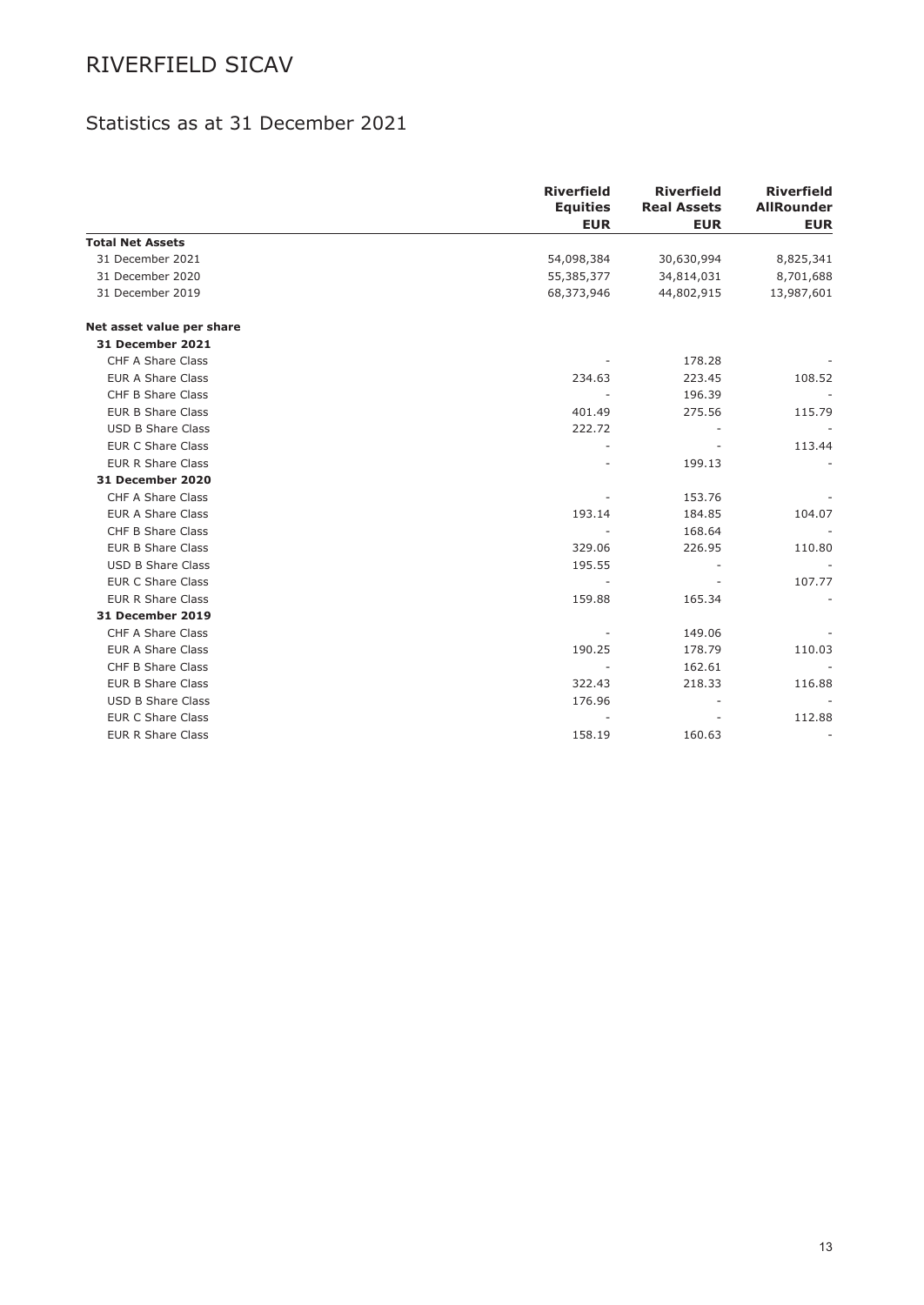## Statistics as at 31 December 2021

|                           | <b>Riverfield</b><br><b>Equities</b><br><b>EUR</b> | <b>Riverfield</b><br><b>Real Assets</b><br><b>EUR</b> | <b>Riverfield</b><br><b>AllRounder</b><br><b>EUR</b> |
|---------------------------|----------------------------------------------------|-------------------------------------------------------|------------------------------------------------------|
| <b>Total Net Assets</b>   |                                                    |                                                       |                                                      |
| 31 December 2021          | 54,098,384                                         | 30,630,994                                            | 8,825,341                                            |
| 31 December 2020          | 55,385,377                                         | 34,814,031                                            | 8,701,688                                            |
| 31 December 2019          | 68,373,946                                         | 44,802,915                                            | 13,987,601                                           |
| Net asset value per share |                                                    |                                                       |                                                      |
| 31 December 2021          |                                                    |                                                       |                                                      |
| CHF A Share Class         |                                                    | 178.28                                                |                                                      |
| <b>EUR A Share Class</b>  | 234.63                                             | 223.45                                                | 108.52                                               |
| <b>CHF B Share Class</b>  |                                                    | 196.39                                                | $\overline{\phantom{a}}$                             |
| <b>EUR B Share Class</b>  | 401.49                                             | 275.56                                                | 115.79                                               |
| <b>USD B Share Class</b>  | 222.72                                             |                                                       |                                                      |
| <b>EUR C Share Class</b>  |                                                    |                                                       | 113.44                                               |
| <b>EUR R Share Class</b>  |                                                    | 199.13                                                |                                                      |
| 31 December 2020          |                                                    |                                                       |                                                      |
| CHF A Share Class         |                                                    | 153.76                                                |                                                      |
| <b>EUR A Share Class</b>  | 193.14                                             | 184.85                                                | 104.07                                               |
| CHF B Share Class         |                                                    | 168.64                                                |                                                      |
| <b>EUR B Share Class</b>  | 329.06                                             | 226.95                                                | 110.80                                               |
| <b>USD B Share Class</b>  | 195.55                                             |                                                       |                                                      |
| <b>EUR C Share Class</b>  | $\overline{\phantom{a}}$                           |                                                       | 107.77                                               |
| <b>EUR R Share Class</b>  | 159.88                                             | 165.34                                                |                                                      |
| 31 December 2019          |                                                    |                                                       |                                                      |
| CHF A Share Class         |                                                    | 149.06                                                |                                                      |
| <b>EUR A Share Class</b>  | 190.25                                             | 178.79                                                | 110.03                                               |
| <b>CHF B Share Class</b>  | $\overline{\phantom{a}}$                           | 162.61                                                |                                                      |
| <b>EUR B Share Class</b>  | 322.43                                             | 218.33                                                | 116.88                                               |
| <b>USD B Share Class</b>  | 176.96                                             |                                                       |                                                      |
| <b>EUR C Share Class</b>  |                                                    |                                                       | 112.88                                               |
| <b>EUR R Share Class</b>  | 158.19                                             | 160.63                                                |                                                      |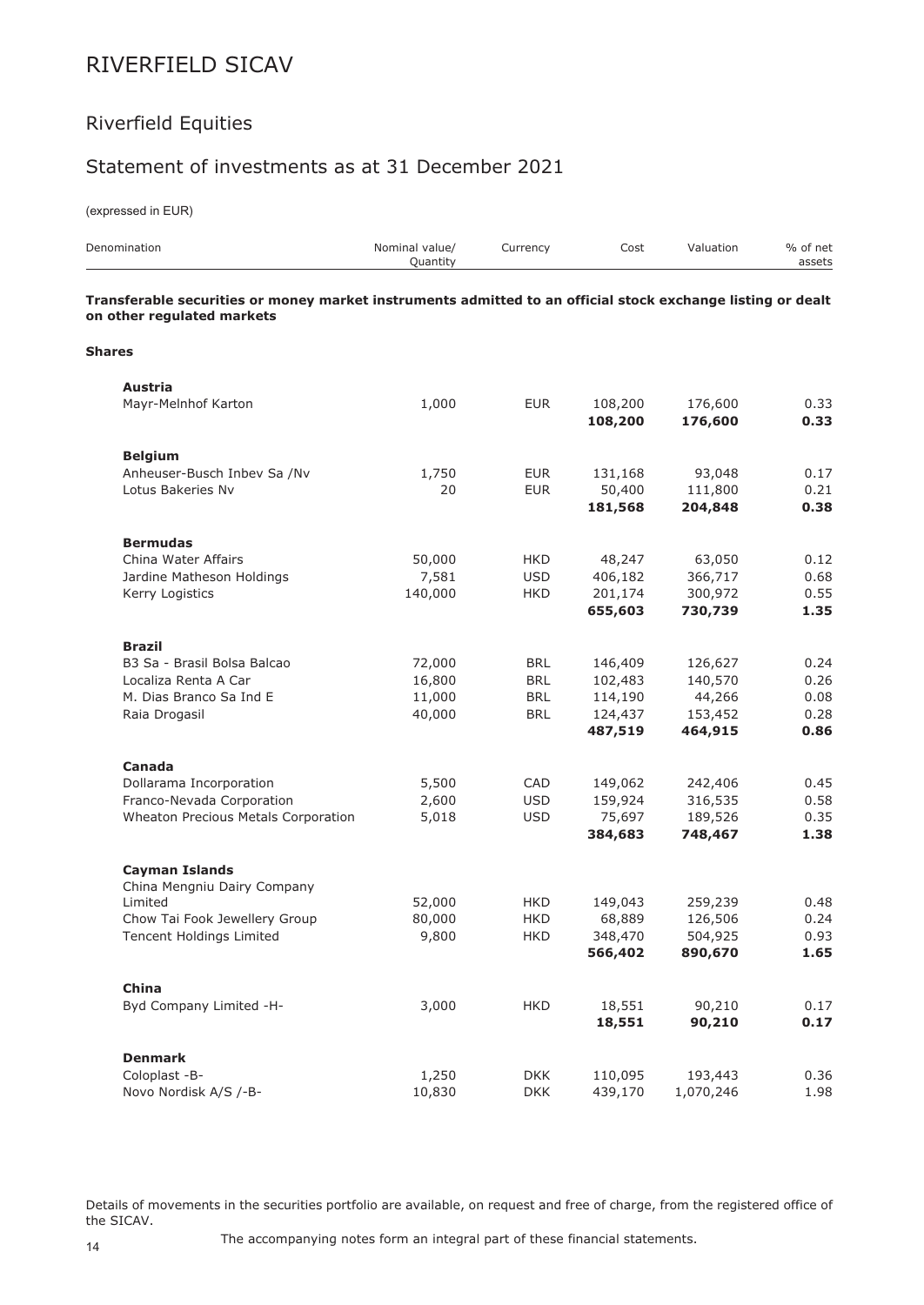## Riverfield Equities

### Statement of investments as at 31 December 2021

(expressed in EUR)

| Denomination                                                                                                                              | Nominal value/<br>Quantity | Currency   | Cost               | Valuation          | % of net<br>assets |
|-------------------------------------------------------------------------------------------------------------------------------------------|----------------------------|------------|--------------------|--------------------|--------------------|
| Transferable securities or money market instruments admitted to an official stock exchange listing or dealt<br>on other regulated markets |                            |            |                    |                    |                    |
| <b>Shares</b>                                                                                                                             |                            |            |                    |                    |                    |
| <b>Austria</b>                                                                                                                            |                            |            |                    |                    |                    |
| Mayr-Melnhof Karton                                                                                                                       | 1,000                      | <b>EUR</b> | 108,200<br>108,200 | 176,600<br>176,600 | 0.33<br>0.33       |
| <b>Belgium</b>                                                                                                                            |                            |            |                    |                    |                    |
| Anheuser-Busch Inbev Sa /Nv                                                                                                               | 1,750                      | <b>EUR</b> | 131,168            | 93,048             | 0.17               |
| Lotus Bakeries Nv                                                                                                                         | 20                         | <b>EUR</b> | 50,400<br>181,568  | 111,800<br>204,848 | 0.21<br>0.38       |
| <b>Bermudas</b>                                                                                                                           |                            |            |                    |                    |                    |
| China Water Affairs                                                                                                                       | 50,000                     | HKD        | 48,247             | 63,050             | 0.12               |
| Jardine Matheson Holdings                                                                                                                 | 7,581                      | <b>USD</b> | 406,182            | 366,717            | 0.68               |
| Kerry Logistics                                                                                                                           | 140,000                    | <b>HKD</b> | 201,174<br>655,603 | 300,972<br>730,739 | 0.55<br>1.35       |
|                                                                                                                                           |                            |            |                    |                    |                    |
| <b>Brazil</b>                                                                                                                             |                            |            |                    |                    |                    |
| B3 Sa - Brasil Bolsa Balcao                                                                                                               | 72,000                     | <b>BRL</b> | 146,409            | 126,627            | 0.24               |
| Localiza Renta A Car                                                                                                                      | 16,800                     | <b>BRL</b> | 102,483            | 140,570            | 0.26               |
| M. Dias Branco Sa Ind E                                                                                                                   | 11,000                     | <b>BRL</b> | 114,190            | 44,266             | 0.08               |
| Raia Drogasil                                                                                                                             | 40,000                     | <b>BRL</b> | 124,437            | 153,452            | 0.28               |
|                                                                                                                                           |                            |            | 487,519            | 464,915            | 0.86               |
| Canada                                                                                                                                    |                            |            |                    |                    |                    |
| Dollarama Incorporation                                                                                                                   | 5,500                      | CAD        | 149,062            | 242,406            | 0.45               |
| Franco-Nevada Corporation                                                                                                                 | 2,600                      | <b>USD</b> | 159,924            | 316,535            | 0.58               |
| Wheaton Precious Metals Corporation                                                                                                       | 5,018                      | <b>USD</b> | 75,697             | 189,526            | 0.35               |
|                                                                                                                                           |                            |            | 384,683            | 748,467            | 1.38               |
| <b>Cayman Islands</b>                                                                                                                     |                            |            |                    |                    |                    |
| China Mengniu Dairy Company                                                                                                               |                            |            |                    |                    |                    |
| Limited                                                                                                                                   | 52,000                     | <b>HKD</b> | 149,043            | 259,239            | 0.48               |
| Chow Tai Fook Jewellery Group                                                                                                             | 80,000                     | <b>HKD</b> | 68,889             | 126,506            | 0.24               |
| Tencent Holdings Limited                                                                                                                  | 9,800                      | <b>HKD</b> | 348,470<br>566,402 | 504,925<br>890,670 | 0.93<br>1.65       |
|                                                                                                                                           |                            |            |                    |                    |                    |
| China                                                                                                                                     |                            |            |                    |                    |                    |
| Byd Company Limited -H-                                                                                                                   | 3,000                      | <b>HKD</b> | 18,551<br>18,551   | 90,210<br>90,210   | 0.17<br>0.17       |
|                                                                                                                                           |                            |            |                    |                    |                    |
| <b>Denmark</b>                                                                                                                            |                            |            |                    |                    |                    |
| Coloplast -B-                                                                                                                             | 1,250                      | <b>DKK</b> | 110,095            | 193,443            | 0.36               |
| Novo Nordisk A/S /-B-                                                                                                                     | 10,830                     | <b>DKK</b> | 439,170            | 1,070,246          | 1.98               |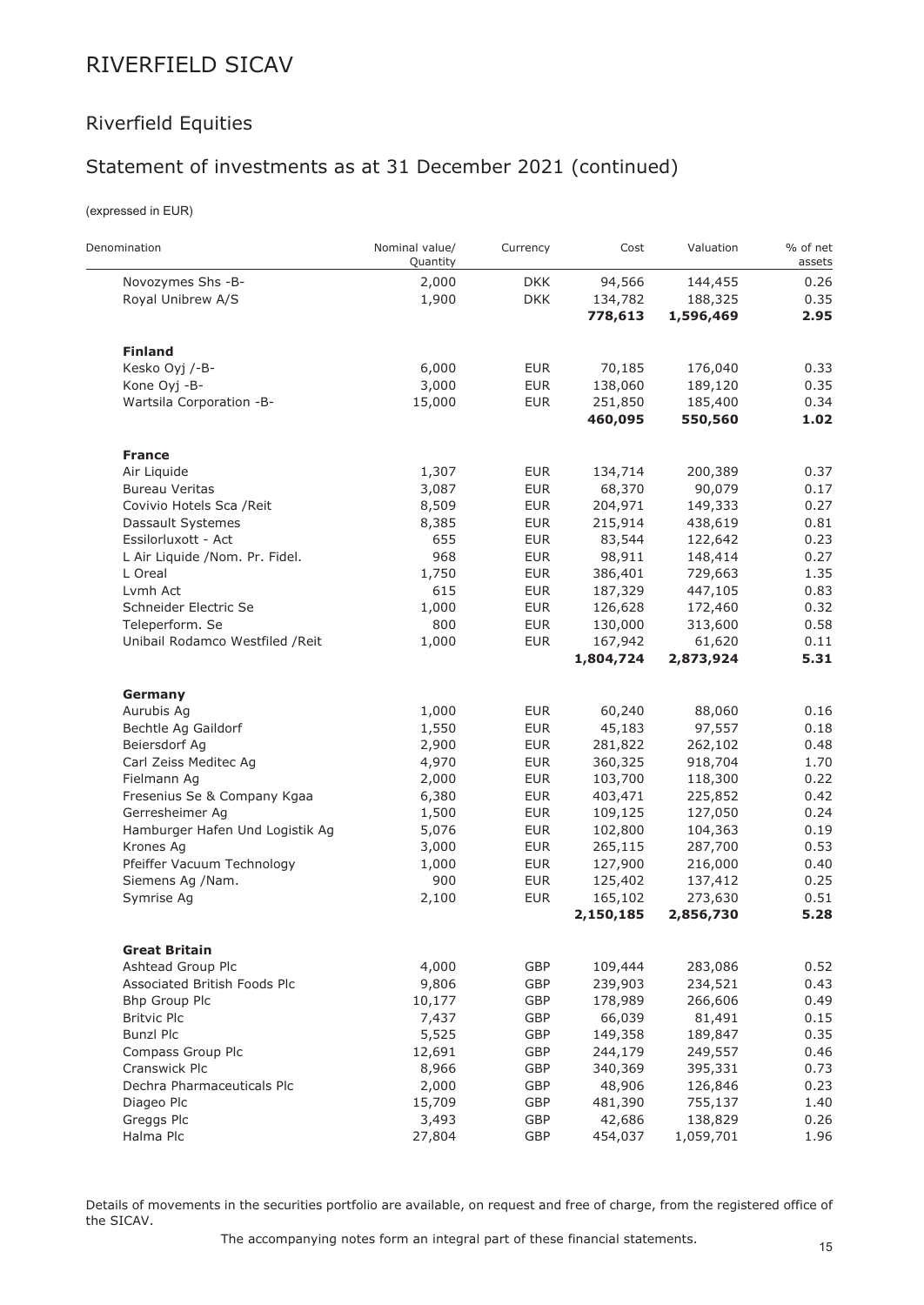## Riverfield Equities

## Statement of investments as at 31 December 2021 (continued)

(expressed in EUR)

 $\overline{a}$ 

| Denomination                     | Nominal value/<br>Quantity | Currency   | Cost      | Valuation | % of net<br>assets |
|----------------------------------|----------------------------|------------|-----------|-----------|--------------------|
| Novozymes Shs -B-                | 2,000                      | <b>DKK</b> | 94,566    | 144,455   | 0.26               |
| Royal Unibrew A/S                | 1,900                      | <b>DKK</b> | 134,782   | 188,325   | 0.35               |
|                                  |                            |            | 778,613   | 1,596,469 | 2.95               |
| <b>Finland</b>                   |                            |            |           |           |                    |
| Kesko Oyj /-B-                   | 6,000                      | <b>EUR</b> | 70,185    | 176,040   | 0.33               |
| Kone Oyj -B-                     | 3,000                      | <b>EUR</b> | 138,060   | 189,120   | 0.35               |
| Wartsila Corporation -B-         | 15,000                     | <b>EUR</b> | 251,850   | 185,400   | 0.34               |
|                                  |                            |            | 460,095   | 550,560   | 1.02               |
| <b>France</b>                    |                            |            |           |           |                    |
| Air Liquide                      | 1,307                      | <b>EUR</b> | 134,714   | 200,389   | 0.37               |
| <b>Bureau Veritas</b>            | 3,087                      | <b>EUR</b> | 68,370    | 90,079    | 0.17               |
| Covivio Hotels Sca / Reit        | 8,509                      | <b>EUR</b> | 204,971   | 149,333   | 0.27               |
| Dassault Systemes                | 8,385                      | <b>EUR</b> | 215,914   | 438,619   | 0.81               |
| Essilorluxott - Act              | 655                        | <b>EUR</b> | 83,544    | 122,642   | 0.23               |
| L Air Liquide /Nom. Pr. Fidel.   | 968                        | <b>EUR</b> | 98,911    | 148,414   | 0.27               |
| L Oreal                          | 1,750                      | <b>EUR</b> | 386,401   | 729,663   | 1.35               |
| Lvmh Act                         | 615                        | <b>EUR</b> | 187,329   | 447,105   | 0.83               |
| Schneider Electric Se            | 1,000                      | <b>EUR</b> | 126,628   | 172,460   | 0.32               |
| Teleperform. Se                  | 800                        | <b>EUR</b> | 130,000   | 313,600   | 0.58               |
| Unibail Rodamco Westfiled / Reit | 1,000                      | <b>EUR</b> | 167,942   | 61,620    | 0.11               |
|                                  |                            |            | 1,804,724 | 2,873,924 | 5.31               |
| Germany                          |                            |            |           |           |                    |
| Aurubis Ag                       | 1,000                      | <b>EUR</b> | 60,240    | 88,060    | 0.16               |
| Bechtle Ag Gaildorf              | 1,550                      | <b>EUR</b> | 45,183    | 97,557    | 0.18               |
| Beiersdorf Ag                    | 2,900                      | <b>EUR</b> | 281,822   | 262,102   | 0.48               |
| Carl Zeiss Meditec Ag            | 4,970                      | <b>EUR</b> | 360,325   | 918,704   | 1.70               |
| Fielmann Ag                      | 2,000                      | <b>EUR</b> | 103,700   | 118,300   | 0.22               |
| Fresenius Se & Company Kgaa      | 6,380                      | <b>EUR</b> | 403,471   | 225,852   | 0.42               |
| Gerresheimer Ag                  | 1,500                      | <b>EUR</b> | 109,125   | 127,050   | 0.24               |
| Hamburger Hafen Und Logistik Ag  | 5,076                      | <b>EUR</b> | 102,800   | 104,363   | 0.19               |
| Krones Ag                        | 3,000                      | <b>EUR</b> | 265,115   | 287,700   | 0.53               |
| Pfeiffer Vacuum Technology       | 1,000                      | <b>EUR</b> | 127,900   | 216,000   | 0.40               |
| Siemens Ag /Nam.                 | 900                        | <b>EUR</b> | 125,402   | 137,412   | 0.25               |
| Symrise Ag                       | 2,100                      | <b>EUR</b> | 165,102   | 273,630   | 0.51               |
|                                  |                            |            | 2,150,185 | 2,856,730 | 5.28               |
| <b>Great Britain</b>             |                            |            |           |           |                    |
| Ashtead Group Plc                | 4,000                      | GBP        | 109,444   | 283,086   | 0.52               |
| Associated British Foods Plc     | 9,806                      | GBP        | 239,903   | 234,521   | 0.43               |
| Bhp Group Plc                    | 10,177                     | GBP        | 178,989   | 266,606   | 0.49               |
| <b>Britvic Plc</b>               | 7,437                      | GBP        | 66,039    | 81,491    | 0.15               |
| <b>Bunzl Plc</b>                 | 5,525                      | GBP        | 149,358   | 189,847   | 0.35               |
| Compass Group Plc                | 12,691                     | GBP        | 244,179   | 249,557   | 0.46               |
| Cranswick Plc                    | 8,966                      | GBP        | 340,369   | 395,331   | 0.73               |
| Dechra Pharmaceuticals Plc       | 2,000                      | GBP        | 48,906    | 126,846   | 0.23               |
| Diageo Plc                       | 15,709                     | GBP        | 481,390   | 755,137   | 1.40               |
| Greggs Plc                       | 3,493                      | GBP        | 42,686    | 138,829   | 0.26               |
| Halma Plc                        | 27,804                     | GBP        | 454,037   | 1,059,701 | 1.96               |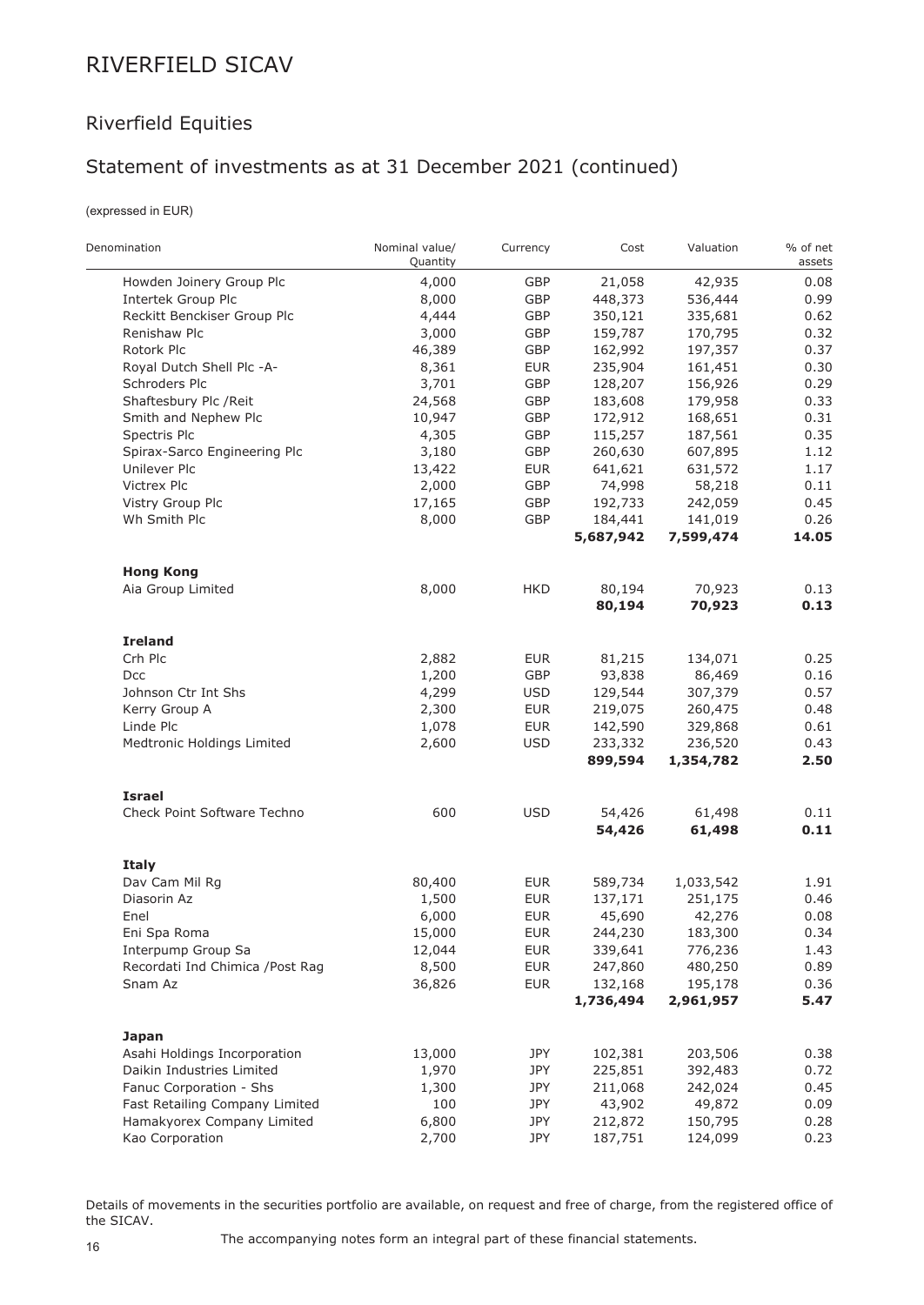## Riverfield Equities

## Statement of investments as at 31 December 2021 (continued)

(expressed in EUR)

| Denomination                     | Nominal value/<br>Quantity | Currency   | Cost      | Valuation | % of net<br>assets |
|----------------------------------|----------------------------|------------|-----------|-----------|--------------------|
| Howden Joinery Group Plc         | 4,000                      | GBP        | 21,058    | 42,935    | 0.08               |
| Intertek Group Plc               | 8,000                      | GBP        | 448,373   | 536,444   | 0.99               |
| Reckitt Benckiser Group Plc      | 4,444                      | GBP        | 350,121   | 335,681   | 0.62               |
| Renishaw Plc                     | 3,000                      | GBP        | 159,787   | 170,795   | 0.32               |
| Rotork Plc                       | 46,389                     | GBP        | 162,992   | 197,357   | 0.37               |
| Royal Dutch Shell Plc -A-        | 8,361                      | <b>EUR</b> | 235,904   | 161,451   | 0.30               |
| Schroders Plc                    | 3,701                      | GBP        | 128,207   | 156,926   | 0.29               |
| Shaftesbury Plc / Reit           | 24,568                     | GBP        | 183,608   | 179,958   | 0.33               |
| Smith and Nephew Plc             | 10,947                     | GBP        | 172,912   | 168,651   | 0.31               |
| Spectris Plc                     | 4,305                      | GBP        | 115,257   | 187,561   | 0.35               |
| Spirax-Sarco Engineering Plc     | 3,180                      | GBP        | 260,630   | 607,895   | 1.12               |
| Unilever Plc                     | 13,422                     | <b>EUR</b> | 641,621   | 631,572   | 1.17               |
| <b>Victrex Plc</b>               | 2,000                      | GBP        | 74,998    | 58,218    | 0.11               |
| Vistry Group Plc                 | 17,165                     | GBP        | 192,733   | 242,059   | 0.45               |
| Wh Smith Plc                     | 8,000                      | GBP        | 184,441   | 141,019   | 0.26               |
|                                  |                            |            | 5,687,942 | 7,599,474 | 14.05              |
| <b>Hong Kong</b>                 |                            |            |           |           |                    |
| Aia Group Limited                | 8,000                      | HKD        | 80,194    | 70,923    | 0.13               |
|                                  |                            |            | 80,194    | 70,923    | 0.13               |
| <b>Ireland</b>                   |                            |            |           |           |                    |
| Crh Plc                          | 2,882                      | <b>EUR</b> | 81,215    | 134,071   | 0.25               |
| Dcc                              | 1,200                      | GBP        | 93,838    | 86,469    | 0.16               |
| Johnson Ctr Int Shs              | 4,299                      | <b>USD</b> | 129,544   | 307,379   | 0.57               |
| Kerry Group A                    | 2,300                      | <b>EUR</b> | 219,075   | 260,475   | 0.48               |
| Linde Plc                        | 1,078                      | <b>EUR</b> | 142,590   | 329,868   | 0.61               |
| Medtronic Holdings Limited       | 2,600                      | <b>USD</b> | 233,332   | 236,520   | 0.43               |
|                                  |                            |            | 899,594   | 1,354,782 | 2.50               |
| <b>Israel</b>                    |                            |            |           |           |                    |
| Check Point Software Techno      | 600                        | <b>USD</b> | 54,426    | 61,498    | 0.11               |
|                                  |                            |            | 54,426    | 61,498    | 0.11               |
| <b>Italy</b>                     |                            |            |           |           |                    |
| Dav Cam Mil Rg                   | 80,400                     | <b>EUR</b> | 589,734   | 1,033,542 | 1.91               |
| Diasorin Az                      | 1,500                      | <b>EUR</b> | 137,171   | 251,175   | 0.46               |
| Enel                             | 6,000                      | <b>EUR</b> | 45,690    | 42,276    | 0.08               |
| Eni Spa Roma                     | 15,000                     | <b>EUR</b> | 244,230   | 183,300   | 0.34               |
| Interpump Group Sa               | 12,044                     | <b>EUR</b> | 339,641   | 776,236   | 1.43               |
| Recordati Ind Chimica / Post Rag | 8,500                      | <b>EUR</b> | 247,860   | 480,250   | 0.89               |
| Snam Az                          | 36,826                     | <b>EUR</b> | 132,168   | 195,178   | 0.36               |
|                                  |                            |            | 1,736,494 | 2,961,957 | 5.47               |
| Japan                            |                            |            |           |           |                    |
| Asahi Holdings Incorporation     | 13,000                     | JPY        | 102,381   | 203,506   | 0.38               |
| Daikin Industries Limited        | 1,970                      | JPY        | 225,851   | 392,483   | 0.72               |
| Fanuc Corporation - Shs          | 1,300                      | JPY        | 211,068   | 242,024   | 0.45               |
| Fast Retailing Company Limited   | 100                        | JPY        | 43,902    | 49,872    | 0.09               |
| Hamakyorex Company Limited       | 6,800                      | JPY        | 212,872   | 150,795   | 0.28               |
| Kao Corporation                  | 2,700                      | <b>JPY</b> | 187,751   | 124,099   | 0.23               |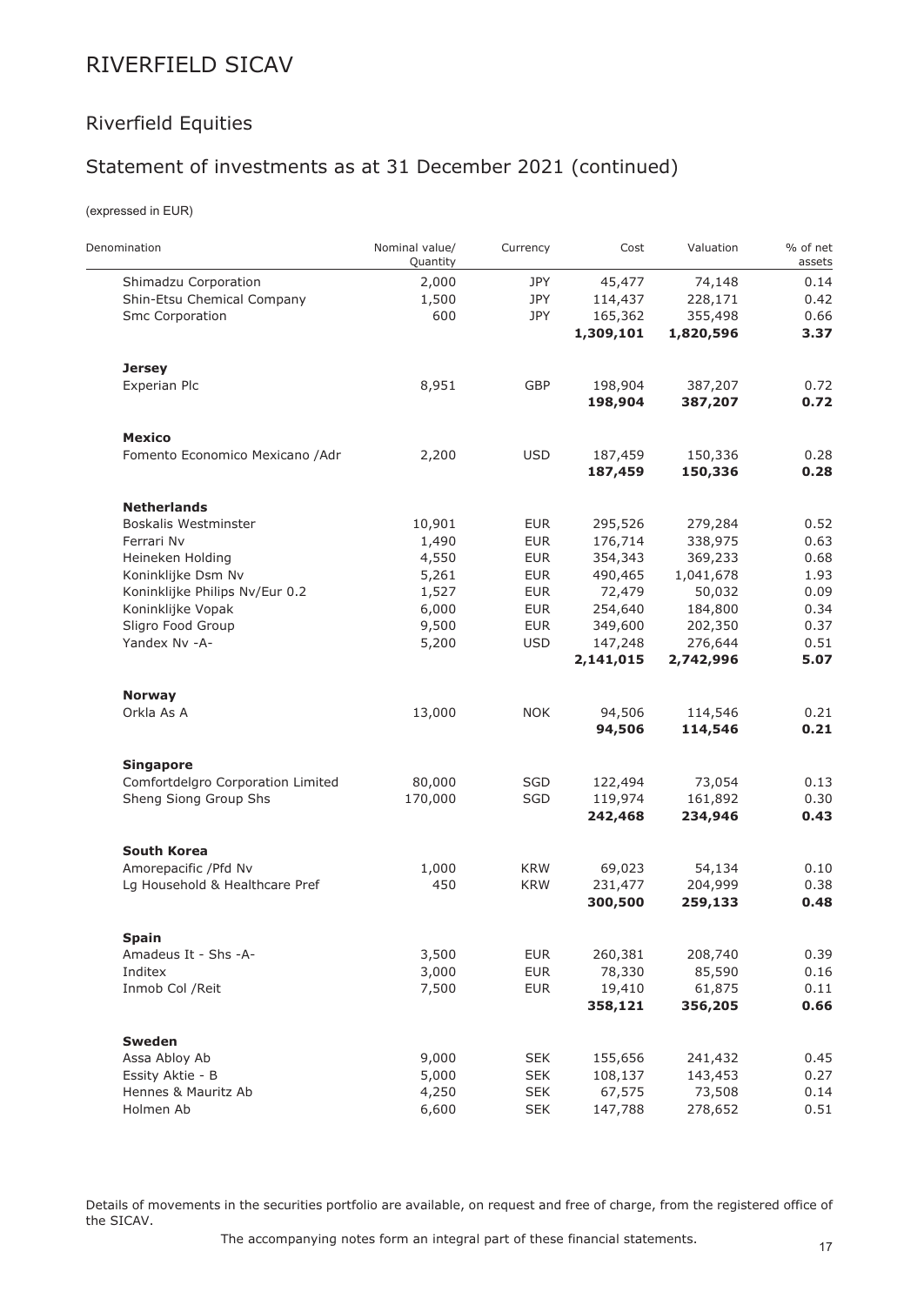## Riverfield Equities

## Statement of investments as at 31 December 2021 (continued)

(expressed in EUR)

| Denomination                      | Nominal value/<br>Quantity | Currency   | Cost      | Valuation | % of net<br>assets |
|-----------------------------------|----------------------------|------------|-----------|-----------|--------------------|
| Shimadzu Corporation              | 2,000                      | JPY        | 45,477    | 74,148    | 0.14               |
| Shin-Etsu Chemical Company        | 1,500                      | <b>JPY</b> | 114,437   | 228,171   | 0.42               |
| Smc Corporation                   | 600                        | <b>JPY</b> | 165,362   | 355,498   | 0.66               |
|                                   |                            |            | 1,309,101 | 1,820,596 | 3.37               |
| <b>Jersey</b>                     |                            |            |           |           |                    |
| Experian Plc                      | 8,951                      | GBP        | 198,904   | 387,207   | 0.72               |
|                                   |                            |            | 198,904   | 387,207   | 0.72               |
| <b>Mexico</b>                     |                            |            |           |           |                    |
| Fomento Economico Mexicano /Adr   | 2,200                      | <b>USD</b> | 187,459   | 150,336   | 0.28               |
|                                   |                            |            | 187,459   | 150,336   | 0.28               |
| <b>Netherlands</b>                |                            |            |           |           |                    |
| Boskalis Westminster              | 10,901                     | <b>EUR</b> | 295,526   | 279,284   | 0.52               |
| Ferrari Nv                        | 1,490                      | <b>EUR</b> | 176,714   | 338,975   | 0.63               |
| Heineken Holding                  | 4,550                      | <b>EUR</b> | 354,343   | 369,233   | 0.68               |
| Koninklijke Dsm Nv                | 5,261                      | <b>EUR</b> | 490,465   | 1,041,678 | 1.93               |
| Koninklijke Philips Nv/Eur 0.2    | 1,527                      | <b>EUR</b> | 72,479    | 50,032    | 0.09               |
| Koninklijke Vopak                 | 6,000                      | <b>EUR</b> | 254,640   | 184,800   | 0.34               |
| Sligro Food Group                 | 9,500                      | <b>EUR</b> | 349,600   | 202,350   | 0.37               |
| Yandex Nv -A-                     | 5,200                      | <b>USD</b> | 147,248   | 276,644   | 0.51               |
|                                   |                            |            | 2,141,015 | 2,742,996 | 5.07               |
| <b>Norway</b>                     |                            |            |           |           |                    |
| Orkla As A                        | 13,000                     | <b>NOK</b> | 94,506    | 114,546   | 0.21               |
|                                   |                            |            | 94,506    | 114,546   | 0.21               |
| <b>Singapore</b>                  |                            |            |           |           |                    |
| Comfortdelgro Corporation Limited | 80,000                     | SGD        | 122,494   | 73,054    | 0.13               |
| Sheng Siong Group Shs             | 170,000                    | SGD        | 119,974   | 161,892   | 0.30               |
|                                   |                            |            | 242,468   | 234,946   | 0.43               |
| <b>South Korea</b>                |                            |            |           |           |                    |
| Amorepacific / Pfd Nv             | 1,000                      | <b>KRW</b> | 69,023    | 54,134    | 0.10               |
| Lg Household & Healthcare Pref    | 450                        | <b>KRW</b> | 231,477   | 204,999   | 0.38               |
|                                   |                            |            | 300,500   | 259,133   | 0.48               |
| <b>Spain</b>                      |                            |            |           |           |                    |
| Amadeus It - Shs -A-              | 3,500                      | <b>EUR</b> | 260,381   | 208,740   | 0.39               |
| Inditex                           | 3,000                      | <b>EUR</b> | 78,330    | 85,590    | 0.16               |
| Inmob Col / Reit                  | 7,500                      | <b>EUR</b> | 19,410    | 61,875    | 0.11               |
|                                   |                            |            | 358,121   | 356,205   | 0.66               |
| <b>Sweden</b>                     |                            |            |           |           |                    |
| Assa Abloy Ab                     | 9,000                      | <b>SEK</b> | 155,656   | 241,432   | 0.45               |
| Essity Aktie - B                  | 5,000                      | <b>SEK</b> | 108,137   | 143,453   | 0.27               |
| Hennes & Mauritz Ab               | 4,250                      | <b>SEK</b> | 67,575    | 73,508    | 0.14               |
| Holmen Ab                         | 6,600                      | <b>SEK</b> | 147,788   | 278,652   | 0.51               |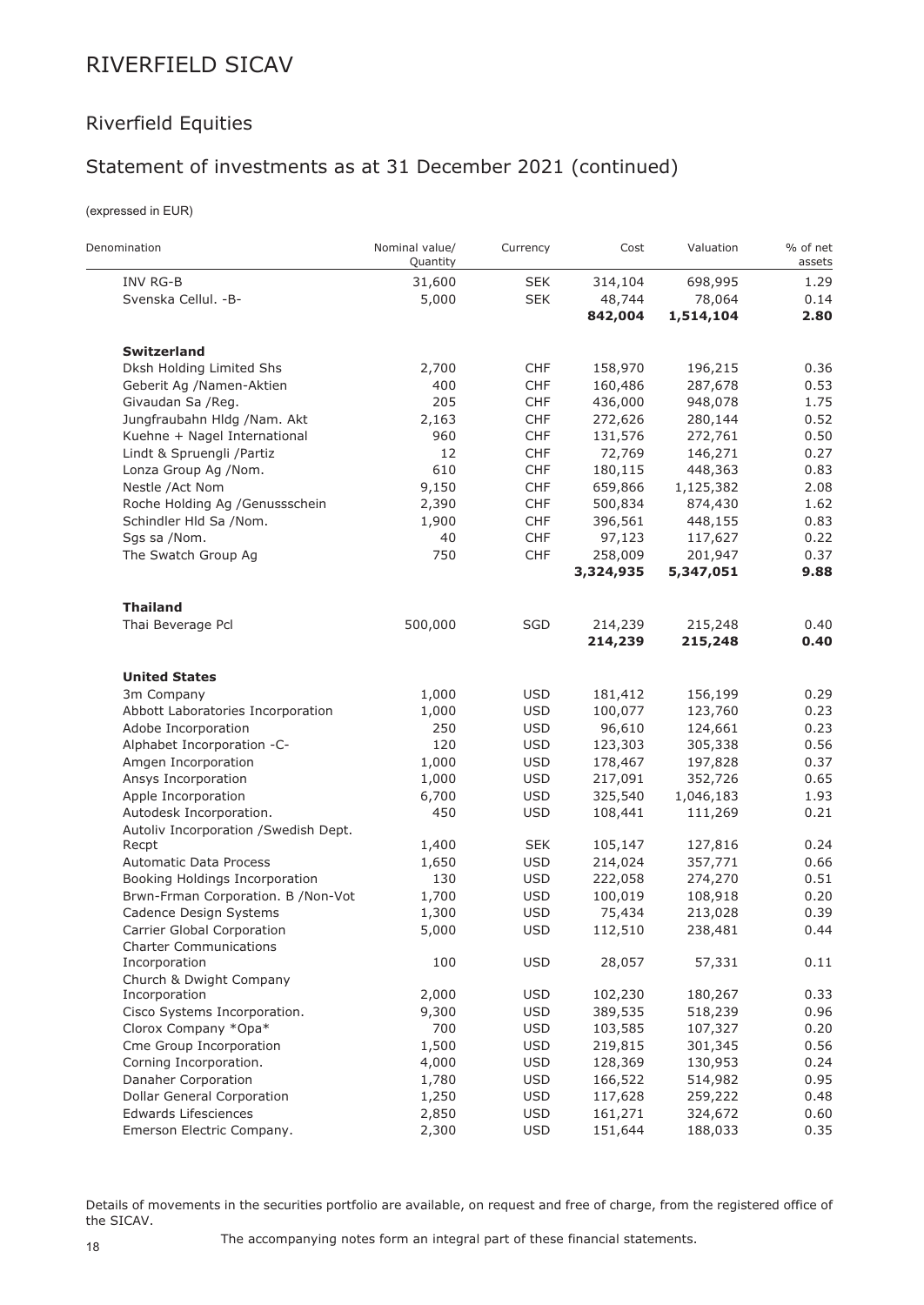## Riverfield Equities

## Statement of investments as at 31 December 2021 (continued)

(expressed in EUR)

 $\frac{1}{1}$ 

| Denomination                          | Nominal value/<br>Quantity | Currency   | Cost      | Valuation | % of net<br>assets |
|---------------------------------------|----------------------------|------------|-----------|-----------|--------------------|
| INV RG-B                              | 31,600                     | <b>SEK</b> | 314,104   | 698,995   | 1.29               |
| Svenska Cellul. - B-                  | 5,000                      | <b>SEK</b> | 48,744    | 78,064    | 0.14               |
|                                       |                            |            | 842,004   | 1,514,104 | 2.80               |
| <b>Switzerland</b>                    |                            |            |           |           |                    |
| Dksh Holding Limited Shs              | 2,700                      | <b>CHF</b> | 158,970   | 196,215   | 0.36               |
| Geberit Ag /Namen-Aktien              | 400                        | <b>CHF</b> | 160,486   | 287,678   | 0.53               |
| Givaudan Sa /Reg.                     | 205                        | <b>CHF</b> | 436,000   | 948,078   | 1.75               |
| Jungfraubahn Hldg /Nam. Akt           | 2,163                      | <b>CHF</b> | 272,626   | 280,144   | 0.52               |
| Kuehne + Nagel International          | 960                        | <b>CHF</b> | 131,576   | 272,761   | 0.50               |
| Lindt & Spruengli /Partiz             | 12                         | <b>CHF</b> | 72,769    | 146,271   | 0.27               |
| Lonza Group Ag /Nom.                  | 610                        | <b>CHF</b> | 180,115   | 448,363   | 0.83               |
| Nestle /Act Nom                       | 9,150                      | <b>CHF</b> | 659,866   | 1,125,382 | 2.08               |
| Roche Holding Ag /Genussschein        | 2,390                      | <b>CHF</b> | 500,834   | 874,430   | 1.62               |
| Schindler Hld Sa /Nom.                | 1,900                      | <b>CHF</b> | 396,561   | 448,155   | 0.83               |
| Sgs sa /Nom.                          | 40                         | <b>CHF</b> | 97,123    | 117,627   | 0.22               |
| The Swatch Group Ag                   | 750                        | CHF        | 258,009   | 201,947   | 0.37               |
|                                       |                            |            | 3,324,935 | 5,347,051 | 9.88               |
| <b>Thailand</b>                       |                            |            |           |           |                    |
| Thai Beverage Pcl                     | 500,000                    | SGD        | 214,239   | 215,248   | 0.40               |
|                                       |                            |            | 214,239   | 215,248   | 0.40               |
| <b>United States</b>                  |                            |            |           |           |                    |
| 3m Company                            | 1,000                      | <b>USD</b> | 181,412   | 156,199   | 0.29               |
| Abbott Laboratories Incorporation     | 1,000                      | <b>USD</b> | 100,077   | 123,760   | 0.23               |
| Adobe Incorporation                   | 250                        | <b>USD</b> | 96,610    | 124,661   | 0.23               |
| Alphabet Incorporation -C-            | 120                        | <b>USD</b> | 123,303   | 305,338   | 0.56               |
| Amgen Incorporation                   | 1,000                      | <b>USD</b> | 178,467   | 197,828   | 0.37               |
| Ansys Incorporation                   | 1,000                      | <b>USD</b> | 217,091   | 352,726   | 0.65               |
| Apple Incorporation                   | 6,700                      | <b>USD</b> | 325,540   | 1,046,183 | 1.93               |
| Autodesk Incorporation.               | 450                        | <b>USD</b> | 108,441   | 111,269   | 0.21               |
| Autoliv Incorporation / Swedish Dept. |                            |            |           |           |                    |
| Recpt                                 | 1,400                      | <b>SEK</b> | 105,147   | 127,816   | 0.24               |
| Automatic Data Process                | 1,650                      | <b>USD</b> | 214,024   | 357,771   | 0.66               |
| Booking Holdings Incorporation        | 130                        | <b>USD</b> | 222,058   | 274,270   | 0.51               |
| Brwn-Frman Corporation. B /Non-Vot    | 1,700                      | <b>USD</b> | 100,019   | 108,918   | 0.20               |
| Cadence Design Systems                | 1,300                      | <b>USD</b> | 75,434    | 213,028   | 0.39               |
| Carrier Global Corporation            | 5,000                      | <b>USD</b> | 112,510   | 238,481   | 0.44               |
| <b>Charter Communications</b>         |                            |            |           |           |                    |
| Incorporation                         | 100                        | <b>USD</b> | 28,057    | 57,331    | 0.11               |
| Church & Dwight Company               |                            |            |           |           |                    |
| Incorporation                         | 2,000                      | <b>USD</b> | 102,230   | 180,267   | 0.33               |
| Cisco Systems Incorporation.          | 9,300                      | <b>USD</b> | 389,535   | 518,239   | 0.96               |
| Clorox Company *Opa*                  | 700                        | <b>USD</b> | 103,585   | 107,327   | 0.20               |
| Cme Group Incorporation               | 1,500                      | <b>USD</b> | 219,815   | 301,345   | 0.56               |
| Corning Incorporation.                | 4,000                      | <b>USD</b> | 128,369   | 130,953   | 0.24               |
| Danaher Corporation                   | 1,780                      | <b>USD</b> | 166,522   | 514,982   | 0.95               |
| Dollar General Corporation            | 1,250                      | <b>USD</b> | 117,628   | 259,222   | 0.48               |
| Edwards Lifesciences                  | 2,850                      | <b>USD</b> | 161,271   | 324,672   | 0.60               |
| Emerson Electric Company.             | 2,300                      | <b>USD</b> | 151,644   | 188,033   | 0.35               |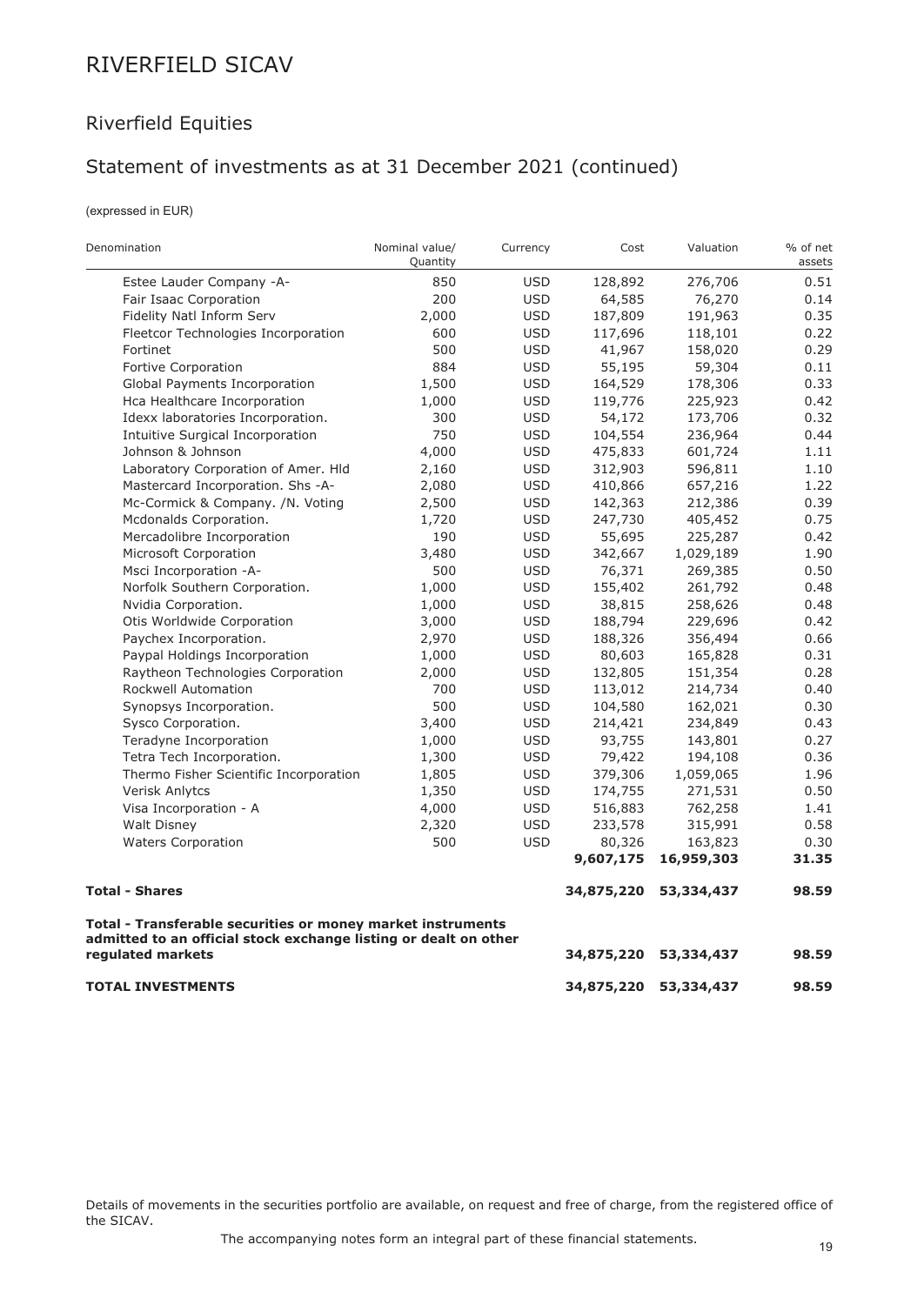## Riverfield Equities

### Statement of investments as at 31 December 2021 (continued)

(expressed in EUR)

| Denomination                                                                                                                    | Nominal value/<br>Quantity | Currency   | Cost       | Valuation  | % of net<br>assets |
|---------------------------------------------------------------------------------------------------------------------------------|----------------------------|------------|------------|------------|--------------------|
| Estee Lauder Company -A-                                                                                                        | 850                        | <b>USD</b> | 128,892    | 276,706    | 0.51               |
| Fair Isaac Corporation                                                                                                          | 200                        | <b>USD</b> | 64,585     | 76,270     | 0.14               |
| Fidelity Natl Inform Serv                                                                                                       | 2,000                      | <b>USD</b> | 187,809    | 191,963    | 0.35               |
| Fleetcor Technologies Incorporation                                                                                             | 600                        | <b>USD</b> | 117,696    | 118,101    | 0.22               |
| Fortinet                                                                                                                        | 500                        | <b>USD</b> | 41,967     | 158,020    | 0.29               |
| Fortive Corporation                                                                                                             | 884                        | <b>USD</b> | 55,195     | 59,304     | 0.11               |
| Global Payments Incorporation                                                                                                   | 1,500                      | <b>USD</b> | 164,529    | 178,306    | 0.33               |
| Hca Healthcare Incorporation                                                                                                    | 1,000                      | <b>USD</b> | 119,776    | 225,923    | 0.42               |
| Idexx laboratories Incorporation.                                                                                               | 300                        | <b>USD</b> | 54,172     | 173,706    | 0.32               |
| Intuitive Surgical Incorporation                                                                                                | 750                        | <b>USD</b> | 104,554    | 236,964    | 0.44               |
| Johnson & Johnson                                                                                                               | 4,000                      | <b>USD</b> | 475,833    | 601,724    | 1.11               |
| Laboratory Corporation of Amer. Hld                                                                                             | 2,160                      | <b>USD</b> | 312,903    | 596,811    | 1.10               |
| Mastercard Incorporation. Shs -A-                                                                                               | 2,080                      | <b>USD</b> | 410,866    | 657,216    | 1.22               |
| Mc-Cormick & Company. /N. Voting                                                                                                | 2,500                      | <b>USD</b> | 142,363    | 212,386    | 0.39               |
| Mcdonalds Corporation.                                                                                                          | 1,720                      | <b>USD</b> | 247,730    | 405,452    | 0.75               |
| Mercadolibre Incorporation                                                                                                      | 190                        | <b>USD</b> | 55,695     | 225,287    | 0.42               |
| Microsoft Corporation                                                                                                           | 3,480                      | <b>USD</b> | 342,667    | 1,029,189  | 1.90               |
| Msci Incorporation -A-                                                                                                          | 500                        | <b>USD</b> | 76,371     | 269,385    | 0.50               |
| Norfolk Southern Corporation.                                                                                                   | 1,000                      | <b>USD</b> | 155,402    | 261,792    | 0.48               |
| Nvidia Corporation.                                                                                                             | 1,000                      | <b>USD</b> | 38,815     | 258,626    | 0.48               |
| Otis Worldwide Corporation                                                                                                      | 3,000                      | <b>USD</b> | 188,794    | 229,696    | 0.42               |
| Paychex Incorporation.                                                                                                          | 2,970                      | <b>USD</b> | 188,326    | 356,494    | 0.66               |
| Paypal Holdings Incorporation                                                                                                   | 1,000                      | <b>USD</b> | 80,603     | 165,828    | 0.31               |
| Raytheon Technologies Corporation                                                                                               | 2,000                      | <b>USD</b> | 132,805    | 151,354    | 0.28               |
| Rockwell Automation                                                                                                             | 700                        | <b>USD</b> | 113,012    | 214,734    | 0.40               |
| Synopsys Incorporation.                                                                                                         | 500                        | <b>USD</b> | 104,580    | 162,021    | 0.30               |
| Sysco Corporation.                                                                                                              | 3,400                      | <b>USD</b> | 214,421    | 234,849    | 0.43               |
| Teradyne Incorporation                                                                                                          | 1,000                      | <b>USD</b> | 93,755     | 143,801    | 0.27               |
| Tetra Tech Incorporation.                                                                                                       | 1,300                      | <b>USD</b> | 79,422     | 194,108    | 0.36               |
| Thermo Fisher Scientific Incorporation                                                                                          | 1,805                      | <b>USD</b> | 379,306    | 1,059,065  | 1.96               |
| <b>Verisk Anlytcs</b>                                                                                                           | 1,350                      | <b>USD</b> | 174,755    | 271,531    | 0.50               |
| Visa Incorporation - A                                                                                                          | 4,000                      | <b>USD</b> | 516,883    | 762,258    | 1.41               |
| <b>Walt Disney</b>                                                                                                              | 2,320                      | <b>USD</b> | 233,578    | 315,991    | 0.58               |
| <b>Waters Corporation</b>                                                                                                       | 500                        | <b>USD</b> | 80,326     | 163,823    | 0.30               |
|                                                                                                                                 |                            |            | 9,607,175  | 16,959,303 | 31.35              |
| <b>Total - Shares</b>                                                                                                           |                            |            | 34,875,220 | 53,334,437 | 98.59              |
| Total - Transferable securities or money market instruments<br>admitted to an official stock exchange listing or dealt on other |                            |            |            |            |                    |
| regulated markets                                                                                                               |                            |            | 34,875,220 | 53,334,437 | 98.59              |
| <b>TOTAL INVESTMENTS</b>                                                                                                        |                            |            | 34,875,220 | 53,334,437 | 98.59              |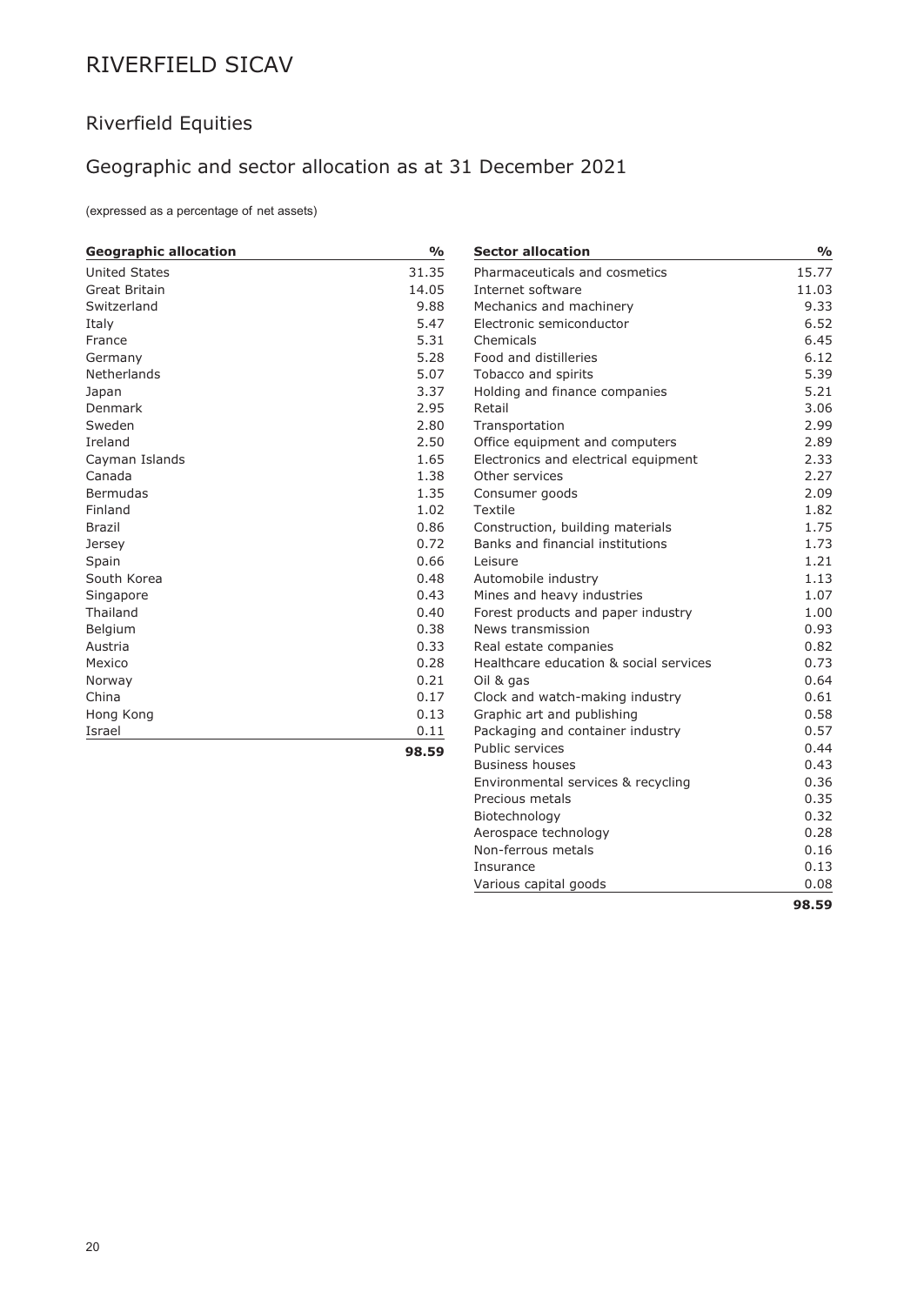## Riverfield Equities

# Geographic and sector allocation as at 31 December 2021

(expressed as a percentage of net assets)

| <b>Geographic allocation</b> | $\frac{0}{0}$ | <b>Sector allocation</b>               | $\frac{1}{2}$ |
|------------------------------|---------------|----------------------------------------|---------------|
| United States                | 31.35         | Pharmaceuticals and cosmetics          | 15.77         |
| Great Britain                | 14.05         | Internet software                      | 11.03         |
| Switzerland                  | 9.88          | Mechanics and machinery                | 9.33          |
| Italy                        | 5.47          | Electronic semiconductor               | 6.52          |
| France                       | 5.31          | Chemicals                              | 6.45          |
| Germany                      | 5.28          | Food and distilleries                  | 6.12          |
| Netherlands                  | 5.07          | Tobacco and spirits                    | 5.39          |
| Japan                        | 3.37          | Holding and finance companies          | 5.21          |
| Denmark                      | 2.95          | Retail                                 | 3.06          |
| Sweden                       | 2.80          | Transportation                         | 2.99          |
| Ireland                      | 2.50          | Office equipment and computers         | 2.89          |
| Cayman Islands               | 1.65          | Electronics and electrical equipment   | 2.33          |
| Canada                       | 1.38          | Other services                         | 2.27          |
| <b>Bermudas</b>              | 1.35          | Consumer goods                         | 2.09          |
| Finland                      | 1.02          | Textile                                | 1.82          |
| <b>Brazil</b>                | 0.86          | Construction, building materials       | 1.75          |
| Jersey                       | 0.72          | Banks and financial institutions       | 1.73          |
| Spain                        | 0.66          | Leisure                                | 1.21          |
| South Korea                  | 0.48          | Automobile industry                    | 1.13          |
| Singapore                    | 0.43          | Mines and heavy industries             | 1.07          |
| Thailand                     | 0.40          | Forest products and paper industry     | 1.00          |
| Belgium                      | 0.38          | News transmission                      | 0.93          |
| Austria                      | 0.33          | Real estate companies                  | 0.82          |
| Mexico                       | 0.28          | Healthcare education & social services | 0.73          |
| Norway                       | 0.21          | Oil & gas                              | 0.64          |
| China                        | 0.17          | Clock and watch-making industry        | 0.61          |
| Hong Kong                    | 0.13          | Graphic art and publishing             | 0.58          |
| Israel                       | 0.11          | Packaging and container industry       | 0.57          |
|                              | 98.59         | Public services                        | 0.44          |
|                              |               | <b>Business houses</b>                 | 0.43          |
|                              |               | Environmental services & recycling     | 0.36          |

Precious metals 0.35 Biotechnology 0.32 Aerospace technology and a metal of  $\sim 0.28$ Non-ferrous metals 0.16 Insurance 0.13 Various capital goods 0.08

**98.59**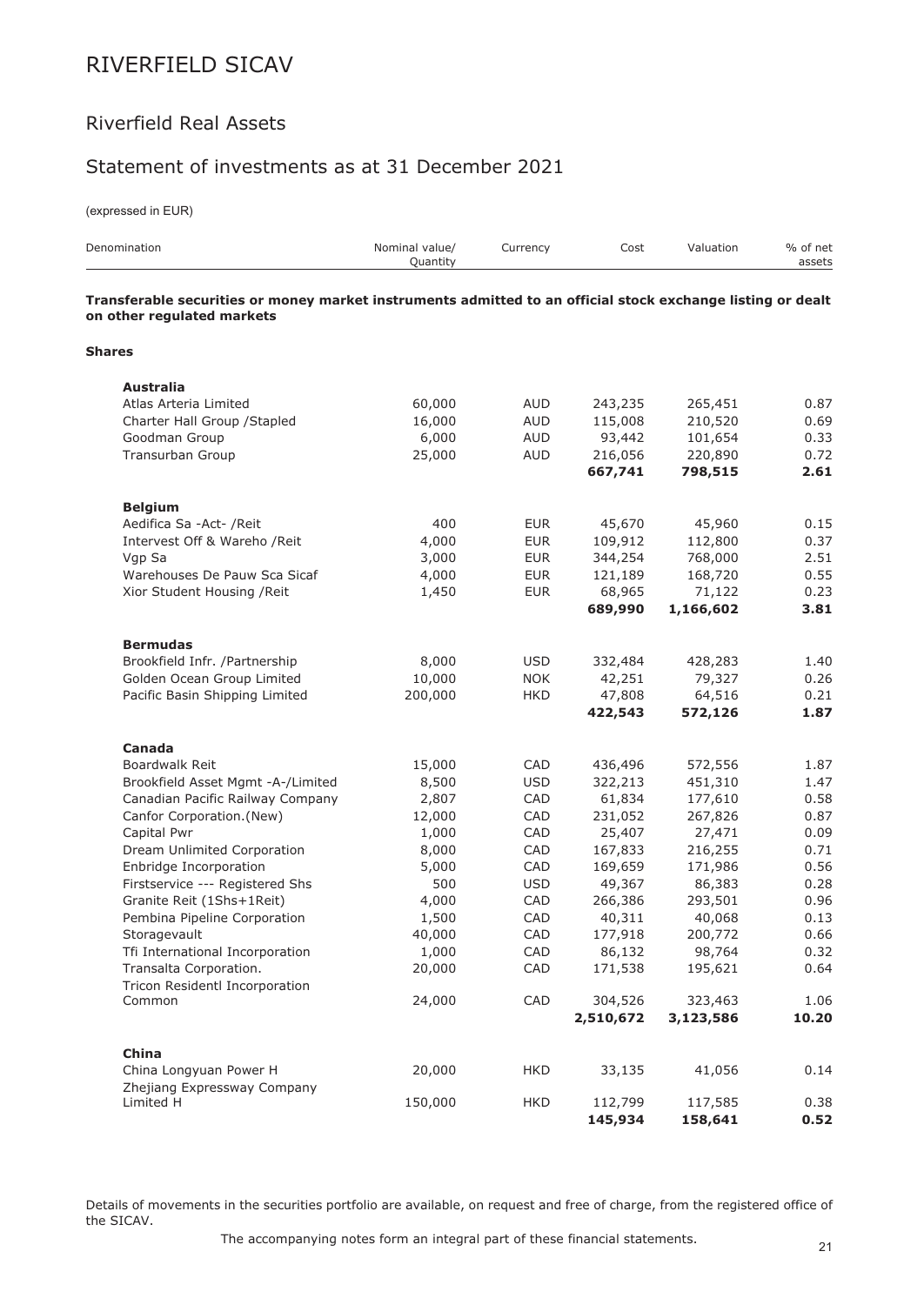### Riverfield Real Assets

### Statement of investments as at 31 December 2021

(expressed in EUR)

| Denomination                                                                                                                              | Nominal value/<br>Quantity | Currency   | Cost               | Valuation          | % of net<br>assets |
|-------------------------------------------------------------------------------------------------------------------------------------------|----------------------------|------------|--------------------|--------------------|--------------------|
| Transferable securities or money market instruments admitted to an official stock exchange listing or dealt<br>on other regulated markets |                            |            |                    |                    |                    |
| <b>Shares</b>                                                                                                                             |                            |            |                    |                    |                    |
| <b>Australia</b>                                                                                                                          |                            |            |                    |                    |                    |
| Atlas Arteria Limited                                                                                                                     | 60,000                     | AUD        | 243,235            | 265,451            | 0.87               |
| Charter Hall Group / Stapled                                                                                                              | 16,000                     | <b>AUD</b> | 115,008            | 210,520            | 0.69               |
| Goodman Group                                                                                                                             | 6,000                      | <b>AUD</b> | 93,442             | 101,654            | 0.33               |
| Transurban Group                                                                                                                          | 25,000                     | AUD        | 216,056            | 220,890            | 0.72               |
|                                                                                                                                           |                            |            | 667,741            | 798,515            | 2.61               |
| <b>Belgium</b>                                                                                                                            |                            |            |                    |                    |                    |
| Aedifica Sa -Act- /Reit                                                                                                                   | 400                        | <b>EUR</b> | 45,670             | 45,960             | 0.15               |
| Intervest Off & Wareho / Reit                                                                                                             | 4,000                      | <b>EUR</b> | 109,912            | 112,800            | 0.37               |
| Vgp Sa                                                                                                                                    | 3,000                      | <b>EUR</b> | 344,254            | 768,000            | 2.51               |
| Warehouses De Pauw Sca Sicaf                                                                                                              | 4,000                      | <b>EUR</b> | 121,189            | 168,720            | 0.55               |
| Xior Student Housing / Reit                                                                                                               | 1,450                      | <b>EUR</b> | 68,965             | 71,122             | 0.23               |
|                                                                                                                                           |                            |            | 689,990            | 1,166,602          | 3.81               |
| <b>Bermudas</b>                                                                                                                           |                            |            |                    |                    |                    |
| Brookfield Infr. /Partnership                                                                                                             | 8,000                      | <b>USD</b> | 332,484            | 428,283            | 1.40               |
| Golden Ocean Group Limited                                                                                                                | 10,000                     | <b>NOK</b> | 42,251             | 79,327             | 0.26               |
| Pacific Basin Shipping Limited                                                                                                            | 200,000                    | HKD        | 47,808             | 64,516             | 0.21               |
|                                                                                                                                           |                            |            | 422,543            | 572,126            | 1.87               |
| Canada                                                                                                                                    |                            |            |                    |                    |                    |
| Boardwalk Reit                                                                                                                            | 15,000                     | CAD        | 436,496            | 572,556            | 1.87               |
| Brookfield Asset Mgmt -A-/Limited                                                                                                         | 8,500                      | <b>USD</b> | 322,213            | 451,310            | 1.47               |
| Canadian Pacific Railway Company                                                                                                          | 2,807                      | CAD        | 61,834             | 177,610            | 0.58               |
| Canfor Corporation.(New)                                                                                                                  | 12,000                     | CAD        | 231,052            | 267,826            | 0.87               |
| Capital Pwr                                                                                                                               | 1,000                      | CAD        | 25,407             | 27,471             | 0.09               |
| Dream Unlimited Corporation                                                                                                               | 8,000                      | CAD        | 167,833            | 216,255            | 0.71               |
| Enbridge Incorporation                                                                                                                    | 5,000                      | CAD        | 169,659            | 171,986            | 0.56               |
| Firstservice --- Registered Shs                                                                                                           | 500                        | <b>USD</b> | 49,367             | 86,383             | 0.28               |
| Granite Reit (1Shs+1Reit)                                                                                                                 | 4,000                      | CAD        | 266,386            | 293,501            | 0.96               |
| Pembina Pipeline Corporation                                                                                                              | 1,500                      | CAD        | 40,311             | 40,068             | 0.13<br>0.66       |
| Storagevault<br>Tfi International Incorporation                                                                                           | 40,000                     | CAD        | 177,918            | 200,772            |                    |
| Transalta Corporation.                                                                                                                    | 1,000                      | CAD        | 86,132<br>171,538  | 98,764             | 0.32               |
| Tricon Residentl Incorporation                                                                                                            | 20,000                     | CAD        |                    | 195,621            | 0.64               |
| Common                                                                                                                                    | 24,000                     | CAD        | 304,526            | 323,463            | 1.06               |
|                                                                                                                                           |                            |            | 2,510,672          | 3,123,586          | 10.20              |
| China                                                                                                                                     |                            |            |                    |                    |                    |
| China Longyuan Power H                                                                                                                    | 20,000                     | <b>HKD</b> | 33,135             | 41,056             | 0.14               |
| Zhejiang Expressway Company                                                                                                               |                            |            |                    |                    |                    |
| Limited H                                                                                                                                 | 150,000                    | <b>HKD</b> | 112,799<br>145,934 | 117,585<br>158,641 | 0.38<br>0.52       |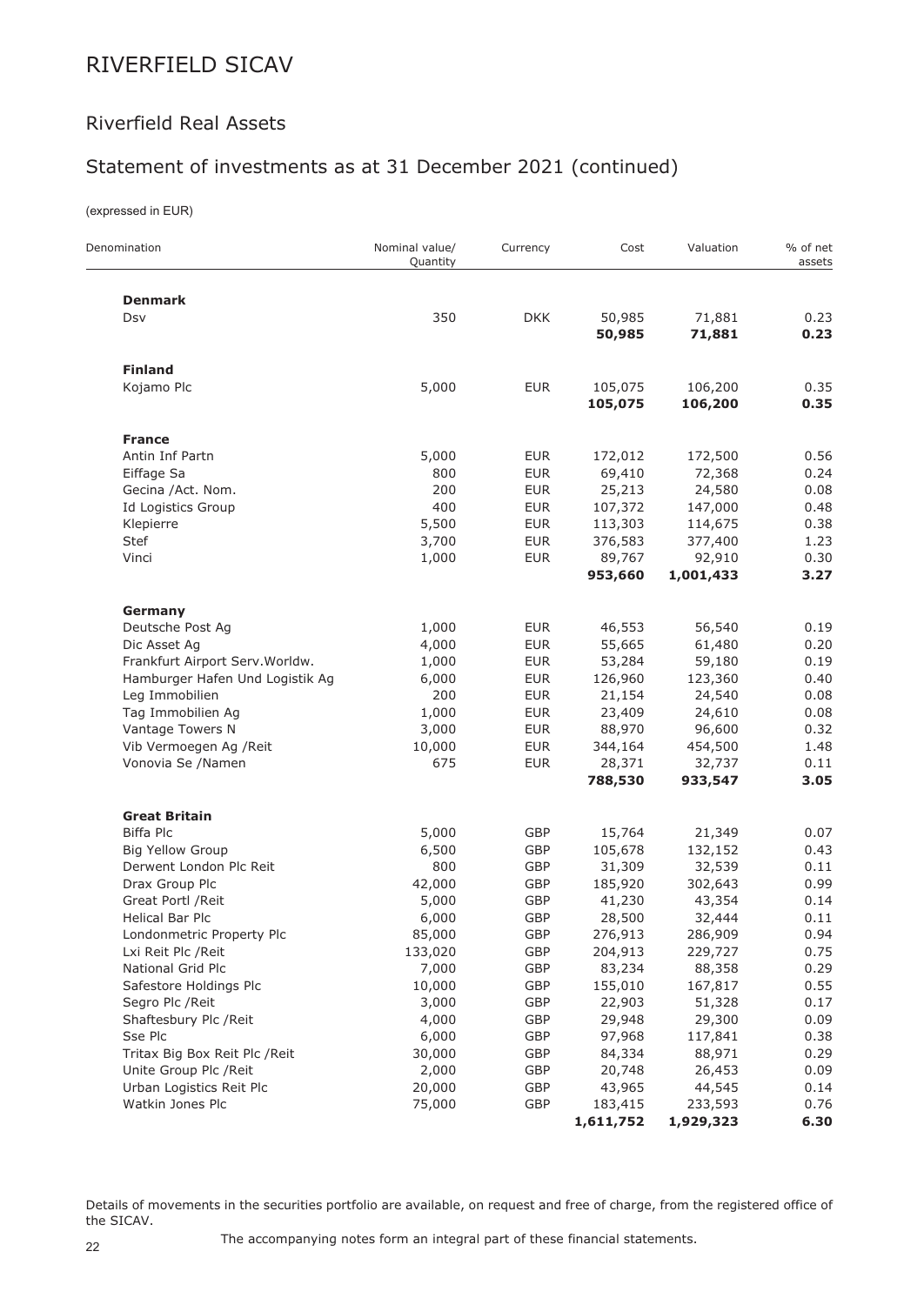## Riverfield Real Assets

## Statement of investments as at 31 December 2021 (continued)

(expressed in EUR)

 $\overline{a}$ 

| Denomination                    | Nominal value/<br>Quantity | Currency   | Cost             | Valuation        | % of net<br>assets |
|---------------------------------|----------------------------|------------|------------------|------------------|--------------------|
| <b>Denmark</b>                  |                            |            |                  |                  |                    |
| Dsv                             | 350                        | <b>DKK</b> | 50,985<br>50,985 | 71,881<br>71,881 | 0.23<br>0.23       |
|                                 |                            |            |                  |                  |                    |
| <b>Finland</b>                  |                            |            |                  |                  |                    |
| Kojamo Plc                      | 5,000                      | <b>EUR</b> | 105,075          | 106,200          | 0.35               |
|                                 |                            |            | 105,075          | 106,200          | 0.35               |
| <b>France</b>                   |                            |            |                  |                  |                    |
| Antin Inf Partn                 | 5,000                      | <b>EUR</b> | 172,012          | 172,500          | 0.56               |
| Eiffage Sa                      | 800                        | <b>EUR</b> | 69,410           | 72,368           | 0.24               |
| Gecina /Act. Nom.               | 200                        | <b>EUR</b> | 25,213           | 24,580           | 0.08               |
| Id Logistics Group              | 400                        | <b>EUR</b> | 107,372          | 147,000          | 0.48               |
| Klepierre                       | 5,500                      | <b>EUR</b> | 113,303          | 114,675          | 0.38               |
| Stef                            | 3,700                      | <b>EUR</b> | 376,583          | 377,400          | 1.23               |
| Vinci                           | 1,000                      | <b>EUR</b> | 89,767           | 92,910           | 0.30               |
|                                 |                            |            | 953,660          | 1,001,433        | 3.27               |
| Germany                         |                            |            |                  |                  |                    |
| Deutsche Post Ag                | 1,000                      | <b>EUR</b> | 46,553           | 56,540           | 0.19               |
| Dic Asset Ag                    | 4,000                      | <b>EUR</b> | 55,665           | 61,480           | 0.20               |
| Frankfurt Airport Serv. Worldw. | 1,000                      | <b>EUR</b> | 53,284           | 59,180           | 0.19               |
| Hamburger Hafen Und Logistik Ag | 6,000                      | <b>EUR</b> | 126,960          | 123,360          | 0.40               |
| Leg Immobilien                  | 200                        | <b>EUR</b> | 21,154           | 24,540           | 0.08               |
| Tag Immobilien Ag               | 1,000                      | <b>EUR</b> | 23,409           | 24,610           | 0.08               |
| Vantage Towers N                | 3,000                      | <b>EUR</b> | 88,970           | 96,600           | 0.32               |
| Vib Vermoegen Ag / Reit         | 10,000                     | <b>EUR</b> | 344,164          | 454,500          | 1.48               |
| Vonovia Se /Namen               | 675                        | <b>EUR</b> | 28,371           | 32,737           | 0.11               |
|                                 |                            |            | 788,530          | 933,547          | 3.05               |
| <b>Great Britain</b>            |                            |            |                  |                  |                    |
| Biffa Plc                       | 5,000                      | GBP        | 15,764           | 21,349           | 0.07               |
| <b>Big Yellow Group</b>         | 6,500                      | GBP        | 105,678          | 132,152          | 0.43               |
| Derwent London Plc Reit         | 800                        | GBP        | 31,309           | 32,539           | 0.11               |
| Drax Group Plc                  | 42,000                     | GBP        | 185,920          | 302,643          | 0.99               |
| Great Portl / Reit              | 5,000                      | <b>GBP</b> | 41,230           | 43,354           | 0.14               |
| <b>Helical Bar Plc</b>          | 6,000                      | GBP        | 28,500           | 32,444           | 0.11               |
| Londonmetric Property Plc       | 85,000                     | GBP        | 276,913          | 286,909          | 0.94               |
| Lxi Reit Plc / Reit             | 133,020                    | GBP        | 204,913          | 229,727          | 0.75               |
| National Grid Plc               | 7,000                      | GBP        | 83,234           | 88,358           | 0.29               |
| Safestore Holdings Plc          | 10,000                     | GBP        | 155,010          | 167,817          | 0.55               |
| Segro Plc / Reit                | 3,000                      | GBP        | 22,903           | 51,328           | 0.17               |
| Shaftesbury Plc /Reit           | 4,000                      | GBP        | 29,948           | 29,300           | 0.09               |
| Sse Plc                         | 6,000                      | GBP        | 97,968           | 117,841          | 0.38               |
| Tritax Big Box Reit Plc / Reit  | 30,000                     | GBP        | 84,334           | 88,971           | 0.29               |
| Unite Group Plc / Reit          | 2,000                      | GBP        | 20,748           | 26,453           | 0.09               |
| Urban Logistics Reit Plc        | 20,000                     | GBP        | 43,965           | 44,545           | 0.14               |
| Watkin Jones Plc                | 75,000                     | GBP        | 183,415          | 233,593          | 0.76               |
|                                 |                            |            | 1,611,752        | 1,929,323        | 6.30               |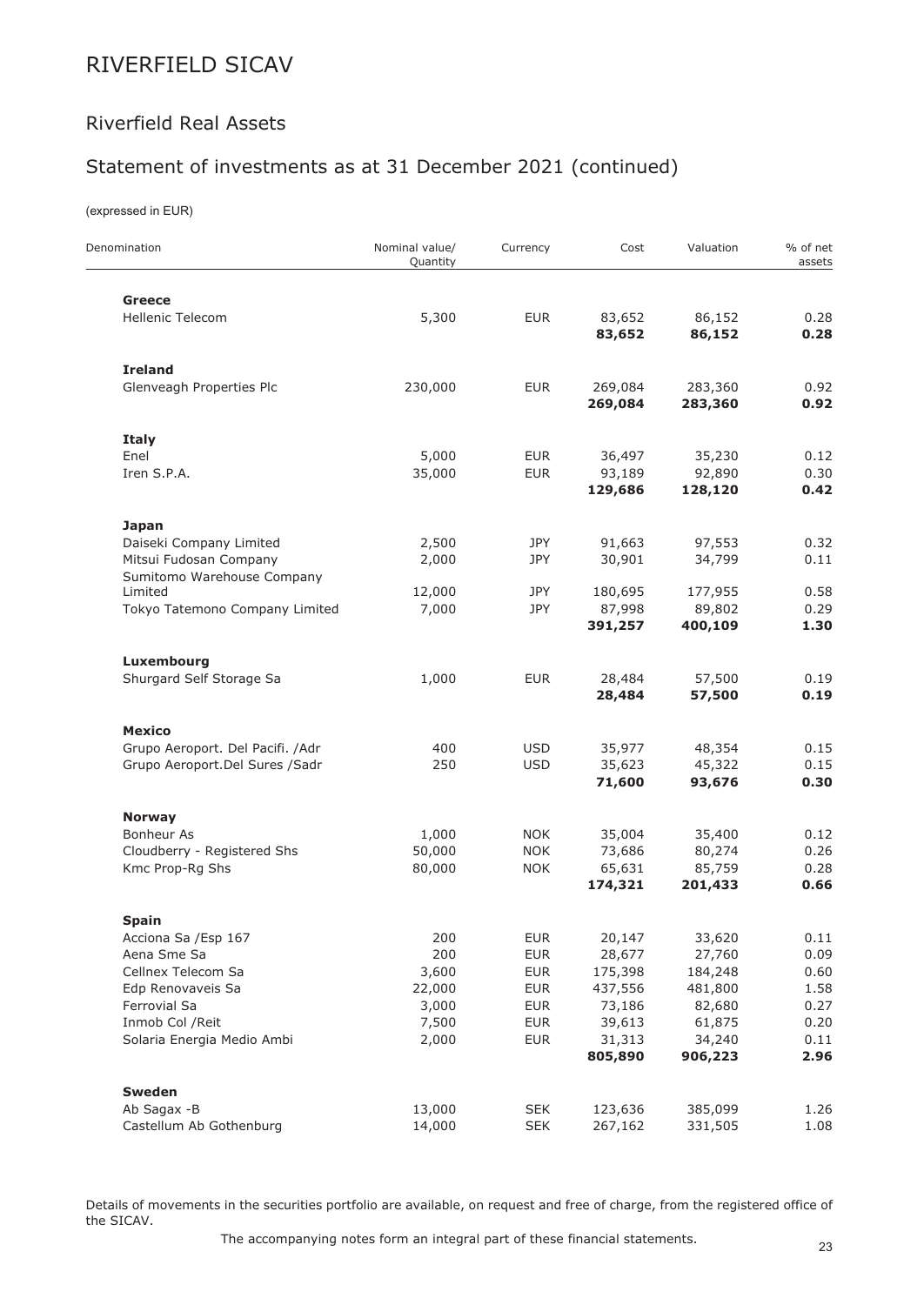## Riverfield Real Assets

## Statement of investments as at 31 December 2021 (continued)

(expressed in EUR)

| Denomination                                                                                                       | Nominal value/<br>Quantity                      | Currency                                                                         | Cost                                                       | Valuation                                                  | % of net<br>assets                           |
|--------------------------------------------------------------------------------------------------------------------|-------------------------------------------------|----------------------------------------------------------------------------------|------------------------------------------------------------|------------------------------------------------------------|----------------------------------------------|
| <b>Greece</b>                                                                                                      |                                                 |                                                                                  |                                                            |                                                            |                                              |
| <b>Hellenic Telecom</b>                                                                                            | 5,300                                           | <b>EUR</b>                                                                       | 83,652<br>83,652                                           | 86,152<br>86,152                                           | 0.28<br>0.28                                 |
| <b>Ireland</b>                                                                                                     |                                                 |                                                                                  |                                                            |                                                            |                                              |
| Glenveagh Properties Plc                                                                                           | 230,000                                         | <b>EUR</b>                                                                       | 269,084<br>269,084                                         | 283,360<br>283,360                                         | 0.92<br>0.92                                 |
| <b>Italy</b>                                                                                                       |                                                 |                                                                                  |                                                            |                                                            |                                              |
| Enel<br>Iren S.P.A.                                                                                                | 5,000<br>35,000                                 | <b>EUR</b><br><b>EUR</b>                                                         | 36,497<br>93,189<br>129,686                                | 35,230<br>92,890<br>128,120                                | 0.12<br>0.30<br>0.42                         |
| <b>Japan</b>                                                                                                       |                                                 |                                                                                  |                                                            |                                                            |                                              |
| Daiseki Company Limited<br>Mitsui Fudosan Company<br>Sumitomo Warehouse Company                                    | 2,500<br>2,000                                  | JPY<br>JPY                                                                       | 91,663<br>30,901                                           | 97,553<br>34,799                                           | 0.32<br>0.11                                 |
| Limited<br>Tokyo Tatemono Company Limited                                                                          | 12,000<br>7,000                                 | JPY<br>JPY                                                                       | 180,695<br>87,998<br>391,257                               | 177,955<br>89,802<br>400,109                               | 0.58<br>0.29<br>1.30                         |
| Luxembourg                                                                                                         |                                                 |                                                                                  |                                                            |                                                            |                                              |
| Shurgard Self Storage Sa                                                                                           | 1,000                                           | <b>EUR</b>                                                                       | 28,484<br>28,484                                           | 57,500<br>57,500                                           | 0.19<br>0.19                                 |
| <b>Mexico</b>                                                                                                      |                                                 |                                                                                  |                                                            |                                                            |                                              |
| Grupo Aeroport. Del Pacifi. /Adr<br>Grupo Aeroport.Del Sures /Sadr                                                 | 400<br>250                                      | <b>USD</b><br><b>USD</b>                                                         | 35,977<br>35,623<br>71,600                                 | 48,354<br>45,322<br>93,676                                 | 0.15<br>0.15<br>0.30                         |
| <b>Norway</b>                                                                                                      |                                                 |                                                                                  |                                                            |                                                            |                                              |
| <b>Bonheur As</b><br>Cloudberry - Registered Shs<br>Kmc Prop-Rg Shs                                                | 1,000<br>50,000<br>80,000                       | <b>NOK</b><br><b>NOK</b><br><b>NOK</b>                                           | 35,004<br>73,686<br>65,631<br>174,321                      | 35,400<br>80,274<br>85,759<br>201,433                      | 0.12<br>0.26<br>0.28<br>0.66                 |
| <b>Spain</b>                                                                                                       |                                                 |                                                                                  |                                                            |                                                            |                                              |
| Acciona Sa / Esp 167<br>Aena Sme Sa<br>Cellnex Telecom Sa<br>Edp Renovaveis Sa<br>Ferrovial Sa<br>Inmob Col / Reit | 200<br>200<br>3,600<br>22,000<br>3,000<br>7,500 | <b>EUR</b><br><b>EUR</b><br><b>EUR</b><br><b>EUR</b><br><b>EUR</b><br><b>EUR</b> | 20,147<br>28,677<br>175,398<br>437,556<br>73,186<br>39,613 | 33,620<br>27,760<br>184,248<br>481,800<br>82,680<br>61,875 | 0.11<br>0.09<br>0.60<br>1.58<br>0.27<br>0.20 |
| Solaria Energia Medio Ambi                                                                                         | 2,000                                           | <b>EUR</b>                                                                       | 31,313<br>805,890                                          | 34,240<br>906,223                                          | 0.11<br>2.96                                 |
| <b>Sweden</b><br>Ab Sagax -B<br>Castellum Ab Gothenburg                                                            | 13,000<br>14,000                                | <b>SEK</b><br><b>SEK</b>                                                         | 123,636<br>267,162                                         | 385,099<br>331,505                                         | 1.26<br>1.08                                 |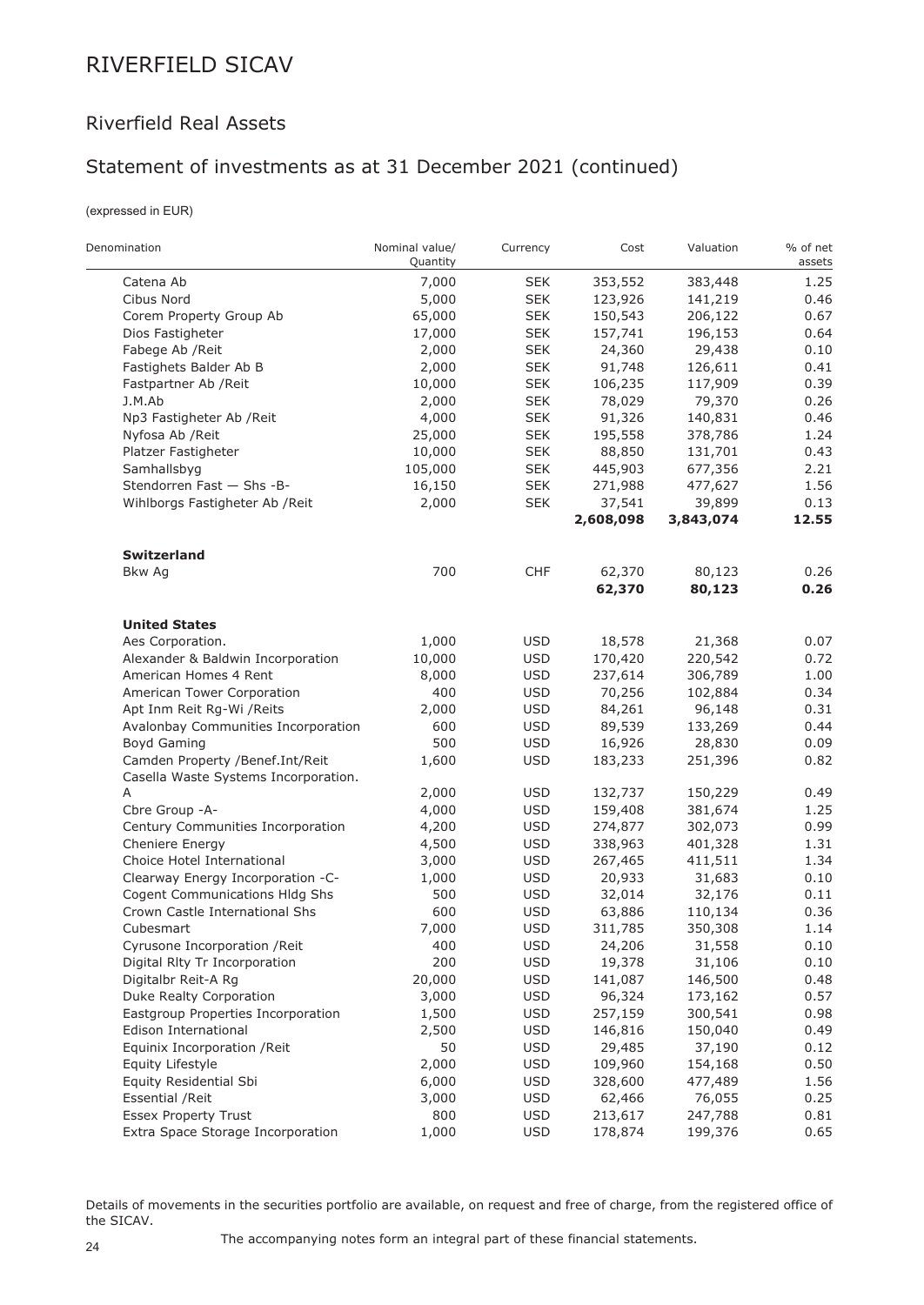## Riverfield Real Assets

## Statement of investments as at 31 December 2021 (continued)

(expressed in EUR)

| Denomination                         | Nominal value/<br>Quantity | Currency   | Cost      | Valuation | % of net<br>assets |
|--------------------------------------|----------------------------|------------|-----------|-----------|--------------------|
| Catena Ab                            | 7,000                      | <b>SEK</b> | 353,552   | 383,448   | 1.25               |
| Cibus Nord                           | 5,000                      | <b>SEK</b> | 123,926   | 141,219   | 0.46               |
| Corem Property Group Ab              | 65,000                     | <b>SEK</b> | 150,543   | 206,122   | 0.67               |
| Dios Fastigheter                     | 17,000                     | <b>SEK</b> | 157,741   | 196,153   | 0.64               |
| Fabege Ab / Reit                     | 2,000                      | <b>SEK</b> | 24,360    | 29,438    | 0.10               |
| Fastighets Balder Ab B               | 2,000                      | <b>SEK</b> | 91,748    | 126,611   | 0.41               |
| Fastpartner Ab / Reit                | 10,000                     | <b>SEK</b> | 106,235   | 117,909   | 0.39               |
| J.M.Ab                               | 2,000                      | <b>SEK</b> | 78,029    | 79,370    | 0.26               |
| Np3 Fastigheter Ab / Reit            | 4,000                      | <b>SEK</b> | 91,326    | 140,831   | 0.46               |
| Nyfosa Ab / Reit                     | 25,000                     | <b>SEK</b> | 195,558   | 378,786   | 1.24               |
| Platzer Fastigheter                  | 10,000                     | <b>SEK</b> | 88,850    | 131,701   | 0.43               |
| Samhallsbyg                          | 105,000                    | <b>SEK</b> | 445,903   | 677,356   | 2.21               |
| Stendorren Fast - Shs - B-           | 16,150                     | <b>SEK</b> | 271,988   | 477,627   | 1.56               |
| Wihlborgs Fastigheter Ab / Reit      | 2,000                      | <b>SEK</b> | 37,541    | 39,899    | 0.13               |
|                                      |                            |            | 2,608,098 | 3,843,074 | 12.55              |
| <b>Switzerland</b>                   |                            |            |           |           |                    |
| Bkw Ag                               | 700                        | <b>CHF</b> | 62,370    | 80,123    | 0.26               |
|                                      |                            |            | 62,370    | 80,123    | 0.26               |
| <b>United States</b>                 |                            |            |           |           |                    |
| Aes Corporation.                     | 1,000                      | <b>USD</b> | 18,578    | 21,368    | 0.07               |
| Alexander & Baldwin Incorporation    | 10,000                     | <b>USD</b> | 170,420   | 220,542   | 0.72               |
| American Homes 4 Rent                | 8,000                      | <b>USD</b> | 237,614   | 306,789   | 1.00               |
| American Tower Corporation           | 400                        | <b>USD</b> | 70,256    | 102,884   | 0.34               |
| Apt Inm Reit Rg-Wi /Reits            | 2,000                      | <b>USD</b> | 84,261    | 96,148    | 0.31               |
| Avalonbay Communities Incorporation  | 600                        | <b>USD</b> | 89,539    | 133,269   | 0.44               |
| Boyd Gaming                          | 500                        | <b>USD</b> | 16,926    | 28,830    | 0.09               |
| Camden Property /Benef.Int/Reit      | 1,600                      | <b>USD</b> | 183,233   | 251,396   | 0.82               |
| Casella Waste Systems Incorporation. |                            |            |           |           |                    |
| Α                                    | 2,000                      | <b>USD</b> | 132,737   | 150,229   | 0.49               |
| Cbre Group -A-                       | 4,000                      | <b>USD</b> | 159,408   | 381,674   | 1.25               |
| Century Communities Incorporation    | 4,200                      | <b>USD</b> | 274,877   | 302,073   | 0.99               |
| Cheniere Energy                      | 4,500                      | <b>USD</b> | 338,963   | 401,328   | 1.31               |
| Choice Hotel International           | 3,000                      | <b>USD</b> | 267,465   | 411,511   | 1.34               |
| Clearway Energy Incorporation -C-    | 1,000                      | <b>USD</b> | 20,933    | 31,683    | 0.10               |
| Cogent Communications Hldg Shs       | 500                        | <b>USD</b> | 32,014    | 32,176    | 0.11               |
| Crown Castle International Shs       | 600                        | <b>USD</b> | 63,886    | 110,134   | 0.36               |
| Cubesmart                            | 7,000                      | <b>USD</b> | 311,785   | 350,308   | 1.14               |
| Cyrusone Incorporation / Reit        | 400                        | <b>USD</b> | 24,206    | 31,558    | 0.10               |
| Digital Rlty Tr Incorporation        | 200                        | <b>USD</b> | 19,378    | 31,106    | 0.10               |
| Digitalbr Reit-A Rg                  | 20,000                     | <b>USD</b> | 141,087   | 146,500   | 0.48               |
| Duke Realty Corporation              | 3,000                      | <b>USD</b> | 96,324    | 173,162   | 0.57               |
| Eastgroup Properties Incorporation   | 1,500                      | <b>USD</b> | 257,159   | 300,541   | 0.98               |
| Edison International                 | 2,500                      | <b>USD</b> | 146,816   | 150,040   | 0.49               |
| Equinix Incorporation / Reit         | 50                         | <b>USD</b> | 29,485    | 37,190    | 0.12               |
| Equity Lifestyle                     | 2,000                      | <b>USD</b> | 109,960   | 154,168   | 0.50               |
| Equity Residential Sbi               | 6,000                      | <b>USD</b> | 328,600   | 477,489   | 1.56               |
| <b>Essential / Reit</b>              | 3,000                      | <b>USD</b> | 62,466    | 76,055    | 0.25               |
| <b>Essex Property Trust</b>          | 800                        | <b>USD</b> | 213,617   | 247,788   | 0.81               |
| Extra Space Storage Incorporation    | 1,000                      | <b>USD</b> | 178,874   | 199,376   | 0.65               |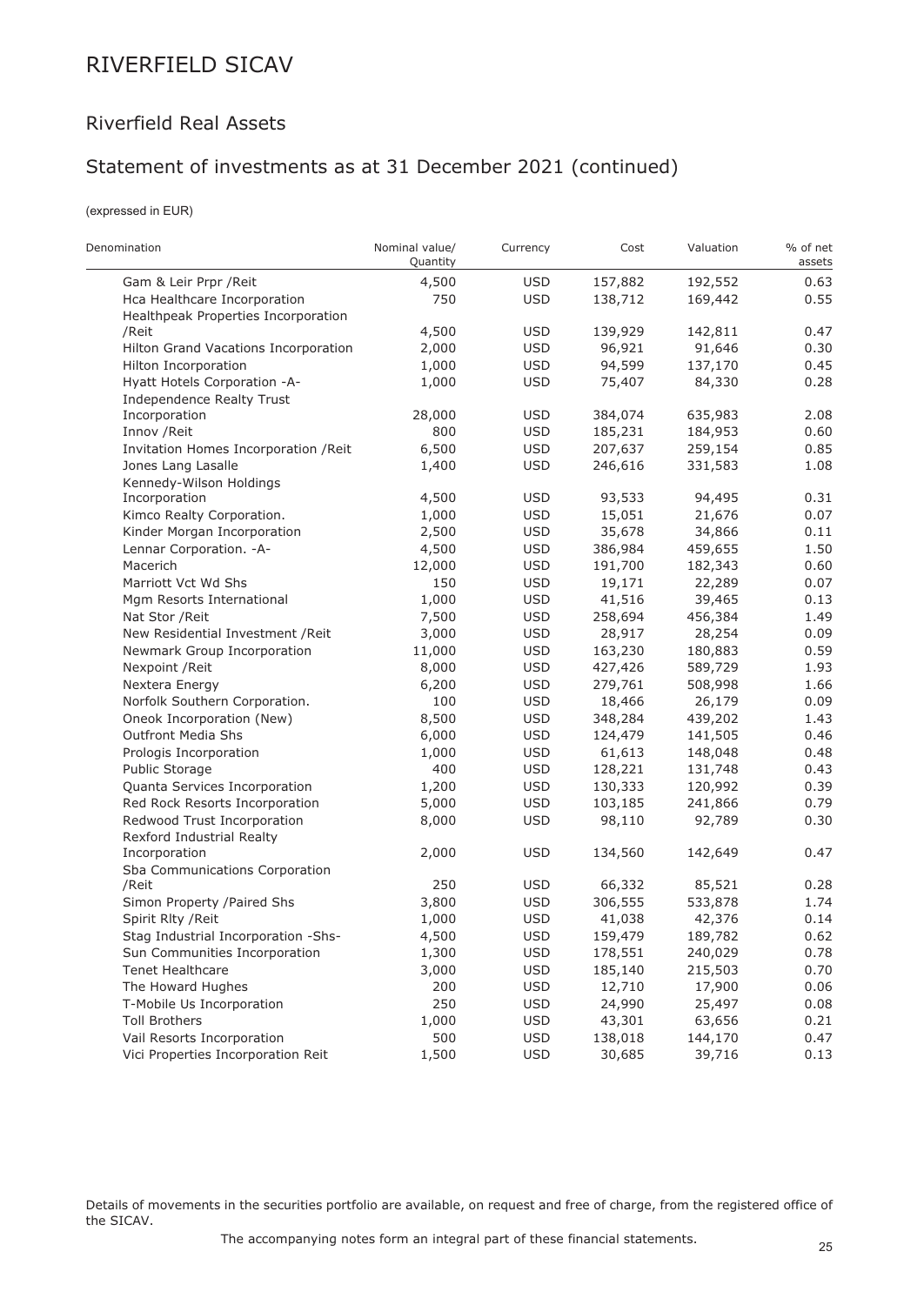### Riverfield Real Assets

## Statement of investments as at 31 December 2021 (continued)

(expressed in EUR)

 $\overline{a}$ 

| Denomination                          | Nominal value/<br>Quantity | Currency   | Cost    | Valuation | % of net<br>assets |
|---------------------------------------|----------------------------|------------|---------|-----------|--------------------|
| Gam & Leir Prpr / Reit                | 4,500                      | <b>USD</b> | 157,882 | 192,552   | 0.63               |
| Hca Healthcare Incorporation          | 750                        | <b>USD</b> | 138,712 | 169,442   | 0.55               |
| Healthpeak Properties Incorporation   |                            |            |         |           |                    |
| /Reit                                 | 4,500                      | <b>USD</b> | 139,929 | 142,811   | 0.47               |
| Hilton Grand Vacations Incorporation  | 2,000                      | <b>USD</b> | 96,921  | 91,646    | 0.30               |
| Hilton Incorporation                  | 1,000                      | <b>USD</b> | 94,599  | 137,170   | 0.45               |
| Hyatt Hotels Corporation -A-          | 1,000                      | <b>USD</b> | 75,407  | 84,330    | 0.28               |
| Independence Realty Trust             |                            |            |         |           |                    |
| Incorporation                         | 28,000                     | <b>USD</b> | 384,074 | 635,983   | 2.08               |
| Innov / Reit                          | 800                        | <b>USD</b> | 185,231 | 184,953   | 0.60               |
| Invitation Homes Incorporation / Reit | 6,500                      | <b>USD</b> | 207,637 | 259,154   | 0.85               |
| Jones Lang Lasalle                    | 1,400                      | <b>USD</b> | 246,616 | 331,583   | 1.08               |
| Kennedy-Wilson Holdings               |                            |            |         |           |                    |
| Incorporation                         | 4,500                      | <b>USD</b> | 93,533  | 94,495    | 0.31               |
| Kimco Realty Corporation.             | 1,000                      | <b>USD</b> | 15,051  | 21,676    | 0.07               |
| Kinder Morgan Incorporation           | 2,500                      | <b>USD</b> | 35,678  | 34,866    | 0.11               |
| Lennar Corporation. - A-              | 4,500                      | <b>USD</b> | 386,984 | 459,655   | 1.50               |
| Macerich                              | 12,000                     | <b>USD</b> | 191,700 | 182,343   | 0.60               |
| Marriott Vct Wd Shs                   | 150                        | <b>USD</b> | 19,171  | 22,289    | 0.07               |
| Mgm Resorts International             | 1,000                      | <b>USD</b> | 41,516  | 39,465    | 0.13               |
| Nat Stor / Reit                       | 7,500                      | <b>USD</b> | 258,694 | 456,384   | 1.49               |
| New Residential Investment / Reit     | 3,000                      | <b>USD</b> | 28,917  | 28,254    | 0.09               |
| Newmark Group Incorporation           | 11,000                     | <b>USD</b> | 163,230 | 180,883   | 0.59               |
| Nexpoint / Reit                       | 8,000                      | <b>USD</b> | 427,426 | 589,729   | 1.93               |
| Nextera Energy                        | 6,200                      | <b>USD</b> | 279,761 | 508,998   | 1.66               |
| Norfolk Southern Corporation.         | 100                        | <b>USD</b> | 18,466  | 26,179    | 0.09               |
| Oneok Incorporation (New)             | 8,500                      | <b>USD</b> | 348,284 | 439,202   | 1.43               |
| <b>Outfront Media Shs</b>             | 6,000                      | <b>USD</b> | 124,479 | 141,505   | 0.46               |
| Prologis Incorporation                | 1,000                      | <b>USD</b> | 61,613  | 148,048   | 0.48               |
| Public Storage                        | 400                        | <b>USD</b> | 128,221 | 131,748   | 0.43               |
| Quanta Services Incorporation         | 1,200                      | <b>USD</b> | 130,333 | 120,992   | 0.39               |
| Red Rock Resorts Incorporation        | 5,000                      | <b>USD</b> | 103,185 | 241,866   | 0.79               |
| Redwood Trust Incorporation           | 8,000                      | <b>USD</b> | 98,110  | 92,789    | 0.30               |
| Rexford Industrial Realty             |                            |            |         |           |                    |
| Incorporation                         | 2,000                      | <b>USD</b> | 134,560 | 142,649   | 0.47               |
| Sba Communications Corporation        |                            |            |         |           |                    |
| /Reit                                 | 250                        | USD        | 66,332  | 85,521    | 0.28               |
| Simon Property /Paired Shs            | 3,800                      | <b>USD</b> | 306,555 | 533,878   | 1.74               |
| Spirit Rlty / Reit                    | 1,000                      | <b>USD</b> | 41,038  | 42,376    | 0.14               |
| Stag Industrial Incorporation -Shs-   | 4,500                      | USD        | 159,479 | 189,782   | 0.62               |
| Sun Communities Incorporation         | 1,300                      | <b>USD</b> | 178,551 | 240,029   | 0.78               |
| <b>Tenet Healthcare</b>               | 3,000                      | <b>USD</b> | 185,140 | 215,503   | 0.70               |
| The Howard Hughes                     | 200                        | <b>USD</b> | 12,710  | 17,900    | 0.06               |
| T-Mobile Us Incorporation             | 250                        | <b>USD</b> | 24,990  | 25,497    | 0.08               |
| <b>Toll Brothers</b>                  | 1,000                      | <b>USD</b> | 43,301  | 63,656    | 0.21               |
| Vail Resorts Incorporation            | 500                        | <b>USD</b> | 138,018 | 144,170   | 0.47               |
| Vici Properties Incorporation Reit    | 1,500                      | <b>USD</b> | 30,685  | 39,716    | 0.13               |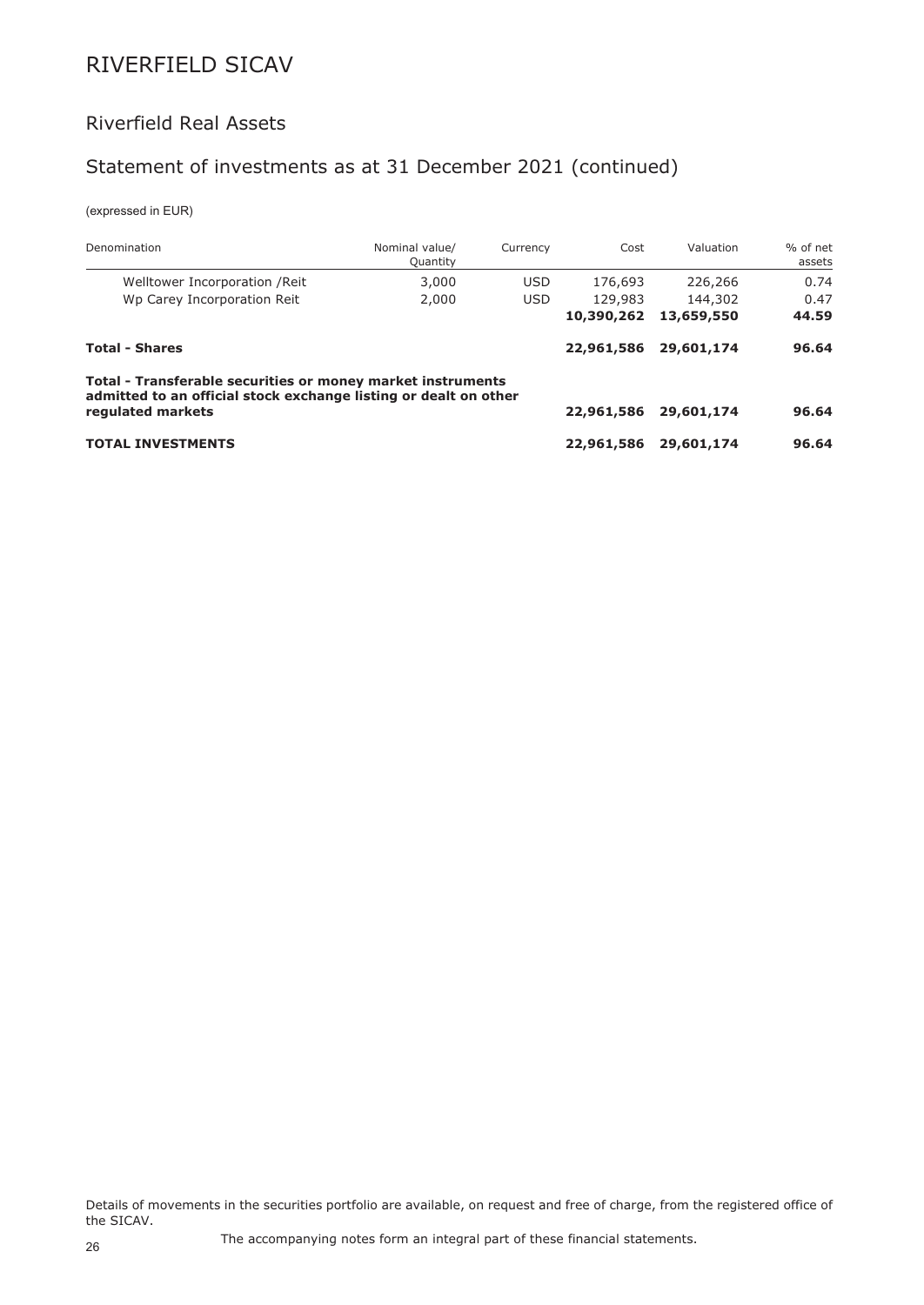## Riverfield Real Assets

## Statement of investments as at 31 December 2021 (continued)

(expressed in EUR)

| Denomination                                                                                                                                         | Nominal value/<br>Quantity | Currency   | Cost       | Valuation  | % of net<br>assets |
|------------------------------------------------------------------------------------------------------------------------------------------------------|----------------------------|------------|------------|------------|--------------------|
| Welltower Incorporation / Reit                                                                                                                       | 3,000                      | <b>USD</b> | 176,693    | 226,266    | 0.74               |
| Wp Carey Incorporation Reit                                                                                                                          | 2,000                      | <b>USD</b> | 129,983    | 144,302    | 0.47               |
|                                                                                                                                                      |                            |            | 10,390,262 | 13,659,550 | 44.59              |
| <b>Total - Shares</b>                                                                                                                                |                            |            | 22,961,586 | 29,601,174 | 96.64              |
| Total - Transferable securities or money market instruments<br>admitted to an official stock exchange listing or dealt on other<br>regulated markets |                            |            | 22,961,586 | 29,601,174 | 96.64              |
|                                                                                                                                                      |                            |            |            |            |                    |
| <b>TOTAL INVESTMENTS</b>                                                                                                                             |                            |            | 22,961,586 | 29,601,174 | 96.64              |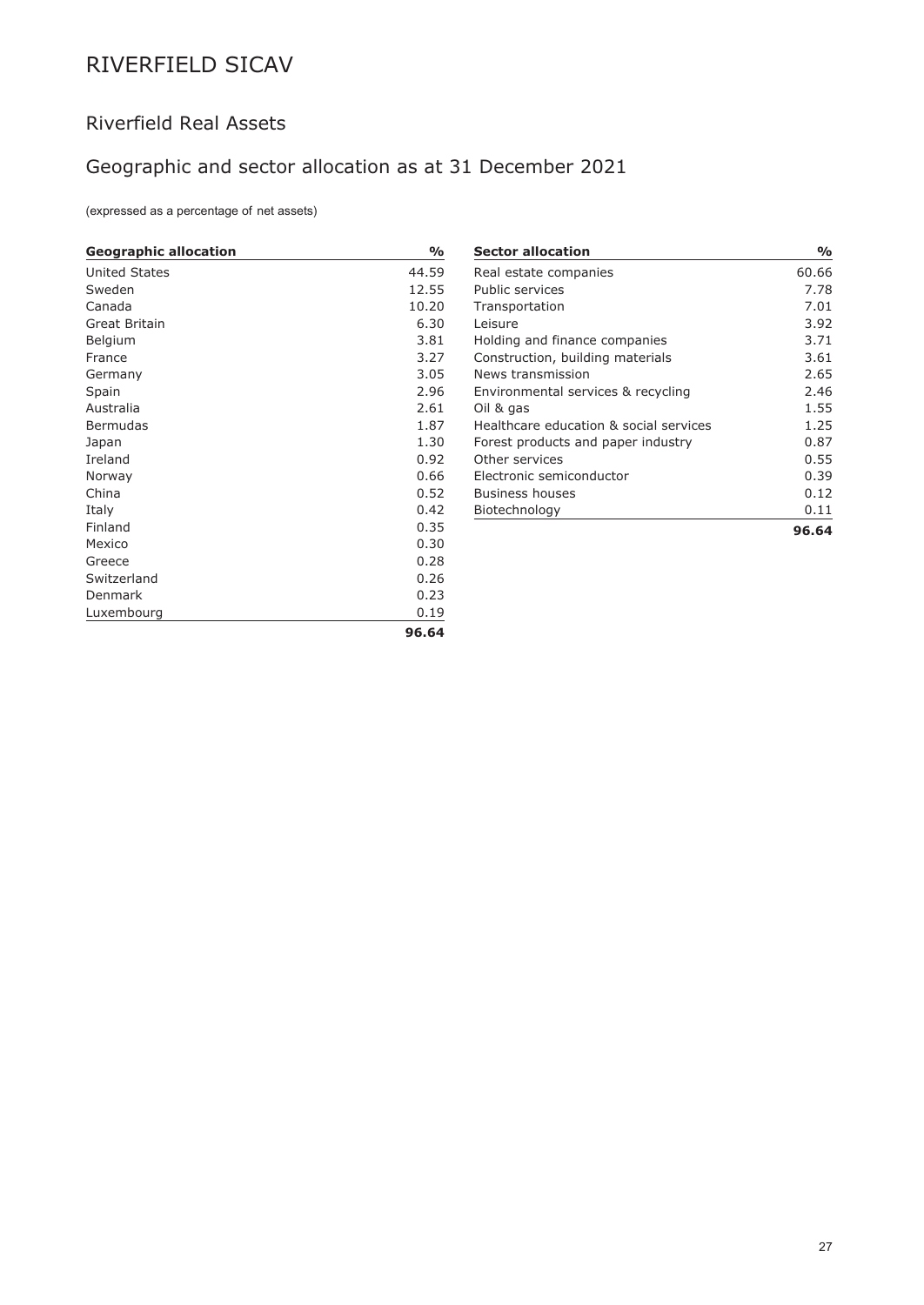## Riverfield Real Assets

## Geographic and sector allocation as at 31 December 2021

(expressed as a percentage of net assets)

| <b>Geographic allocation</b> | $\frac{1}{2}$ |
|------------------------------|---------------|
| <b>United States</b>         | 44.59         |
| Sweden                       | 12.55         |
| Canada                       | 10.20         |
| Great Britain                | 6.30          |
| Belgium                      | 3.81          |
| France                       | 3.27          |
| Germany                      | 3.05          |
| Spain                        | 2.96          |
| Australia                    | 2.61          |
| <b>Bermudas</b>              | 1.87          |
| Japan                        | 1.30          |
| Ireland                      | 0.92          |
| Norway                       | 0.66          |
| China                        | 0.52          |
| Italy                        | 0.42          |
| Finland                      | 0.35          |
| Mexico                       | 0.30          |
| Greece                       | 0.28          |
| Switzerland                  | 0.26          |
| <b>Denmark</b>               | 0.23          |
| Luxembourg                   | 0.19          |
|                              | 96.64         |

| <b>Sector allocation</b>               | %     |
|----------------------------------------|-------|
| Real estate companies                  | 60.66 |
| Public services                        | 7.78  |
| Transportation                         | 7.01  |
| Leisure                                | 3.92  |
| Holding and finance companies          | 3.71  |
| Construction, building materials       | 3.61  |
| News transmission                      | 2.65  |
| Environmental services & recycling     | 2.46  |
| Oil & gas                              | 1.55  |
| Healthcare education & social services | 1.25  |
| Forest products and paper industry     | 0.87  |
| Other services                         | 0.55  |
| Electronic semiconductor               | 0.39  |
| Business houses                        | 0.12  |
| Biotechnology                          | 0.11  |
|                                        | 96.64 |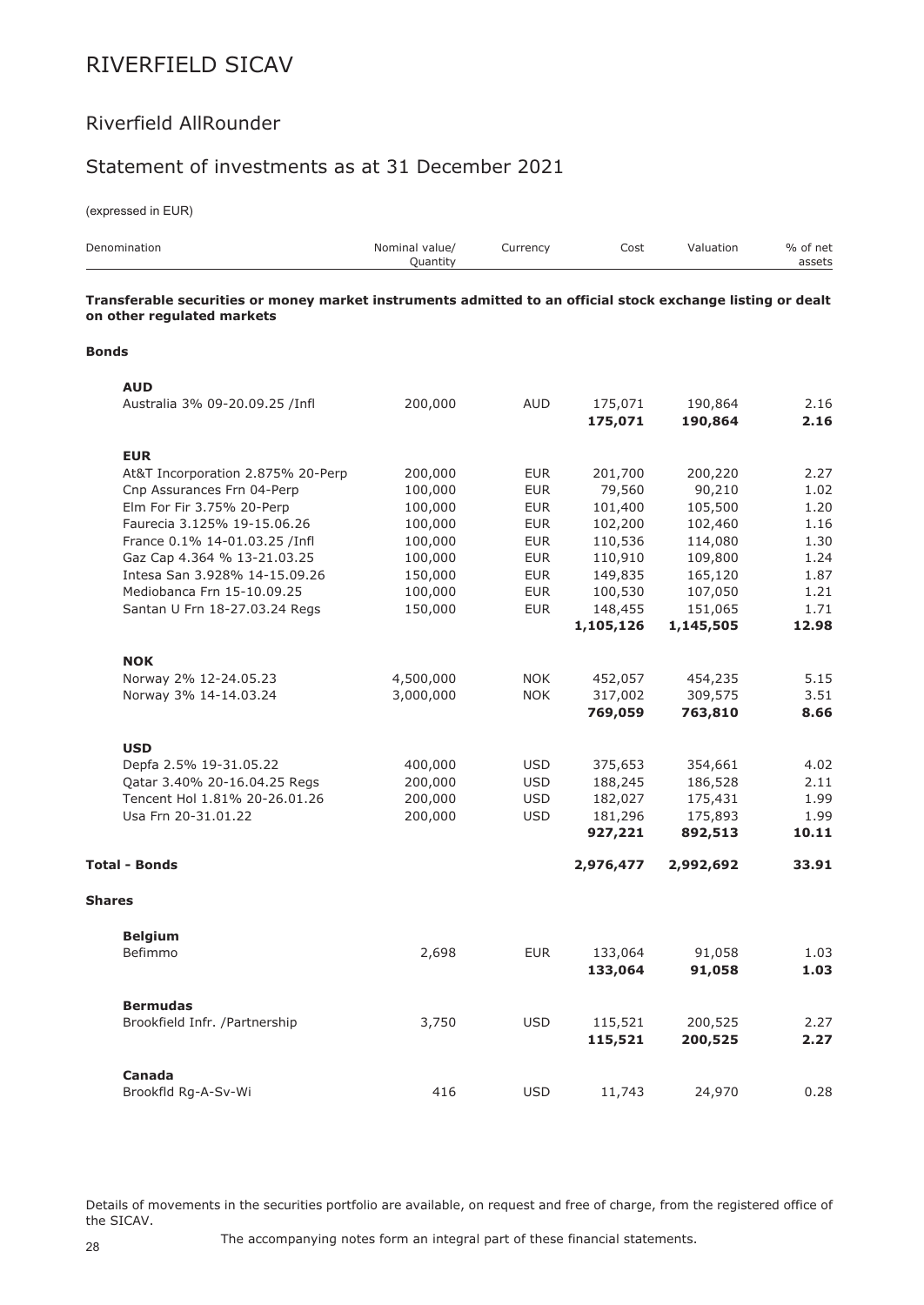### Riverfield AllRounder

### Statement of investments as at 31 December 2021

(expressed in EUR)

| Denomination                                                                                                                              | Nominal value/<br>Quantity | Currency   | Cost               | Valuation          | % of net<br>assets |
|-------------------------------------------------------------------------------------------------------------------------------------------|----------------------------|------------|--------------------|--------------------|--------------------|
| Transferable securities or money market instruments admitted to an official stock exchange listing or dealt<br>on other regulated markets |                            |            |                    |                    |                    |
| <b>Bonds</b>                                                                                                                              |                            |            |                    |                    |                    |
| <b>AUD</b>                                                                                                                                |                            |            |                    |                    |                    |
| Australia 3% 09-20.09.25 /Infl                                                                                                            | 200,000                    | <b>AUD</b> | 175,071<br>175,071 | 190,864<br>190,864 | 2.16<br>2.16       |
| <b>EUR</b>                                                                                                                                |                            |            |                    |                    |                    |
| At&T Incorporation 2.875% 20-Perp                                                                                                         | 200,000                    | <b>EUR</b> | 201,700            | 200,220            | 2.27               |
| Cnp Assurances Frn 04-Perp                                                                                                                | 100,000                    | <b>EUR</b> | 79,560             | 90,210             | 1.02               |
| Elm For Fir 3.75% 20-Perp                                                                                                                 | 100,000                    | <b>EUR</b> | 101,400            | 105,500            | 1.20               |
| Faurecia 3.125% 19-15.06.26                                                                                                               | 100,000                    | <b>EUR</b> | 102,200            | 102,460            | 1.16               |
| France 0.1% 14-01.03.25 /Infl                                                                                                             | 100,000                    | <b>EUR</b> | 110,536            | 114,080            | 1.30               |
| Gaz Cap 4.364 % 13-21.03.25                                                                                                               | 100,000                    | <b>EUR</b> | 110,910            | 109,800            | 1.24               |
| Intesa San 3.928% 14-15.09.26                                                                                                             | 150,000                    | <b>EUR</b> | 149,835            | 165,120            | 1.87               |
| Mediobanca Frn 15-10.09.25                                                                                                                | 100,000                    | <b>EUR</b> | 100,530            | 107,050            | 1.21               |
| Santan U Frn 18-27.03.24 Regs                                                                                                             | 150,000                    | <b>EUR</b> | 148,455            | 151,065            | 1.71               |
|                                                                                                                                           |                            |            | 1,105,126          | 1,145,505          | 12.98              |
| <b>NOK</b>                                                                                                                                |                            |            |                    |                    |                    |
| Norway 2% 12-24.05.23                                                                                                                     | 4,500,000                  | <b>NOK</b> | 452,057            | 454,235            | 5.15               |
| Norway 3% 14-14.03.24                                                                                                                     | 3,000,000                  | <b>NOK</b> | 317,002            | 309,575            | 3.51               |
|                                                                                                                                           |                            |            | 769,059            | 763,810            | 8.66               |
| <b>USD</b>                                                                                                                                |                            |            |                    |                    |                    |
| Depfa 2.5% 19-31.05.22                                                                                                                    | 400,000                    | <b>USD</b> | 375,653            | 354,661            | 4.02               |
| Qatar 3.40% 20-16.04.25 Regs                                                                                                              | 200,000                    | <b>USD</b> | 188,245            | 186,528            | 2.11               |
| Tencent Hol 1.81% 20-26.01.26                                                                                                             | 200,000                    | <b>USD</b> | 182,027            | 175,431            | 1.99               |
| Usa Frn 20-31.01.22                                                                                                                       | 200,000                    | <b>USD</b> | 181,296            | 175,893            | 1.99               |
|                                                                                                                                           |                            |            | 927,221            | 892,513            | 10.11              |
| <b>Total - Bonds</b>                                                                                                                      |                            |            | 2,976,477          | 2,992,692          | 33.91              |
| <b>Shares</b>                                                                                                                             |                            |            |                    |                    |                    |
| <b>Belgium</b>                                                                                                                            |                            |            |                    |                    |                    |
| Befimmo                                                                                                                                   | 2,698                      | <b>EUR</b> | 133,064            | 91,058             | 1.03               |
|                                                                                                                                           |                            |            | 133,064            | 91,058             | 1.03               |
| <b>Bermudas</b>                                                                                                                           |                            |            |                    |                    |                    |
| Brookfield Infr. /Partnership                                                                                                             | 3,750                      | <b>USD</b> | 115,521            | 200,525            | 2.27               |
|                                                                                                                                           |                            |            | 115,521            | 200,525            | 2.27               |
| Canada                                                                                                                                    |                            |            |                    |                    |                    |
| Brookfld Rg-A-Sv-Wi                                                                                                                       | 416                        | <b>USD</b> | 11,743             | 24,970             | 0.28               |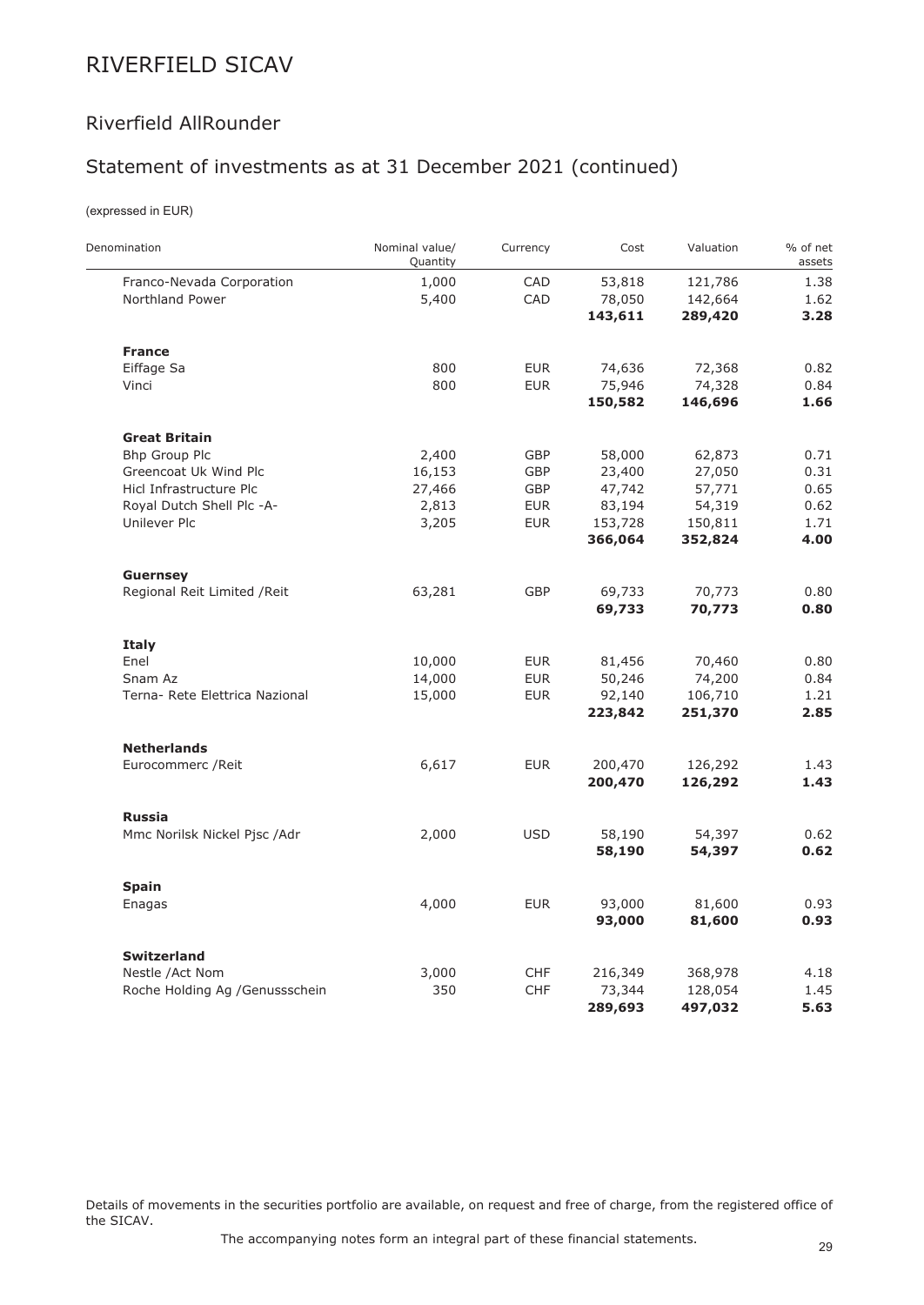### Riverfield AllRounder

## Statement of investments as at 31 December 2021 (continued)

### (expressed in EUR)

 $\overline{a}$ 

| Denomination                    | Nominal value/<br>Quantity | Currency   | Cost    | Valuation | % of net<br>assets |
|---------------------------------|----------------------------|------------|---------|-----------|--------------------|
| Franco-Nevada Corporation       | 1,000                      | CAD        | 53,818  | 121,786   | 1.38               |
| Northland Power                 | 5,400                      | CAD        | 78,050  | 142,664   | 1.62               |
|                                 |                            |            | 143,611 | 289,420   | 3.28               |
| <b>France</b>                   |                            |            |         |           |                    |
| Eiffage Sa                      | 800                        | <b>EUR</b> | 74,636  | 72,368    | 0.82               |
| Vinci                           | 800                        | <b>EUR</b> | 75,946  | 74,328    | 0.84               |
|                                 |                            |            | 150,582 | 146,696   | 1.66               |
| <b>Great Britain</b>            |                            |            |         |           |                    |
| Bhp Group Plc                   | 2,400                      | GBP        | 58,000  | 62,873    | 0.71               |
| Greencoat Uk Wind Plc           | 16,153                     | GBP        | 23,400  | 27,050    | 0.31               |
| Hicl Infrastructure Plc         | 27,466                     | <b>GBP</b> | 47,742  | 57,771    | 0.65               |
| Royal Dutch Shell Plc -A-       | 2,813                      | <b>EUR</b> | 83,194  | 54,319    | 0.62               |
| Unilever Plc                    | 3,205                      | <b>EUR</b> | 153,728 | 150,811   | 1.71               |
|                                 |                            |            | 366,064 | 352,824   | 4.00               |
| <b>Guernsey</b>                 |                            |            |         |           |                    |
| Regional Reit Limited / Reit    | 63,281                     | GBP        | 69,733  | 70,773    | 0.80               |
|                                 |                            |            | 69,733  | 70,773    | 0.80               |
| <b>Italy</b>                    |                            |            |         |           |                    |
| Enel                            | 10,000                     | <b>EUR</b> | 81,456  | 70,460    | 0.80               |
| Snam Az                         | 14,000                     | <b>EUR</b> | 50,246  | 74,200    | 0.84               |
| Terna- Rete Elettrica Nazional  | 15,000                     | <b>EUR</b> | 92,140  | 106,710   | 1.21               |
|                                 |                            |            | 223,842 | 251,370   | 2.85               |
| <b>Netherlands</b>              |                            |            |         |           |                    |
| Eurocommerc / Reit              | 6,617                      | <b>EUR</b> | 200,470 | 126,292   | 1.43               |
|                                 |                            |            | 200,470 | 126,292   | 1.43               |
| <b>Russia</b>                   |                            |            |         |           |                    |
| Mmc Norilsk Nickel Pjsc /Adr    | 2,000                      | <b>USD</b> | 58,190  | 54,397    | 0.62               |
|                                 |                            |            | 58,190  | 54,397    | 0.62               |
| <b>Spain</b>                    |                            |            |         |           |                    |
| Enagas                          | 4,000                      | <b>EUR</b> | 93,000  | 81,600    | 0.93               |
|                                 |                            |            | 93,000  | 81,600    | 0.93               |
| <b>Switzerland</b>              |                            |            |         |           |                    |
| Nestle /Act Nom                 | 3,000                      | <b>CHF</b> | 216,349 | 368,978   | 4.18               |
| Roche Holding Ag / Genussschein | 350                        | <b>CHF</b> | 73,344  | 128,054   | 1.45               |
|                                 |                            |            | 289,693 | 497,032   | 5.63               |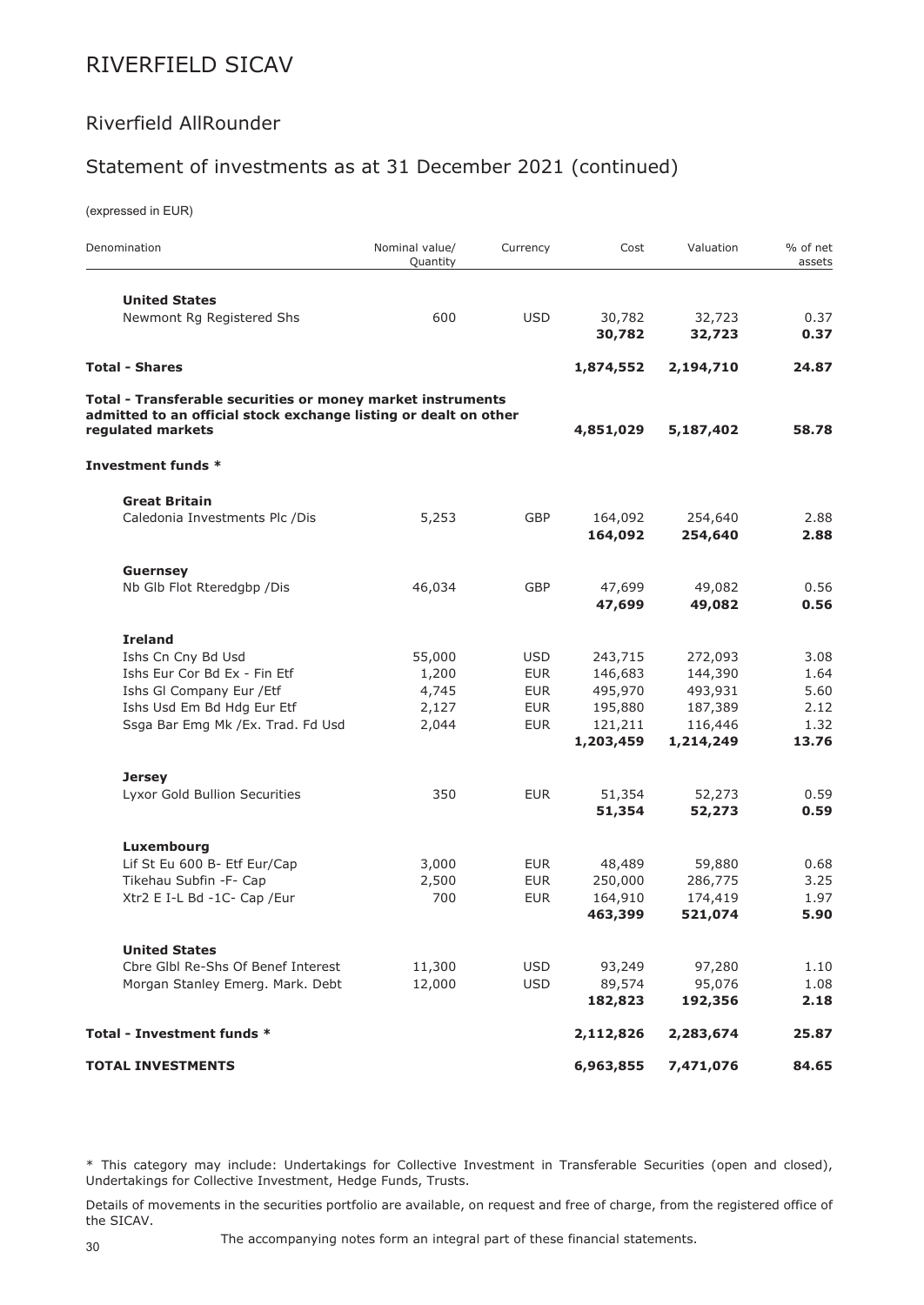### Riverfield AllRounder

## Statement of investments as at 31 December 2021 (continued)

(expressed in EUR)

| Denomination                                                                                                                    | Nominal value/<br>Quantity | Currency   | Cost      | Valuation | % of net<br>assets |
|---------------------------------------------------------------------------------------------------------------------------------|----------------------------|------------|-----------|-----------|--------------------|
| <b>United States</b>                                                                                                            |                            |            |           |           |                    |
| Newmont Rg Registered Shs                                                                                                       | 600                        | <b>USD</b> | 30,782    | 32,723    | 0.37               |
|                                                                                                                                 |                            |            | 30,782    | 32,723    | 0.37               |
| <b>Total - Shares</b>                                                                                                           |                            |            | 1,874,552 | 2,194,710 | 24.87              |
| Total - Transferable securities or money market instruments<br>admitted to an official stock exchange listing or dealt on other |                            |            |           |           |                    |
| regulated markets                                                                                                               |                            |            | 4,851,029 | 5,187,402 | 58.78              |
| Investment funds *                                                                                                              |                            |            |           |           |                    |
| <b>Great Britain</b>                                                                                                            |                            |            |           |           |                    |
| Caledonia Investments Plc /Dis                                                                                                  | 5,253                      | GBP        | 164,092   | 254,640   | 2.88               |
|                                                                                                                                 |                            |            | 164,092   | 254,640   | 2.88               |
| <b>Guernsey</b>                                                                                                                 |                            |            |           |           |                    |
| Nb Glb Flot Rteredgbp /Dis                                                                                                      | 46,034                     | <b>GBP</b> | 47,699    | 49,082    | 0.56               |
|                                                                                                                                 |                            |            | 47,699    | 49,082    | 0.56               |
| <b>Ireland</b>                                                                                                                  |                            |            |           |           |                    |
| Ishs Cn Cny Bd Usd                                                                                                              | 55,000                     | <b>USD</b> | 243,715   | 272,093   | 3.08               |
| Ishs Eur Cor Bd Ex - Fin Etf                                                                                                    | 1,200                      | <b>EUR</b> | 146,683   | 144,390   | 1.64               |
| Ishs GI Company Eur / Etf                                                                                                       | 4,745                      | <b>EUR</b> | 495,970   | 493,931   | 5.60               |
| Ishs Usd Em Bd Hdg Eur Etf                                                                                                      | 2,127                      | <b>EUR</b> | 195,880   | 187,389   | 2.12               |
| Ssga Bar Emg Mk /Ex. Trad. Fd Usd                                                                                               | 2,044                      | <b>EUR</b> | 121,211   | 116,446   | 1.32               |
|                                                                                                                                 |                            |            | 1,203,459 | 1,214,249 | 13.76              |
| <b>Jersey</b>                                                                                                                   |                            |            |           |           |                    |
| Lyxor Gold Bullion Securities                                                                                                   | 350                        | <b>EUR</b> | 51,354    | 52,273    | 0.59               |
|                                                                                                                                 |                            |            | 51,354    | 52,273    | 0.59               |
| Luxembourg                                                                                                                      |                            |            |           |           |                    |
| Lif St Eu 600 B- Etf Eur/Cap                                                                                                    | 3,000                      | <b>EUR</b> | 48,489    | 59,880    | 0.68               |
| Tikehau Subfin -F- Cap                                                                                                          | 2,500                      | <b>EUR</b> | 250,000   | 286,775   | 3.25               |
| Xtr2 E I-L Bd -1C- Cap /Eur                                                                                                     | 700                        | <b>EUR</b> | 164,910   | 174,419   | 1.97               |
|                                                                                                                                 |                            |            | 463,399   | 521,074   | 5.90               |
| <b>United States</b>                                                                                                            |                            |            |           |           |                    |
| Cbre Glbl Re-Shs Of Benef Interest                                                                                              | 11,300                     | <b>USD</b> | 93,249    | 97,280    | 1.10               |
| Morgan Stanley Emerg. Mark. Debt                                                                                                | 12,000                     | <b>USD</b> | 89,574    | 95,076    | 1.08               |
|                                                                                                                                 |                            |            | 182,823   | 192,356   | 2.18               |
| Total - Investment funds *                                                                                                      |                            |            | 2,112,826 | 2,283,674 | 25.87              |
| <b>TOTAL INVESTMENTS</b>                                                                                                        |                            |            | 6,963,855 | 7,471,076 | 84.65              |

\* This category may include: Undertakings for Collective Investment in Transferable Securities (open and closed), Undertakings for Collective Investment, Hedge Funds, Trusts.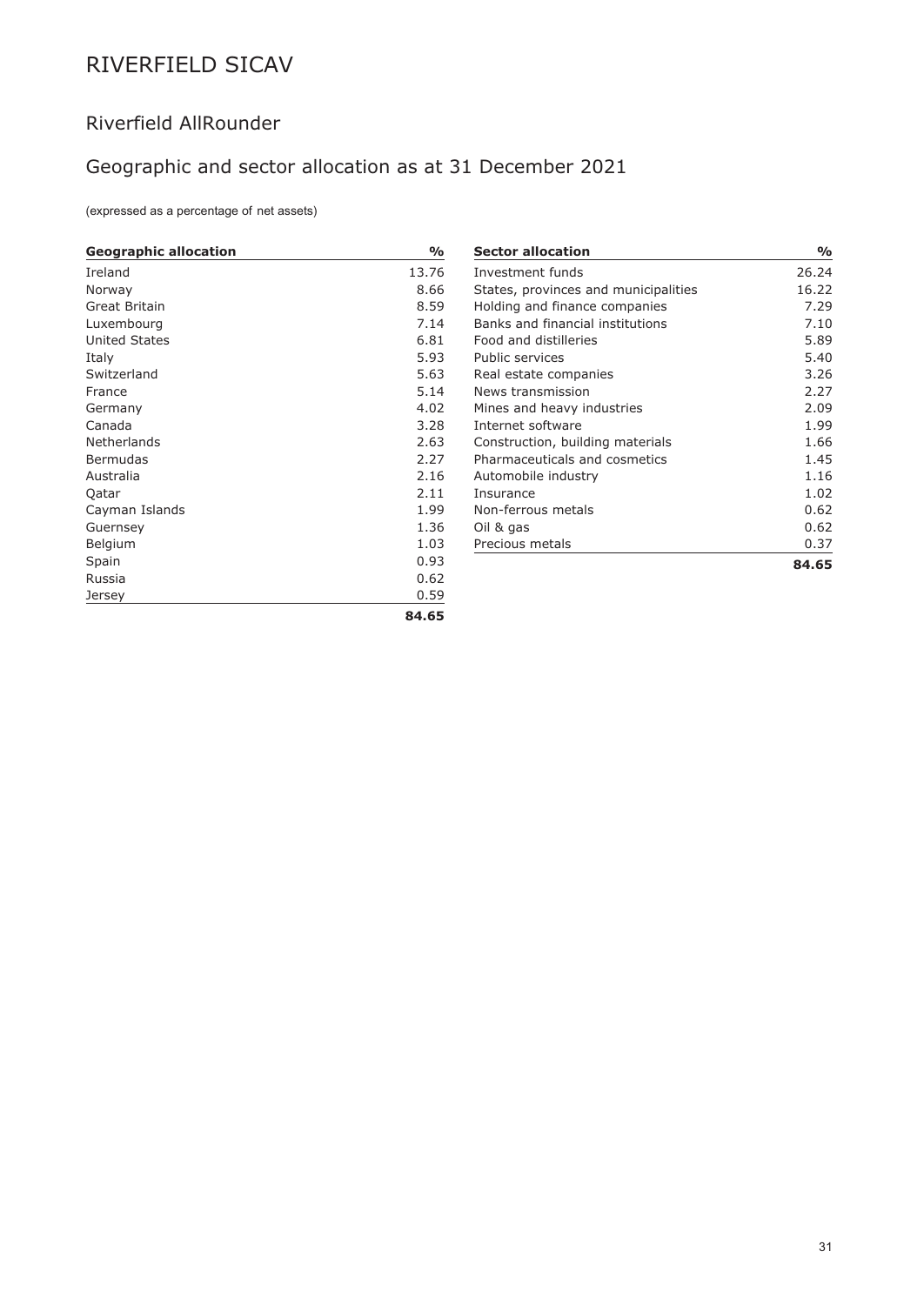## Riverfield AllRounder

## Geographic and sector allocation as at 31 December 2021

(expressed as a percentage of net assets)

| <b>Geographic allocation</b> | %     |
|------------------------------|-------|
| Ireland                      | 13.76 |
| Norway                       | 8.66  |
| Great Britain                | 8.59  |
| Luxembourg                   | 7.14  |
| <b>United States</b>         | 6.81  |
| Italy                        | 5.93  |
| Switzerland                  | 5.63  |
| France                       | 5.14  |
| Germany                      | 4.02  |
| Canada                       | 3.28  |
| Netherlands                  | 2.63  |
| Bermudas                     | 2.27  |
| Australia                    | 2.16  |
| Qatar                        | 2.11  |
| Cayman Islands               | 1.99  |
| Guernsey                     | 1.36  |
| Belgium                      | 1.03  |
| Spain                        | 0.93  |
| Russia                       | 0.62  |
| Jersey                       | 0.59  |
|                              | 84.65 |

| <b>Sector allocation</b>             | %     |
|--------------------------------------|-------|
| Investment funds                     | 26.24 |
| States, provinces and municipalities | 16.22 |
| Holding and finance companies        | 7.29  |
| Banks and financial institutions     | 7.10  |
| Food and distilleries                | 5.89  |
| Public services                      | 5.40  |
| Real estate companies                | 3.26  |
| News transmission                    | 2.27  |
| Mines and heavy industries           | 2.09  |
| Internet software                    | 1.99  |
| Construction, building materials     | 1.66  |
| Pharmaceuticals and cosmetics        | 1.45  |
| Automobile industry                  | 1.16  |
| <b>Insurance</b>                     | 1.02  |
| Non-ferrous metals                   | 0.62  |
| Oil & gas                            | 0.62  |
| Precious metals                      | 0.37  |
|                                      | 84.65 |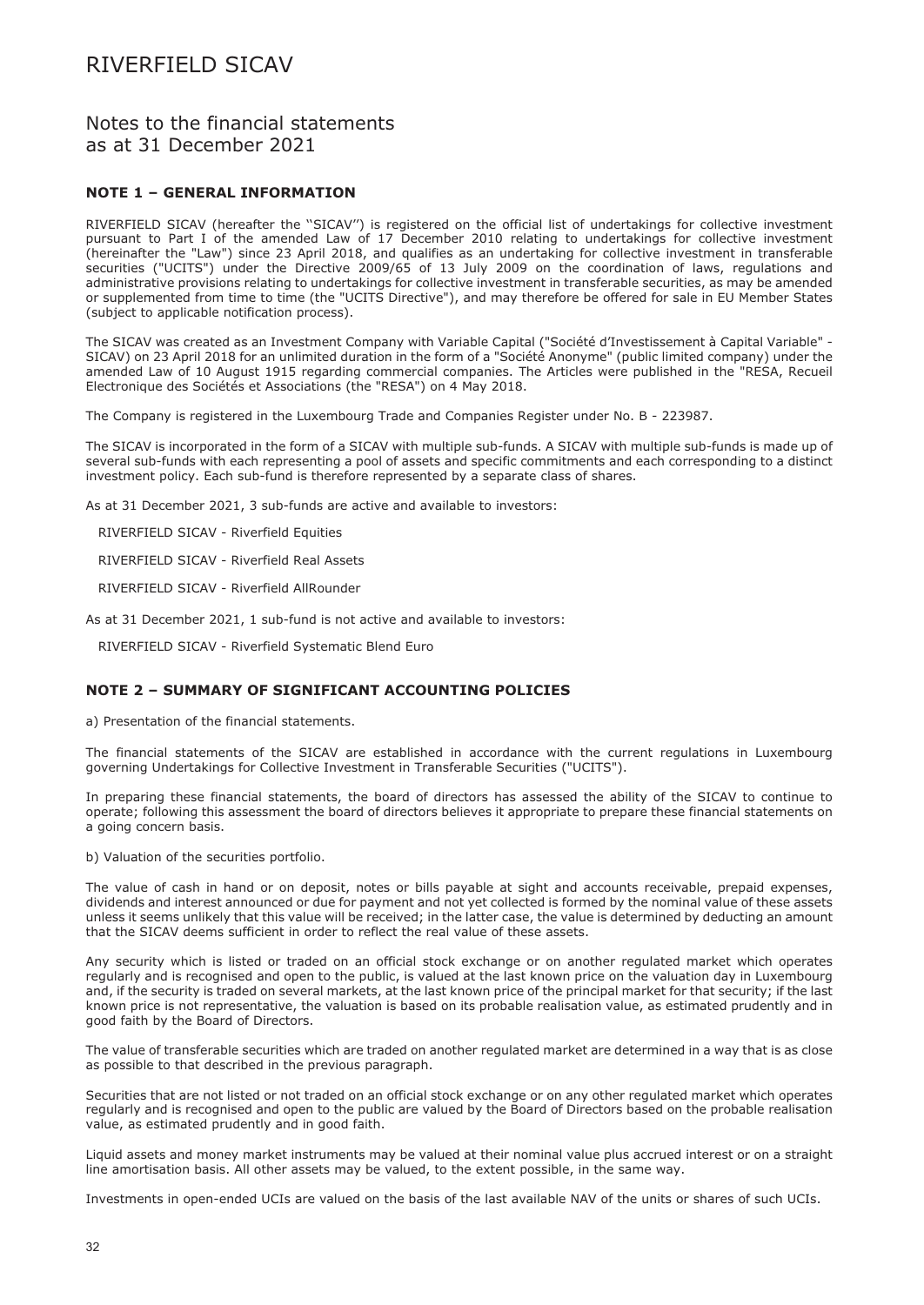### Notes to the financial statements as at 31 December 2021

### **NOTE 1 – GENERAL INFORMATION**

RIVERFIELD SICAV (hereafter the ''SICAV'') is registered on the official list of undertakings for collective investment pursuant to Part I of the amended Law of 17 December 2010 relating to undertakings for collective investment (hereinafter the "Law") since 23 April 2018, and qualifies as an undertaking for collective investment in transferable securities ("UCITS") under the Directive 2009/65 of 13 July 2009 on the coordination of laws, regulations and administrative provisions relating to undertakings for collective investment in transferable securities, as may be amended or supplemented from time to time (the "UCITS Directive"), and may therefore be offered for sale in EU Member States (subject to applicable notification process).

The SICAV was created as an Investment Company with Variable Capital ("Société d'Investissement à Capital Variable" - SICAV) on 23 April 2018 for an unlimited duration in the form of a "Société Anonyme" (public limited company) under the amended Law of 10 August 1915 regarding commercial companies. The Articles were published in the "RESA, Recueil Electronique des Sociétés et Associations (the "RESA") on 4 May 2018.

The Company is registered in the Luxembourg Trade and Companies Register under No. B - 223987.

The SICAV is incorporated in the form of a SICAV with multiple sub-funds. A SICAV with multiple sub-funds is made up of several sub-funds with each representing a pool of assets and specific commitments and each corresponding to a distinct investment policy. Each sub-fund is therefore represented by a separate class of shares.

As at 31 December 2021, 3 sub-funds are active and available to investors:

RIVERFIELD SICAV - Riverfield Equities

RIVERFIELD SICAV - Riverfield Real Assets

RIVERFIELD SICAV - Riverfield AllRounder

As at 31 December 2021, 1 sub-fund is not active and available to investors:

RIVERFIELD SICAV - Riverfield Systematic Blend Euro

### **NOTE 2 – SUMMARY OF SIGNIFICANT ACCOUNTING POLICIES**

a) Presentation of the financial statements.

The financial statements of the SICAV are established in accordance with the current regulations in Luxembourg governing Undertakings for Collective Investment in Transferable Securities ("UCITS").

In preparing these financial statements, the board of directors has assessed the ability of the SICAV to continue to operate; following this assessment the board of directors believes it appropriate to prepare these financial statements on a going concern basis.

b) Valuation of the securities portfolio.

The value of cash in hand or on deposit, notes or bills payable at sight and accounts receivable, prepaid expenses, dividends and interest announced or due for payment and not yet collected is formed by the nominal value of these assets unless it seems unlikely that this value will be received; in the latter case, the value is determined by deducting an amount that the SICAV deems sufficient in order to reflect the real value of these assets.

Any security which is listed or traded on an official stock exchange or on another regulated market which operates regularly and is recognised and open to the public, is valued at the last known price on the valuation day in Luxembourg and, if the security is traded on several markets, at the last known price of the principal market for that security; if the last known price is not representative, the valuation is based on its probable realisation value, as estimated prudently and in good faith by the Board of Directors.

The value of transferable securities which are traded on another regulated market are determined in a way that is as close as possible to that described in the previous paragraph.

Securities that are not listed or not traded on an official stock exchange or on any other regulated market which operates regularly and is recognised and open to the public are valued by the Board of Directors based on the probable realisation value, as estimated prudently and in good faith.

Liquid assets and money market instruments may be valued at their nominal value plus accrued interest or on a straight line amortisation basis. All other assets may be valued, to the extent possible, in the same way.

Investments in open-ended UCIs are valued on the basis of the last available NAV of the units or shares of such UCIs.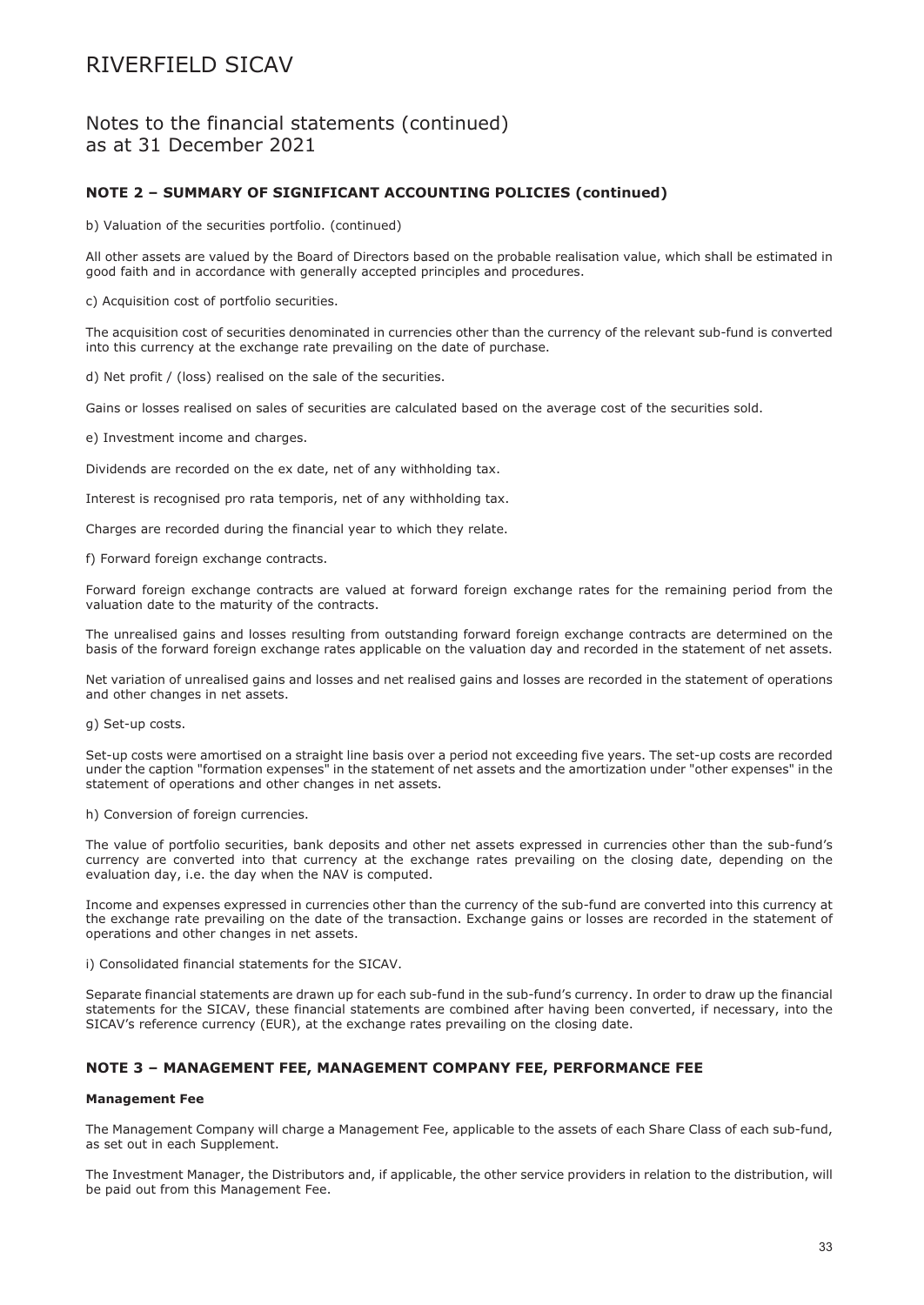Notes to the financial statements (continued) as at 31 December 2021

### **NOTE 2 – SUMMARY OF SIGNIFICANT ACCOUNTING POLICIES (continued)**

b) Valuation of the securities portfolio. (continued)

All other assets are valued by the Board of Directors based on the probable realisation value, which shall be estimated in good faith and in accordance with generally accepted principles and procedures.

c) Acquisition cost of portfolio securities.

The acquisition cost of securities denominated in currencies other than the currency of the relevant sub-fund is converted into this currency at the exchange rate prevailing on the date of purchase.

d) Net profit / (loss) realised on the sale of the securities.

Gains or losses realised on sales of securities are calculated based on the average cost of the securities sold.

e) Investment income and charges.

Dividends are recorded on the ex date, net of any withholding tax.

Interest is recognised pro rata temporis, net of any withholding tax.

Charges are recorded during the financial year to which they relate.

f) Forward foreign exchange contracts.

Forward foreign exchange contracts are valued at forward foreign exchange rates for the remaining period from the valuation date to the maturity of the contracts.

The unrealised gains and losses resulting from outstanding forward foreign exchange contracts are determined on the basis of the forward foreign exchange rates applicable on the valuation day and recorded in the statement of net assets.

Net variation of unrealised gains and losses and net realised gains and losses are recorded in the statement of operations and other changes in net assets.

g) Set-up costs.

Set-up costs were amortised on a straight line basis over a period not exceeding five years. The set-up costs are recorded under the caption "formation expenses" in the statement of net assets and the amortization under "other expenses" in the statement of operations and other changes in net assets.

### h) Conversion of foreign currencies.

The value of portfolio securities, bank deposits and other net assets expressed in currencies other than the sub-fund's currency are converted into that currency at the exchange rates prevailing on the closing date, depending on the evaluation day, i.e. the day when the NAV is computed.

Income and expenses expressed in currencies other than the currency of the sub-fund are converted into this currency at the exchange rate prevailing on the date of the transaction. Exchange gains or losses are recorded in the statement of operations and other changes in net assets.

i) Consolidated financial statements for the SICAV.

Separate financial statements are drawn up for each sub-fund in the sub-fund's currency. In order to draw up the financial statements for the SICAV, these financial statements are combined after having been converted, if necessary, into the SICAV's reference currency (EUR), at the exchange rates prevailing on the closing date.

### **NOTE 3 – MANAGEMENT FEE, MANAGEMENT COMPANY FEE, PERFORMANCE FEE**

#### **Management Fee**

The Management Company will charge a Management Fee, applicable to the assets of each Share Class of each sub-fund, as set out in each Supplement.

The Investment Manager, the Distributors and, if applicable, the other service providers in relation to the distribution, will be paid out from this Management Fee.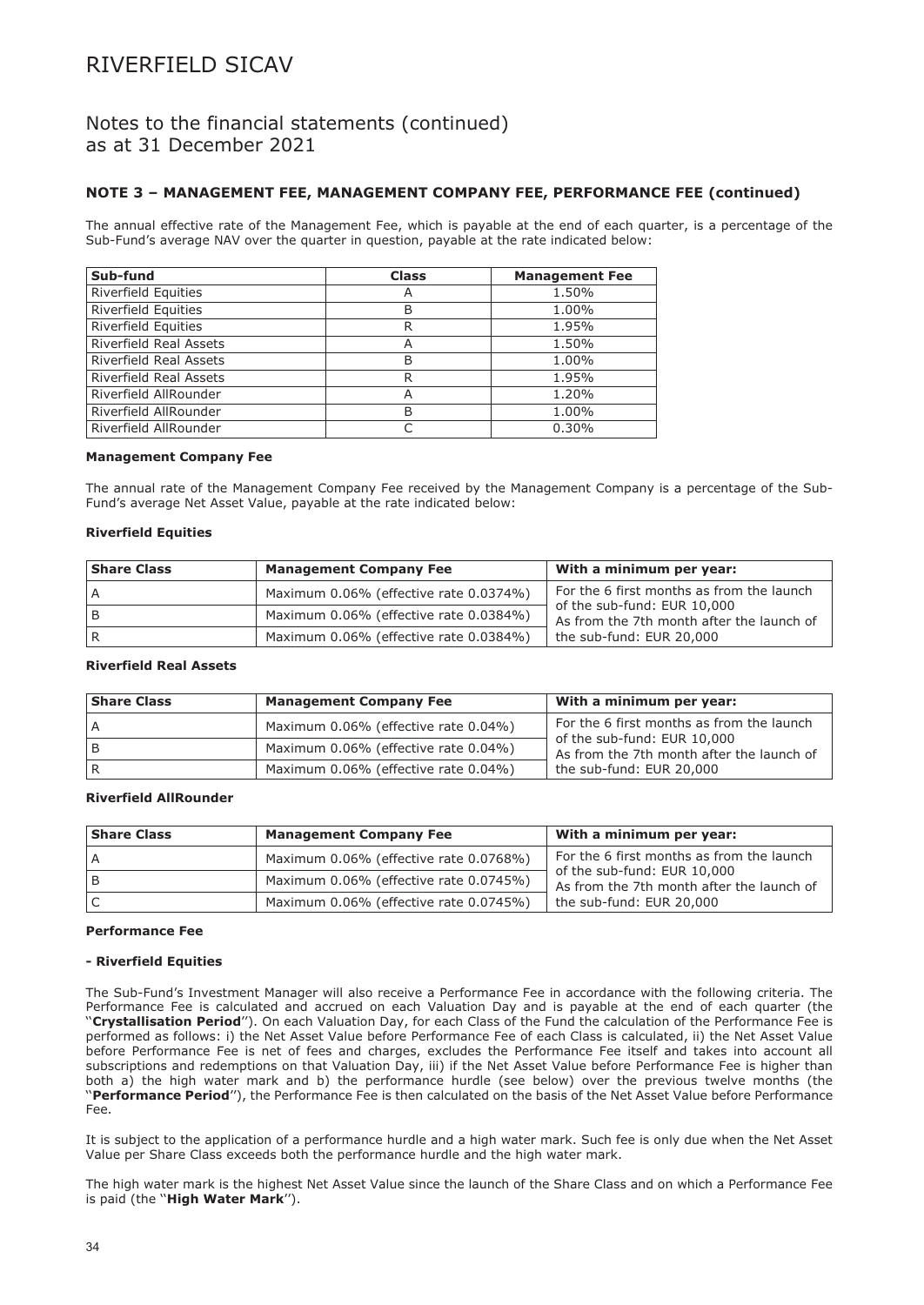### Notes to the financial statements (continued) as at 31 December 2021

### **NOTE 3 – MANAGEMENT FEE, MANAGEMENT COMPANY FEE, PERFORMANCE FEE (continued)**

The annual effective rate of the Management Fee, which is payable at the end of each quarter, is a percentage of the Sub-Fund's average NAV over the quarter in question, payable at the rate indicated below:

| Sub-fund                      | <b>Class</b> | <b>Management Fee</b> |
|-------------------------------|--------------|-----------------------|
| <b>Riverfield Equities</b>    | Α            | 1.50%                 |
| Riverfield Equities           | B            | 1.00%                 |
| <b>Riverfield Equities</b>    | R            | 1.95%                 |
| <b>Riverfield Real Assets</b> | Α            | 1.50%                 |
| <b>Riverfield Real Assets</b> | B            | 1.00%                 |
| <b>Riverfield Real Assets</b> | R            | 1.95%                 |
| Riverfield AllRounder         | Α            | 1.20%                 |
| Riverfield AllRounder         | B            | 1.00%                 |
| Riverfield AllRounder         |              | 0.30%                 |

#### **Management Company Fee**

The annual rate of the Management Company Fee received by the Management Company is a percentage of the Sub-Fund's average Net Asset Value, payable at the rate indicated below:

#### **Riverfield Equities**

| <b>Share Class</b> | <b>Management Company Fee</b>          | With a minimum per year:                                                 |
|--------------------|----------------------------------------|--------------------------------------------------------------------------|
|                    | Maximum 0.06% (effective rate 0.0374%) | For the 6 first months as from the launch                                |
|                    | Maximum 0.06% (effective rate 0.0384%) | of the sub-fund: EUR 10,000<br>As from the 7th month after the launch of |
|                    | Maximum 0.06% (effective rate 0.0384%) | the sub-fund: EUR 20,000                                                 |

#### **Riverfield Real Assets**

| <b>Share Class</b> | <b>Management Company Fee</b>        | With a minimum per year:                                                 |
|--------------------|--------------------------------------|--------------------------------------------------------------------------|
| A                  | Maximum 0.06% (effective rate 0.04%) | For the 6 first months as from the launch                                |
|                    | Maximum 0.06% (effective rate 0.04%) | of the sub-fund: EUR 10,000<br>As from the 7th month after the launch of |
|                    | Maximum 0.06% (effective rate 0.04%) | the sub-fund: EUR 20,000                                                 |

### **Riverfield AllRounder**

| <b>Share Class</b> | <b>Management Company Fee</b>          | With a minimum per year:                                                 |
|--------------------|----------------------------------------|--------------------------------------------------------------------------|
|                    | Maximum 0.06% (effective rate 0.0768%) | For the 6 first months as from the launch                                |
|                    | Maximum 0.06% (effective rate 0.0745%) | of the sub-fund: EUR 10,000<br>As from the 7th month after the launch of |
|                    | Maximum 0.06% (effective rate 0.0745%) | the sub-fund: EUR 20,000                                                 |

#### **Performance Fee**

#### **- Riverfield Equities**

The Sub-Fund's Investment Manager will also receive a Performance Fee in accordance with the following criteria. The Performance Fee is calculated and accrued on each Valuation Day and is payable at the end of each quarter (the ''**Crystallisation Period**''). On each Valuation Day, for each Class of the Fund the calculation of the Performance Fee is performed as follows: i) the Net Asset Value before Performance Fee of each Class is calculated, ii) the Net Asset Value before Performance Fee is net of fees and charges, excludes the Performance Fee itself and takes into account all subscriptions and redemptions on that Valuation Day, iii) if the Net Asset Value before Performance Fee is higher than both a) the high water mark and b) the performance hurdle (see below) over the previous twelve months (the ''**Performance Period**''), the Performance Fee is then calculated on the basis of the Net Asset Value before Performance Fee.

It is subject to the application of a performance hurdle and a high water mark. Such fee is only due when the Net Asset Value per Share Class exceeds both the performance hurdle and the high water mark.

The high water mark is the highest Net Asset Value since the launch of the Share Class and on which a Performance Fee is paid (the ''**High Water Mark**'').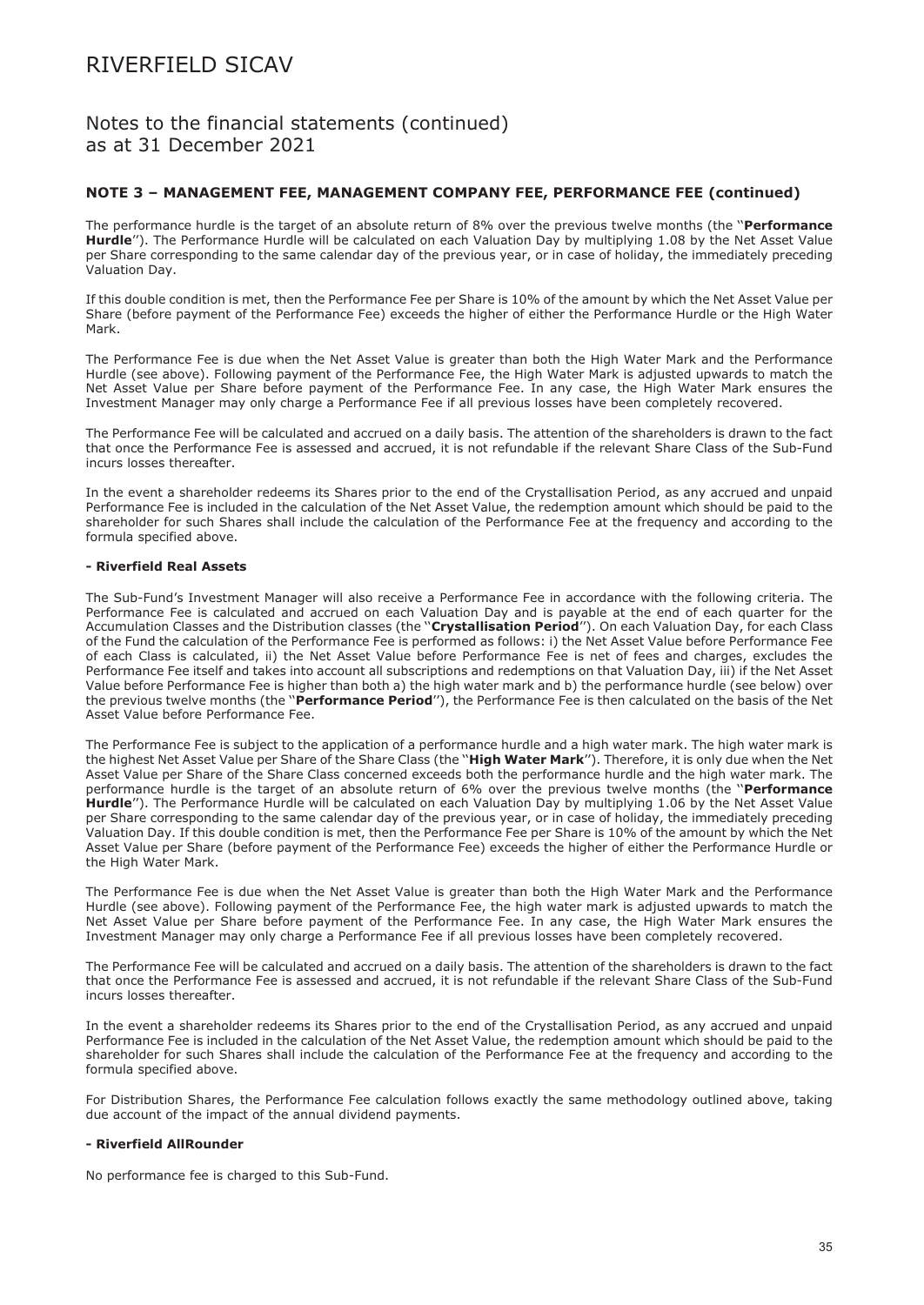### Notes to the financial statements (continued) as at 31 December 2021

### **NOTE 3 – MANAGEMENT FEE, MANAGEMENT COMPANY FEE, PERFORMANCE FEE (continued)**

The performance hurdle is the target of an absolute return of 8% over the previous twelve months (the ''**Performance Hurdle**''). The Performance Hurdle will be calculated on each Valuation Day by multiplying 1.08 by the Net Asset Value per Share corresponding to the same calendar day of the previous year, or in case of holiday, the immediately preceding Valuation Day.

If this double condition is met, then the Performance Fee per Share is 10% of the amount by which the Net Asset Value per Share (before payment of the Performance Fee) exceeds the higher of either the Performance Hurdle or the High Water Mark.

The Performance Fee is due when the Net Asset Value is greater than both the High Water Mark and the Performance Hurdle (see above). Following payment of the Performance Fee, the High Water Mark is adjusted upwards to match the Net Asset Value per Share before payment of the Performance Fee. In any case, the High Water Mark ensures the Investment Manager may only charge a Performance Fee if all previous losses have been completely recovered.

The Performance Fee will be calculated and accrued on a daily basis. The attention of the shareholders is drawn to the fact that once the Performance Fee is assessed and accrued, it is not refundable if the relevant Share Class of the Sub-Fund incurs losses thereafter.

In the event a shareholder redeems its Shares prior to the end of the Crystallisation Period, as any accrued and unpaid Performance Fee is included in the calculation of the Net Asset Value, the redemption amount which should be paid to the shareholder for such Shares shall include the calculation of the Performance Fee at the frequency and according to the formula specified above.

#### **- Riverfield Real Assets**

The Sub-Fund's Investment Manager will also receive a Performance Fee in accordance with the following criteria. The Performance Fee is calculated and accrued on each Valuation Day and is payable at the end of each quarter for the Accumulation Classes and the Distribution classes (the ''**Crystallisation Period**''). On each Valuation Day, for each Class of the Fund the calculation of the Performance Fee is performed as follows: i) the Net Asset Value before Performance Fee of each Class is calculated, ii) the Net Asset Value before Performance Fee is net of fees and charges, excludes the Performance Fee itself and takes into account all subscriptions and redemptions on that Valuation Day, iii) if the Net Asset Value before Performance Fee is higher than both a) the high water mark and b) the performance hurdle (see below) over the previous twelve months (the ''**Performance Period**''), the Performance Fee is then calculated on the basis of the Net Asset Value before Performance Fee.

The Performance Fee is subject to the application of a performance hurdle and a high water mark. The high water mark is the highest Net Asset Value per Share of the Share Class (the ''**High Water Mark**''). Therefore, it is only due when the Net Asset Value per Share of the Share Class concerned exceeds both the performance hurdle and the high water mark. The performance hurdle is the target of an absolute return of 6% over the previous twelve months (the ''**Performance Hurdle**''). The Performance Hurdle will be calculated on each Valuation Day by multiplying 1.06 by the Net Asset Value per Share corresponding to the same calendar day of the previous year, or in case of holiday, the immediately preceding Valuation Day. If this double condition is met, then the Performance Fee per Share is 10% of the amount by which the Net Asset Value per Share (before payment of the Performance Fee) exceeds the higher of either the Performance Hurdle or the High Water Mark.

The Performance Fee is due when the Net Asset Value is greater than both the High Water Mark and the Performance Hurdle (see above). Following payment of the Performance Fee, the high water mark is adjusted upwards to match the Net Asset Value per Share before payment of the Performance Fee. In any case, the High Water Mark ensures the Investment Manager may only charge a Performance Fee if all previous losses have been completely recovered.

The Performance Fee will be calculated and accrued on a daily basis. The attention of the shareholders is drawn to the fact that once the Performance Fee is assessed and accrued, it is not refundable if the relevant Share Class of the Sub-Fund incurs losses thereafter.

In the event a shareholder redeems its Shares prior to the end of the Crystallisation Period, as any accrued and unpaid Performance Fee is included in the calculation of the Net Asset Value, the redemption amount which should be paid to the shareholder for such Shares shall include the calculation of the Performance Fee at the frequency and according to the formula specified above.

For Distribution Shares, the Performance Fee calculation follows exactly the same methodology outlined above, taking due account of the impact of the annual dividend payments.

#### **- Riverfield AllRounder**

No performance fee is charged to this Sub-Fund.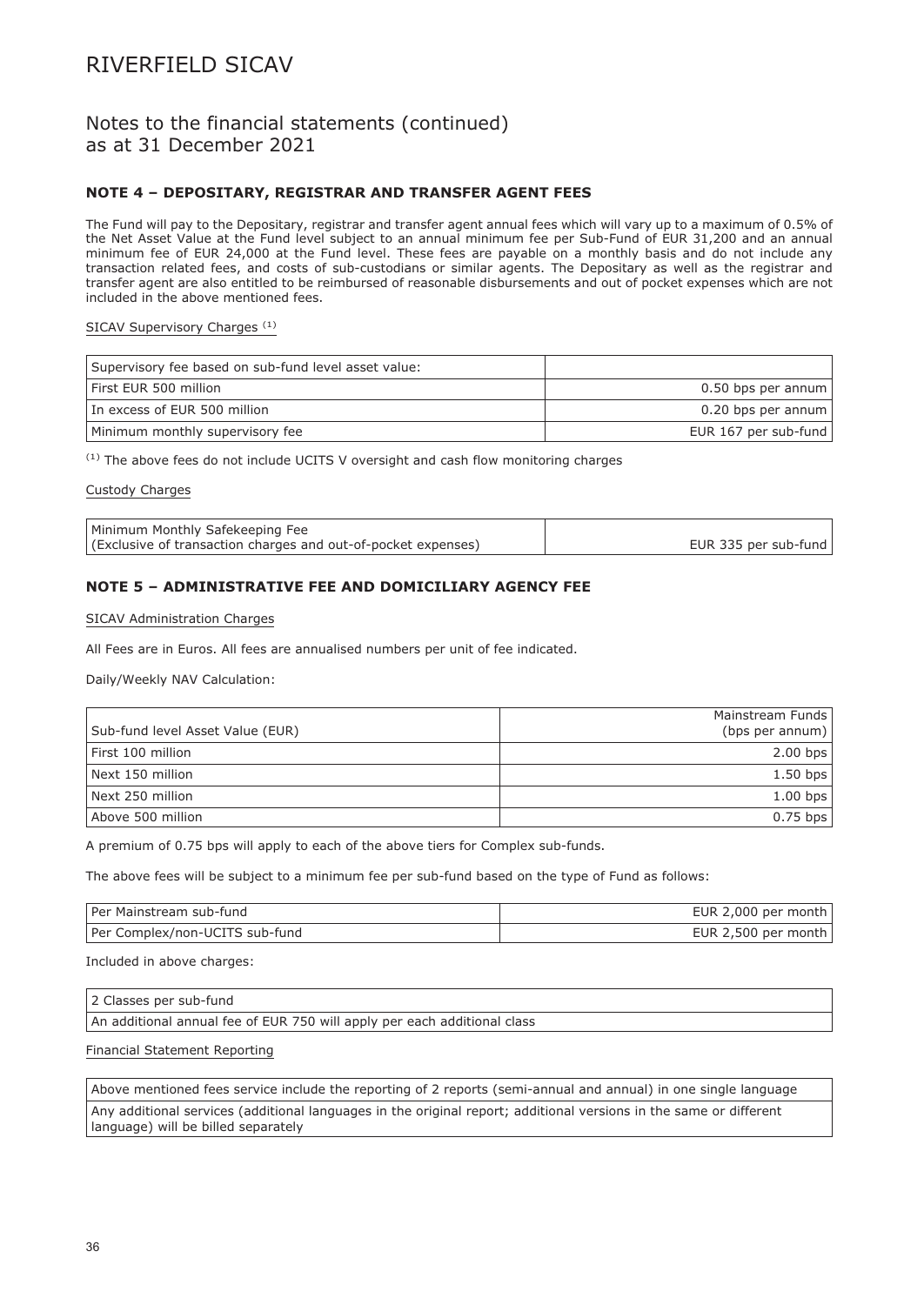### Notes to the financial statements (continued) as at 31 December 2021

### **NOTE 4 – DEPOSITARY, REGISTRAR AND TRANSFER AGENT FEES**

The Fund will pay to the Depositary, registrar and transfer agent annual fees which will vary up to a maximum of 0.5% of the Net Asset Value at the Fund level subject to an annual minimum fee per Sub-Fund of EUR 31,200 and an annual minimum fee of EUR 24,000 at the Fund level. These fees are payable on a monthly basis and do not include any transaction related fees, and costs of sub-custodians or similar agents. The Depositary as well as the registrar and transfer agent are also entitled to be reimbursed of reasonable disbursements and out of pocket expenses which are not included in the above mentioned fees.

### SICAV Supervisory Charges<sup>(1)</sup>

| Supervisory fee based on sub-fund level asset value: |                      |
|------------------------------------------------------|----------------------|
| First EUR 500 million                                | 0.50 bps per annum   |
| In excess of EUR 500 million                         | 0.20 bps per annum   |
| Minimum monthly supervisory fee                      | EUR 167 per sub-fund |

 $(1)$  The above fees do not include UCITS V oversight and cash flow monitoring charges

#### Custody Charges

| Minimum Monthly Safekeeping Fee                               |                      |
|---------------------------------------------------------------|----------------------|
| (Exclusive of transaction charges and out-of-pocket expenses) | EUR 335 per sub-fund |

### **NOTE 5 – ADMINISTRATIVE FEE AND DOMICILIARY AGENCY FEE**

#### SICAV Administration Charges

All Fees are in Euros. All fees are annualised numbers per unit of fee indicated.

Daily/Weekly NAV Calculation:

|                                  | Mainstream Funds    |
|----------------------------------|---------------------|
| Sub-fund level Asset Value (EUR) | (bps per annum) $ $ |
| First 100 million                | $2.00$ bps          |
| Next 150 million                 | $1.50$ bps          |
| Next 250 million                 | $1.00$ bps          |
| Above 500 million                | $0.75$ bps          |

A premium of 0.75 bps will apply to each of the above tiers for Complex sub-funds.

The above fees will be subject to a minimum fee per sub-fund based on the type of Fund as follows:

| l Per Mainstream sub-fund      | EUR 2,000 per month |
|--------------------------------|---------------------|
| Per Complex/non-UCITS sub-fund | EUR 2,500 per month |

Included in above charges:

2 Classes per sub-fund

An additional annual fee of EUR 750 will apply per each additional class

### Financial Statement Reporting

Above mentioned fees service include the reporting of 2 reports (semi-annual and annual) in one single language Any additional services (additional languages in the original report; additional versions in the same or different language) will be billed separately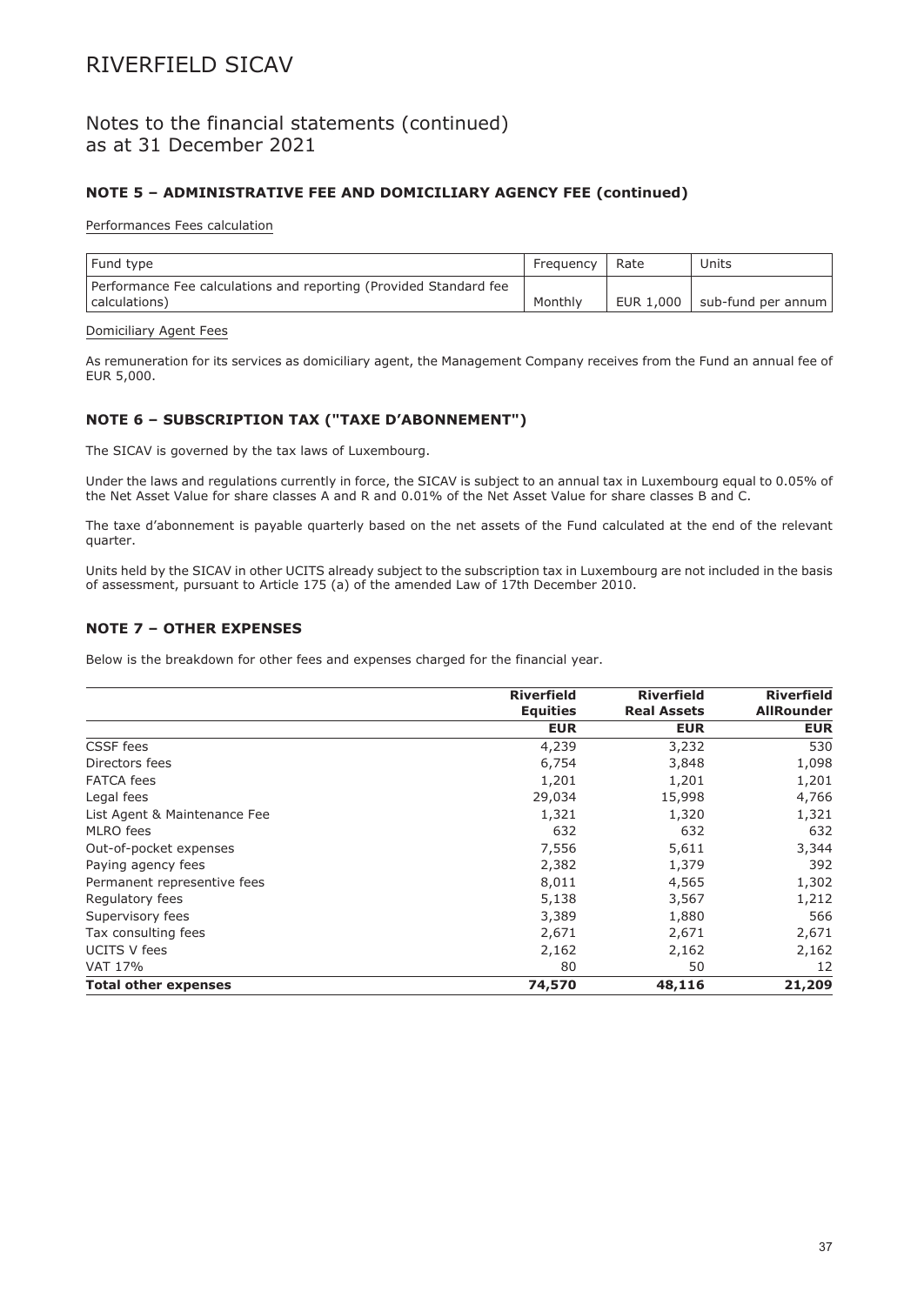### Notes to the financial statements (continued) as at 31 December 2021

### **NOTE 5 – ADMINISTRATIVE FEE AND DOMICILIARY AGENCY FEE (continued)**

### Performances Fees calculation

| Fund type                                                         | Freguency | Rate | Units                            |
|-------------------------------------------------------------------|-----------|------|----------------------------------|
| Performance Fee calculations and reporting (Provided Standard fee |           |      |                                  |
| calculations)                                                     | Monthly   |      | EUR $1,000$   sub-fund per annum |

### Domiciliary Agent Fees

As remuneration for its services as domiciliary agent, the Management Company receives from the Fund an annual fee of EUR 5,000.

### **NOTE 6 – SUBSCRIPTION TAX ("TAXE D'ABONNEMENT")**

The SICAV is governed by the tax laws of Luxembourg.

Under the laws and regulations currently in force, the SICAV is subject to an annual tax in Luxembourg equal to 0.05% of the Net Asset Value for share classes A and R and 0.01% of the Net Asset Value for share classes B and C.

The taxe d'abonnement is payable quarterly based on the net assets of the Fund calculated at the end of the relevant quarter.

Units held by the SICAV in other UCITS already subject to the subscription tax in Luxembourg are not included in the basis of assessment, pursuant to Article 175 (a) of the amended Law of 17th December 2010.

### **NOTE 7 – OTHER EXPENSES**

Below is the breakdown for other fees and expenses charged for the financial year.

|                              | <b>Riverfield</b><br><b>Equities</b> | <b>Riverfield</b><br><b>Real Assets</b> | <b>Riverfield</b><br><b>AllRounder</b> |
|------------------------------|--------------------------------------|-----------------------------------------|----------------------------------------|
|                              | <b>EUR</b>                           | <b>EUR</b>                              | <b>EUR</b>                             |
| CSSF fees                    | 4,239                                | 3,232                                   | 530                                    |
| Directors fees               | 6,754                                | 3,848                                   | 1,098                                  |
| <b>FATCA</b> fees            | 1,201                                | 1,201                                   | 1,201                                  |
| Legal fees                   | 29,034                               | 15,998                                  | 4,766                                  |
| List Agent & Maintenance Fee | 1,321                                | 1,320                                   | 1,321                                  |
| MLRO fees                    | 632                                  | 632                                     | 632                                    |
| Out-of-pocket expenses       | 7,556                                | 5,611                                   | 3,344                                  |
| Paying agency fees           | 2,382                                | 1,379                                   | 392                                    |
| Permanent representive fees  | 8,011                                | 4,565                                   | 1,302                                  |
| Regulatory fees              | 5,138                                | 3,567                                   | 1,212                                  |
| Supervisory fees             | 3,389                                | 1,880                                   | 566                                    |
| Tax consulting fees          | 2,671                                | 2,671                                   | 2,671                                  |
| <b>UCITS V fees</b>          | 2,162                                | 2,162                                   | 2,162                                  |
| VAT 17%                      | 80                                   | 50                                      | 12                                     |
| <b>Total other expenses</b>  | 74,570                               | 48,116                                  | 21,209                                 |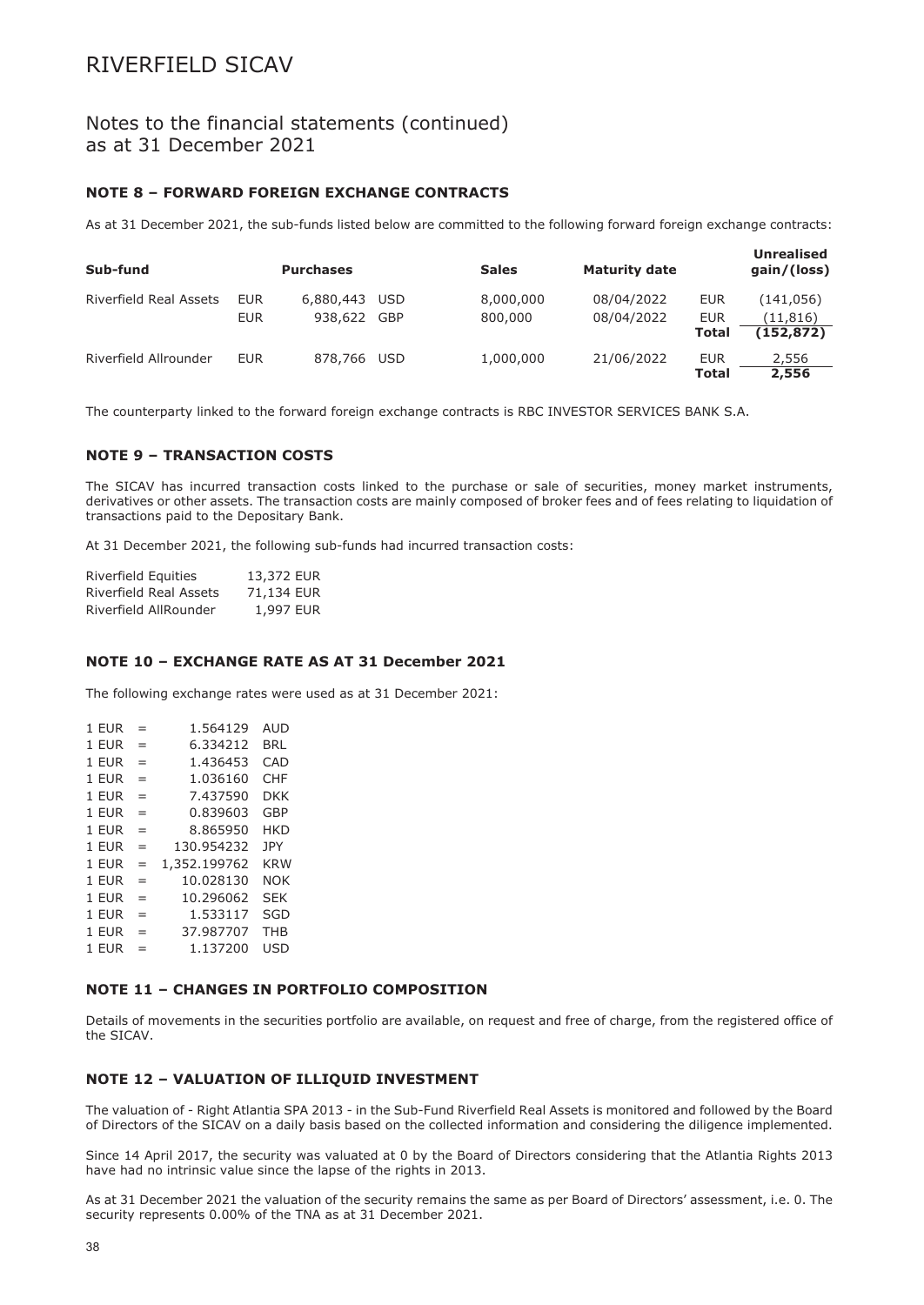### Notes to the financial statements (continued) as at 31 December 2021

### **NOTE 8 – FORWARD FOREIGN EXCHANGE CONTRACTS**

As at 31 December 2021, the sub-funds listed below are committed to the following forward foreign exchange contracts:

| Sub-fund                      |            | <b>Purchases</b> |     | <b>Sales</b> | <b>Maturity date</b> |              | <b>Unrealised</b><br>gain/(loss) |
|-------------------------------|------------|------------------|-----|--------------|----------------------|--------------|----------------------------------|
| <b>Riverfield Real Assets</b> | <b>EUR</b> | 6,880,443        | USD | 8,000,000    | 08/04/2022           | <b>EUR</b>   | (141,056)                        |
|                               | <b>EUR</b> | 938,622 GBP      |     | 800,000      | 08/04/2022           | <b>EUR</b>   | (11, 816)                        |
|                               |            |                  |     |              |                      | <b>Total</b> | (152, 872)                       |
| Riverfield Allrounder         | <b>EUR</b> | 878,766          | USD | 1,000,000    | 21/06/2022           | <b>EUR</b>   | 2,556                            |
|                               |            |                  |     |              |                      | <b>Total</b> | 2,556                            |

The counterparty linked to the forward foreign exchange contracts is RBC INVESTOR SERVICES BANK S.A.

### **NOTE 9 – TRANSACTION COSTS**

The SICAV has incurred transaction costs linked to the purchase or sale of securities, money market instruments, derivatives or other assets. The transaction costs are mainly composed of broker fees and of fees relating to liquidation of transactions paid to the Depositary Bank.

At 31 December 2021, the following sub-funds had incurred transaction costs:

| Riverfield Equities    | 13,372 EUR |  |
|------------------------|------------|--|
| Riverfield Real Assets | 71,134 EUR |  |
| Riverfield AllRounder  | 1,997 EUR  |  |

### **NOTE 10 – EXCHANGE RATE AS AT 31 December 2021**

The following exchange rates were used as at 31 December 2021:

| 1 EUR | $=$ | 1.564129     | AUD        |
|-------|-----|--------------|------------|
| 1 EUR | =   | 6.334212     | BRL        |
| 1 EUR | =   | 1.436453     | CAD        |
| 1 EUR | $=$ | 1.036160     | CHF        |
| 1 EUR | $=$ | 7.437590     | DKK        |
| 1 EUR | $=$ | 0.839603     | <b>GBP</b> |
| 1 EUR | $=$ | 8.865950     | <b>HKD</b> |
| 1 EUR | $=$ | 130.954232   | JPY        |
| 1 FUR | $=$ | 1,352.199762 | <b>KRW</b> |
| 1 EUR | $=$ | 10.028130    | <b>NOK</b> |
| 1 EUR | $=$ | 10.296062    | <b>SEK</b> |
| 1 EUR | $=$ | 1.533117     | SGD        |
| 1 EUR | $=$ | 37.987707    | <b>THB</b> |
| 1 EUR | $=$ | 1.137200     | <b>USD</b> |
|       |     |              |            |

### **NOTE 11 – CHANGES IN PORTFOLIO COMPOSITION**

Details of movements in the securities portfolio are available, on request and free of charge, from the registered office of the SICAV.

### **NOTE 12 – VALUATION OF ILLIQUID INVESTMENT**

The valuation of - Right Atlantia SPA 2013 - in the Sub-Fund Riverfield Real Assets is monitored and followed by the Board of Directors of the SICAV on a daily basis based on the collected information and considering the diligence implemented.

Since 14 April 2017, the security was valuated at 0 by the Board of Directors considering that the Atlantia Rights 2013 have had no intrinsic value since the lapse of the rights in 2013.

As at 31 December 2021 the valuation of the security remains the same as per Board of Directors' assessment, i.e. 0. The security represents 0.00% of the TNA as at 31 December 2021.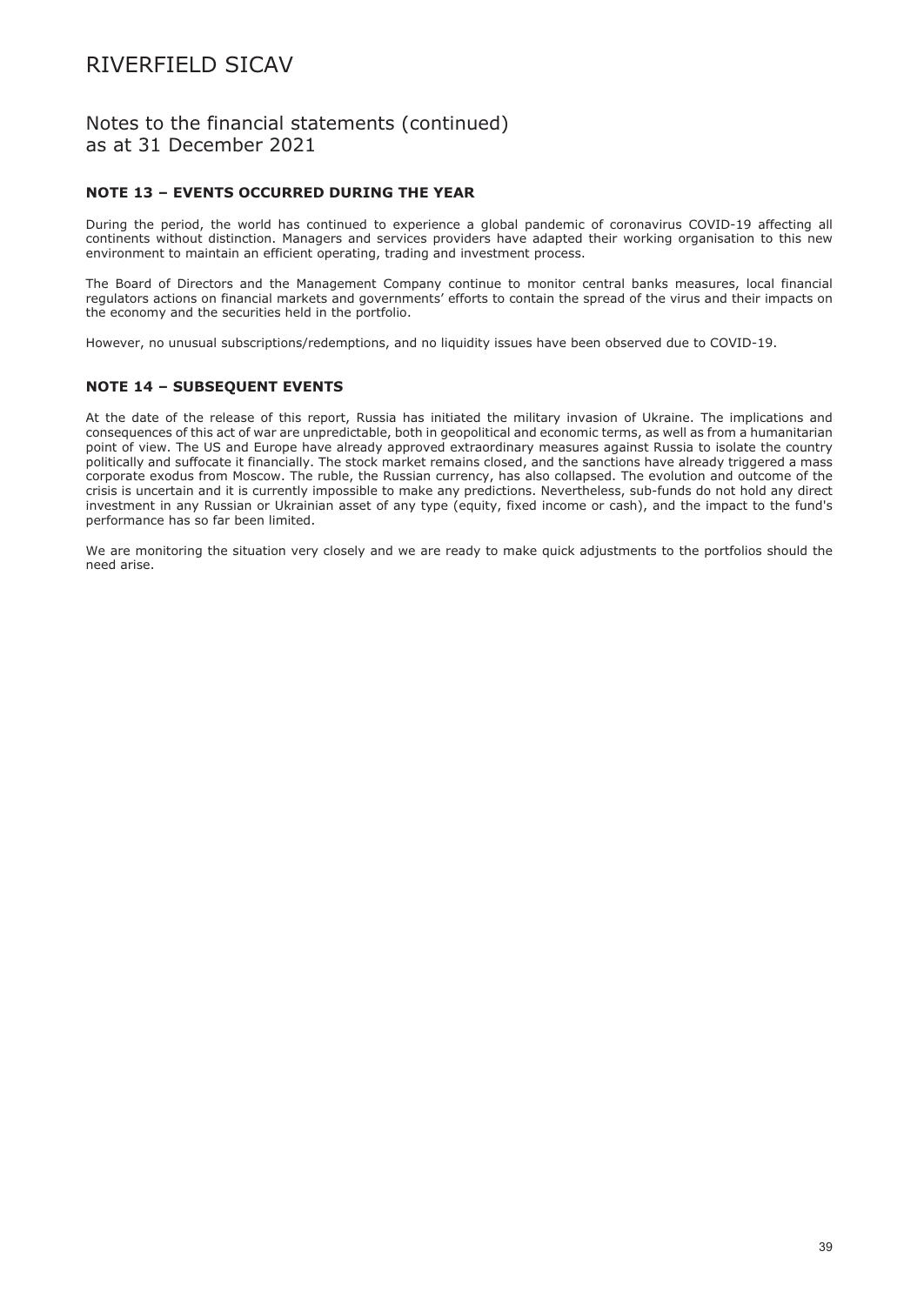### Notes to the financial statements (continued) as at 31 December 2021

### **NOTE 13 – EVENTS OCCURRED DURING THE YEAR**

During the period, the world has continued to experience a global pandemic of coronavirus COVID-19 affecting all continents without distinction. Managers and services providers have adapted their working organisation to this new environment to maintain an efficient operating, trading and investment process.

The Board of Directors and the Management Company continue to monitor central banks measures, local financial regulators actions on financial markets and governments' efforts to contain the spread of the virus and their impacts on the economy and the securities held in the portfolio.

However, no unusual subscriptions/redemptions, and no liquidity issues have been observed due to COVID-19.

### **NOTE 14 – SUBSEQUENT EVENTS**

At the date of the release of this report, Russia has initiated the military invasion of Ukraine. The implications and consequences of this act of war are unpredictable, both in geopolitical and economic terms, as well as from a humanitarian point of view. The US and Europe have already approved extraordinary measures against Russia to isolate the country politically and suffocate it financially. The stock market remains closed, and the sanctions have already triggered a mass corporate exodus from Moscow. The ruble, the Russian currency, has also collapsed. The evolution and outcome of the crisis is uncertain and it is currently impossible to make any predictions. Nevertheless, sub-funds do not hold any direct investment in any Russian or Ukrainian asset of any type (equity, fixed income or cash), and the impact to the fund's performance has so far been limited.

We are monitoring the situation very closely and we are ready to make quick adjustments to the portfolios should the need arise.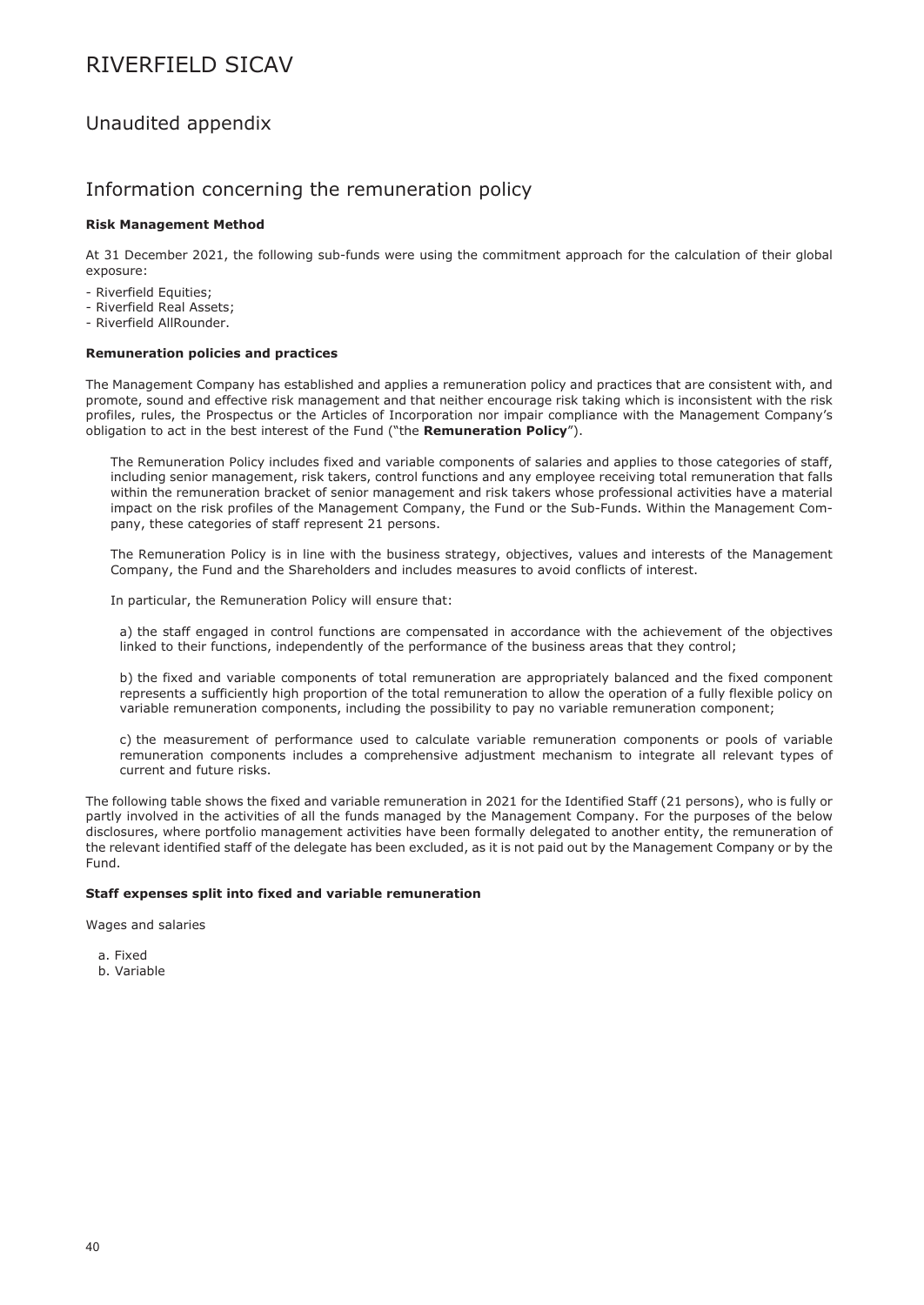## Unaudited appendix

### Information concerning the remuneration policy

### **Risk Management Method**

At 31 December 2021, the following sub-funds were using the commitment approach for the calculation of their global exposure:

- Riverfield Equities;
- Riverfield Real Assets;
- Riverfield AllRounder.

### **Remuneration policies and practices**

The Management Company has established and applies a remuneration policy and practices that are consistent with, and promote, sound and effective risk management and that neither encourage risk taking which is inconsistent with the risk profiles, rules, the Prospectus or the Articles of Incorporation nor impair compliance with the Management Company's obligation to act in the best interest of the Fund ("the **Remuneration Policy**").

The Remuneration Policy includes fixed and variable components of salaries and applies to those categories of staff, including senior management, risk takers, control functions and any employee receiving total remuneration that falls within the remuneration bracket of senior management and risk takers whose professional activities have a material impact on the risk profiles of the Management Company, the Fund or the Sub-Funds. Within the Management Company, these categories of staff represent 21 persons.

The Remuneration Policy is in line with the business strategy, objectives, values and interests of the Management Company, the Fund and the Shareholders and includes measures to avoid conflicts of interest.

In particular, the Remuneration Policy will ensure that:

a) the staff engaged in control functions are compensated in accordance with the achievement of the objectives linked to their functions, independently of the performance of the business areas that they control;

b) the fixed and variable components of total remuneration are appropriately balanced and the fixed component represents a sufficiently high proportion of the total remuneration to allow the operation of a fully flexible policy on variable remuneration components, including the possibility to pay no variable remuneration component;

c) the measurement of performance used to calculate variable remuneration components or pools of variable remuneration components includes a comprehensive adjustment mechanism to integrate all relevant types of current and future risks.

The following table shows the fixed and variable remuneration in 2021 for the Identified Staff (21 persons), who is fully or partly involved in the activities of all the funds managed by the Management Company. For the purposes of the below disclosures, where portfolio management activities have been formally delegated to another entity, the remuneration of the relevant identified staff of the delegate has been excluded, as it is not paid out by the Management Company or by the Fund.

### **Staff expenses split into fixed and variable remuneration**

Wages and salaries

- a. Fixed
- b. Variable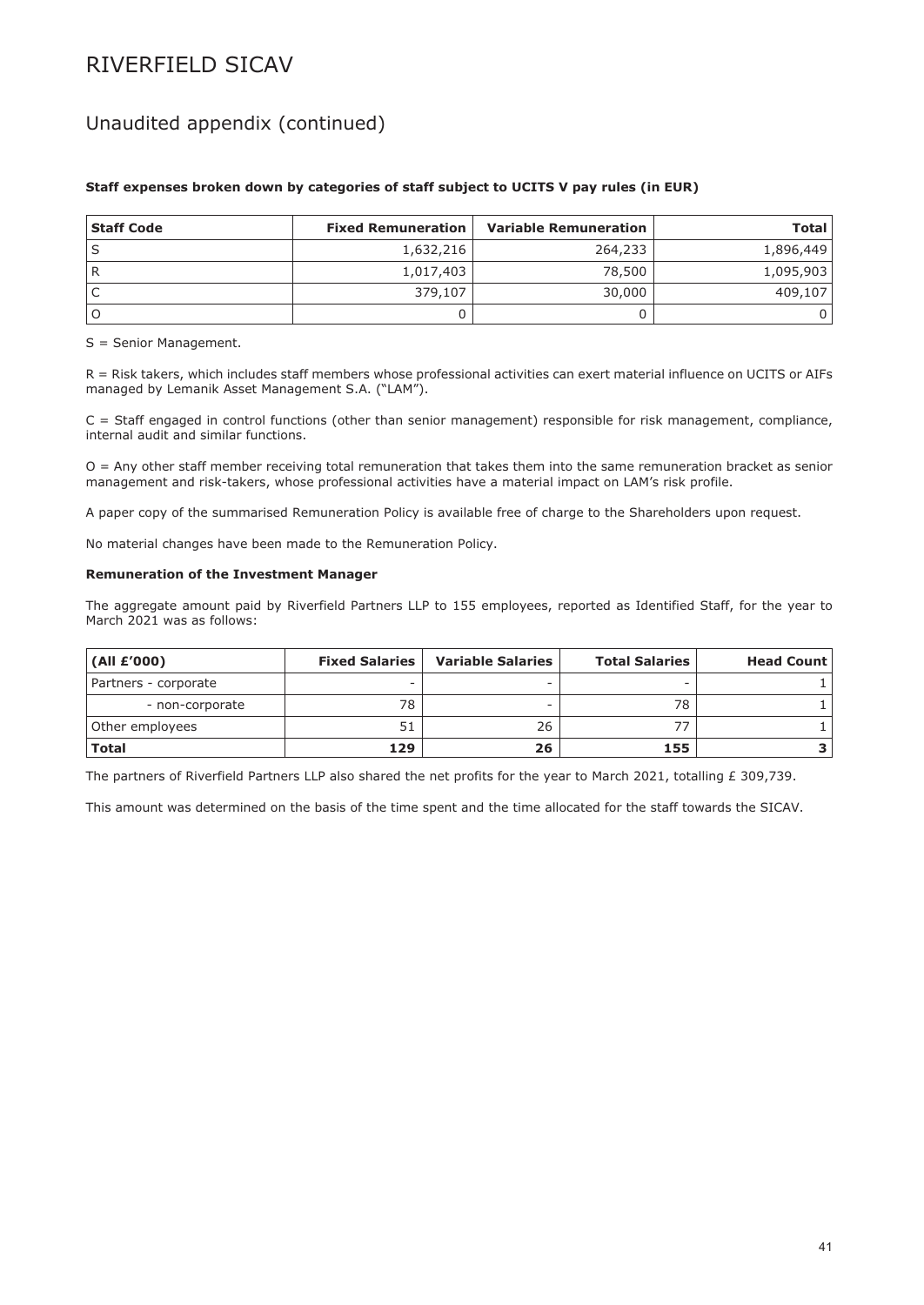## Unaudited appendix (continued)

| <b>Staff Code</b> | <b>Fixed Remuneration</b> | <b>Variable Remuneration</b> | <b>Total</b> |
|-------------------|---------------------------|------------------------------|--------------|
|                   | 1,632,216                 | 264,233                      | 1,896,449    |
|                   | 1,017,403                 | 78,500                       | 1,095,903    |
|                   | 379,107                   | 30,000                       | 409,107      |
|                   |                           |                              |              |

### **Staff expenses broken down by categories of staff subject to UCITS V pay rules (in EUR)**

S = Senior Management.

R = Risk takers, which includes staff members whose professional activities can exert material influence on UCITS or AIFs managed by Lemanik Asset Management S.A. ("LAM").

 $C =$  Staff engaged in control functions (other than senior management) responsible for risk management, compliance, internal audit and similar functions.

O = Any other staff member receiving total remuneration that takes them into the same remuneration bracket as senior management and risk-takers, whose professional activities have a material impact on LAM's risk profile.

A paper copy of the summarised Remuneration Policy is available free of charge to the Shareholders upon request.

No material changes have been made to the Remuneration Policy.

#### **Remuneration of the Investment Manager**

The aggregate amount paid by Riverfield Partners LLP to 155 employees, reported as Identified Staff, for the year to March 2021 was as follows:

| (AII E'000)          | <b>Fixed Salaries</b> | <b>Variable Salaries</b> | <b>Total Salaries</b> | <b>Head Count</b> |
|----------------------|-----------------------|--------------------------|-----------------------|-------------------|
| Partners - corporate |                       |                          | -                     |                   |
| - non-corporate      | 78                    | -                        | 78                    |                   |
| Other employees      | 51                    | 26                       |                       |                   |
| <b>Total</b>         | 129                   | 26                       | 155                   |                   |

The partners of Riverfield Partners LLP also shared the net profits for the year to March 2021, totalling £ 309,739.

This amount was determined on the basis of the time spent and the time allocated for the staff towards the SICAV.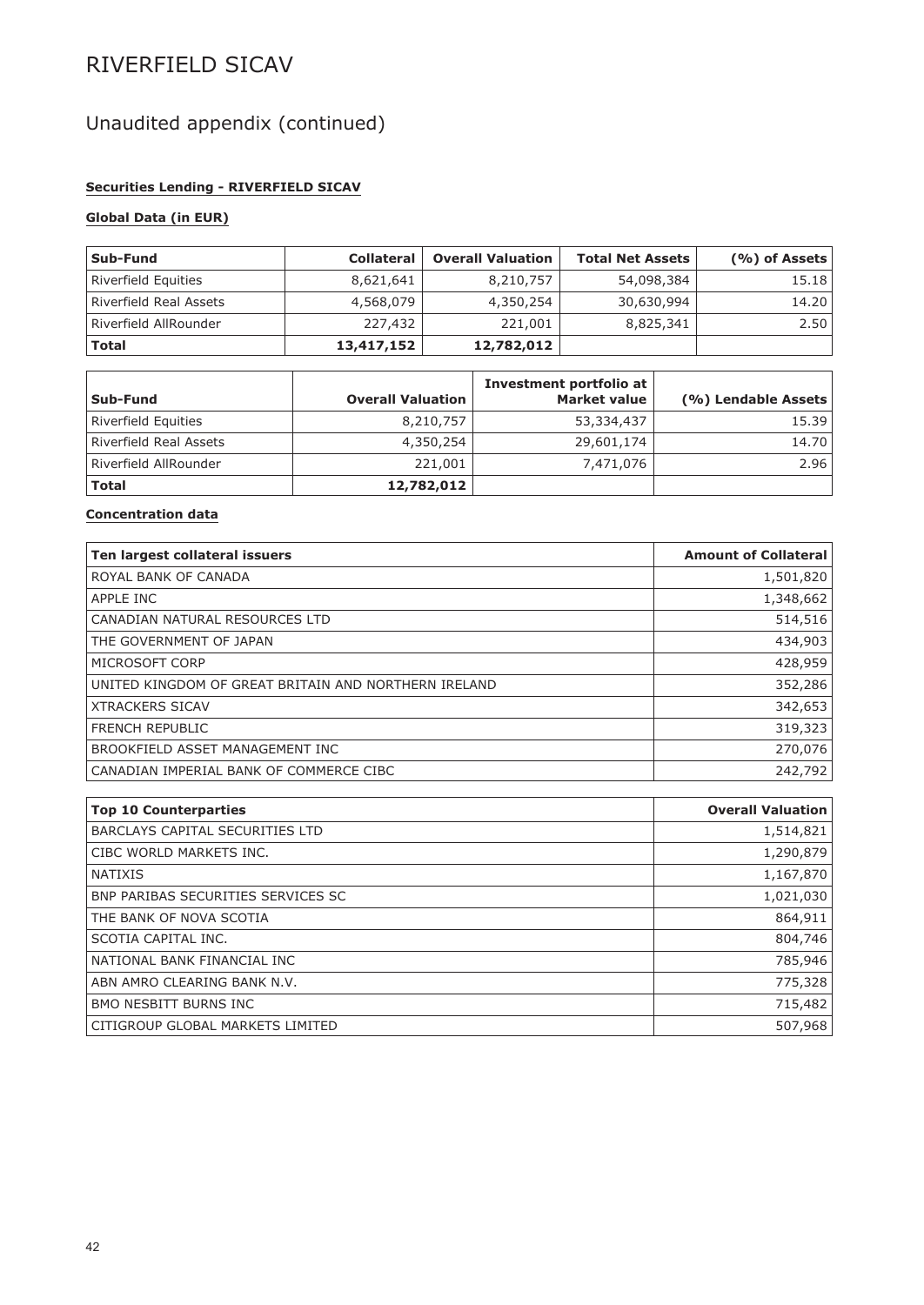# Unaudited appendix (continued)

### **Securities Lending - RIVERFIELD SICAV**

### **Global Data (in EUR)**

| Sub-Fund                      | <b>Collateral</b> | <b>Overall Valuation</b> | <b>Total Net Assets</b> | $($ %) of Assets |
|-------------------------------|-------------------|--------------------------|-------------------------|------------------|
| Riverfield Equities           | 8,621,641         | 8,210,757                | 54,098,384              | 15.18            |
| <b>Riverfield Real Assets</b> | 4,568,079         | 4,350,254                | 30,630,994              | 14.20            |
| Riverfield AllRounder         | 227,432           | 221,001                  | 8,825,341               | 2.50             |
| <b>Total</b>                  | 13,417,152        | 12,782,012               |                         |                  |

| Sub-Fund                      | <b>Overall Valuation</b> | Investment portfolio at<br><b>Market value</b> | (%) Lendable Assets |
|-------------------------------|--------------------------|------------------------------------------------|---------------------|
| Riverfield Equities           | 8,210,757                | 53,334,437                                     | 15.39               |
| <b>Riverfield Real Assets</b> | 4,350,254                | 29,601,174                                     | 14.70               |
| Riverfield AllRounder         | 221,001                  | 7,471,076                                      | 2.96                |
| <b>Total</b>                  | 12,782,012               |                                                |                     |

### **Concentration data**

| Ten largest collateral issuers                       | <b>Amount of Collateral</b> |
|------------------------------------------------------|-----------------------------|
| ROYAL BANK OF CANADA                                 | 1,501,820                   |
| APPLE INC                                            | 1,348,662                   |
| CANADIAN NATURAL RESOURCES LTD                       | 514,516                     |
| THE GOVERNMENT OF JAPAN                              | 434,903                     |
| MICROSOFT CORP                                       | 428,959                     |
| UNITED KINGDOM OF GREAT BRITAIN AND NORTHERN IRELAND | 352,286                     |
| <b>XTRACKERS SICAV</b>                               | 342,653                     |
| <b>FRENCH REPUBLIC</b>                               | 319,323                     |
| BROOKFIELD ASSET MANAGEMENT INC                      | 270,076                     |
| CANADIAN IMPERIAL BANK OF COMMERCE CIBC              | 242,792                     |

| <b>Top 10 Counterparties</b>       | <b>Overall Valuation</b> |
|------------------------------------|--------------------------|
| BARCLAYS CAPITAL SECURITIES LTD    | 1,514,821                |
| CIBC WORLD MARKETS INC.            | 1,290,879                |
| <b>NATIXIS</b>                     | 1,167,870                |
| BNP PARIBAS SECURITIES SERVICES SC | 1,021,030                |
| THE BANK OF NOVA SCOTIA            | 864,911                  |
| SCOTIA CAPITAL INC.                | 804,746                  |
| NATIONAL BANK FINANCIAL INC        | 785,946                  |
| ABN AMRO CLEARING BANK N.V.        | 775,328                  |
| <b>BMO NESBITT BURNS INC.</b>      | 715,482                  |
| CITIGROUP GLOBAL MARKETS LIMITED   | 507,968                  |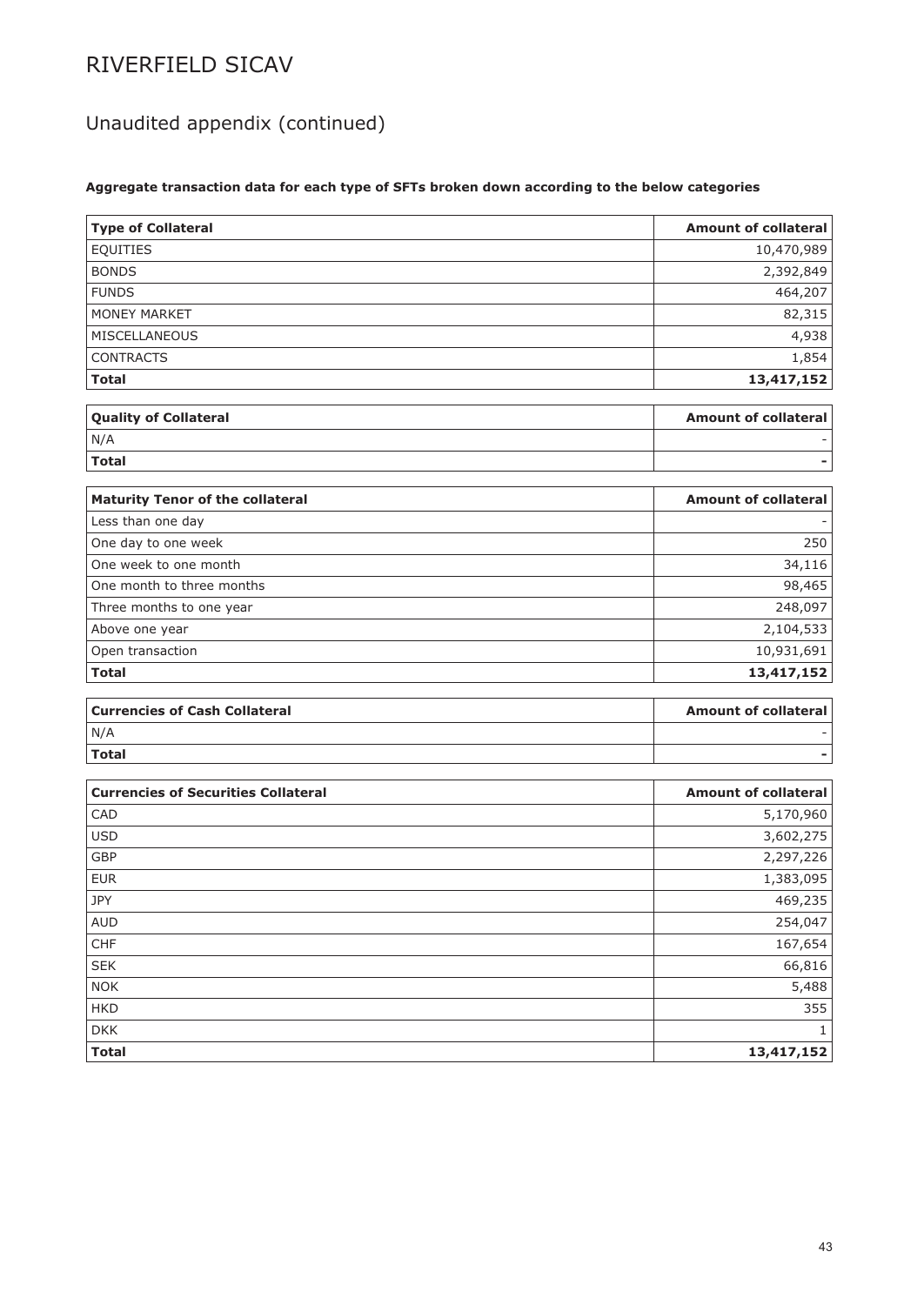# Unaudited appendix (continued)

### **Aggregate transaction data for each type of SFTs broken down according to the below categories**

| <b>Type of Collateral</b>                  | <b>Amount of collateral</b> |
|--------------------------------------------|-----------------------------|
| <b>EQUITIES</b>                            | 10,470,989                  |
| <b>BONDS</b>                               | 2,392,849                   |
| <b>FUNDS</b>                               | 464,207                     |
| <b>MONEY MARKET</b>                        | 82,315                      |
| MISCELLANEOUS                              | 4,938                       |
| <b>CONTRACTS</b>                           | 1,854                       |
| <b>Total</b>                               | 13,417,152                  |
|                                            |                             |
| <b>Quality of Collateral</b>               | <b>Amount of collateral</b> |
| N/A                                        |                             |
| <b>Total</b>                               |                             |
|                                            |                             |
| <b>Maturity Tenor of the collateral</b>    | <b>Amount of collateral</b> |
| Less than one day                          |                             |
| One day to one week                        | 250                         |
| One week to one month                      | 34,116                      |
| One month to three months                  | 98,465                      |
| Three months to one year                   | 248,097                     |
| Above one year                             | 2,104,533                   |
| Open transaction                           | 10,931,691                  |
| <b>Total</b>                               | 13,417,152                  |
| <b>Currencies of Cash Collateral</b>       | <b>Amount of collateral</b> |
| N/A                                        |                             |
| <b>Total</b>                               |                             |
|                                            |                             |
| <b>Currencies of Securities Collateral</b> | <b>Amount of collateral</b> |
| CAD                                        | 5,170,960                   |
| <b>USD</b>                                 | 3,602,275                   |
| <b>GBP</b>                                 | 2,297,226                   |
| <b>EUR</b>                                 | 1,383,095                   |
| <b>JPY</b>                                 | 469,235                     |
| <b>AUD</b>                                 | 254,047                     |
| ${\sf CHF}$                                | 167,654                     |
| ${\sf SEK}$                                | 66,816                      |
| NOK                                        | 5,488                       |
| <b>HKD</b>                                 | 355                         |
| <b>DKK</b>                                 | $\mathbf{1}$                |
| <b>Total</b>                               | 13,417,152                  |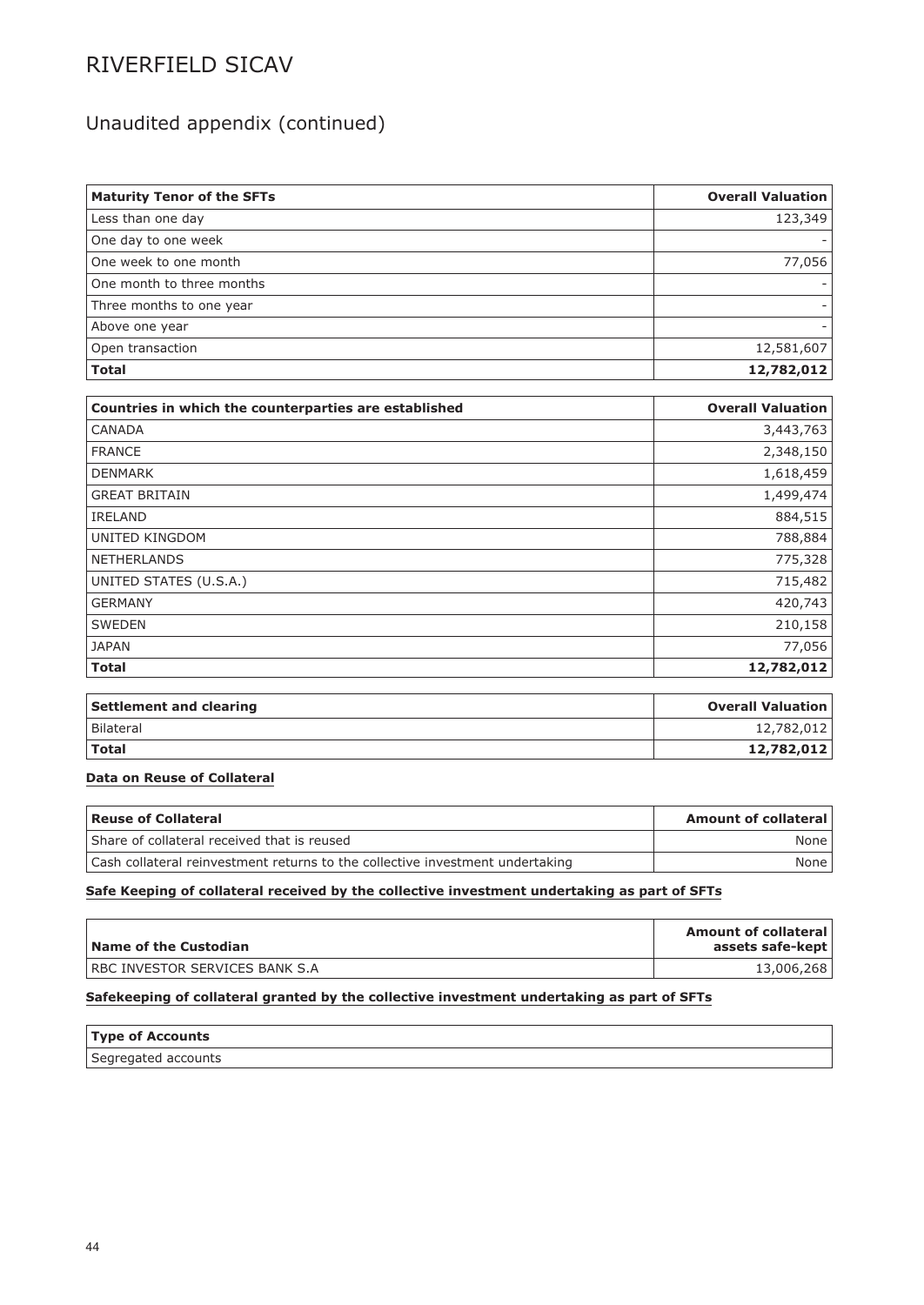## Unaudited appendix (continued)

| <b>Maturity Tenor of the SFTs</b>                     | <b>Overall Valuation</b> |
|-------------------------------------------------------|--------------------------|
| Less than one day                                     | 123,349                  |
| One day to one week                                   |                          |
| One week to one month                                 | 77,056                   |
| One month to three months                             |                          |
| Three months to one year                              |                          |
| Above one year                                        |                          |
| Open transaction                                      | 12,581,607               |
| <b>Total</b>                                          | 12,782,012               |
|                                                       |                          |
| Countries in which the counterparties are established | <b>Overall Valuation</b> |
| CANADA                                                | 3,443,763                |
| <b>FRANCE</b>                                         | 2,348,150                |
| <b>DENMARK</b>                                        | 1,618,459                |
| <b>GREAT BRITAIN</b>                                  | 1,499,474                |
| <b>IRELAND</b>                                        | 884,515                  |
| <b>UNITED KINGDOM</b>                                 | 788,884                  |
| NETHERLANDS                                           | 775,328                  |
| UNITED STATES (U.S.A.)                                | 715,482                  |
| <b>GERMANY</b>                                        | 420,743                  |
| <b>SWEDEN</b>                                         | 210,158                  |
| <b>JAPAN</b>                                          | 77,056                   |
| <b>Total</b>                                          | 12,782,012               |
|                                                       |                          |
| <b>Settlement and clearing</b>                        | <b>Overall Valuation</b> |
| <b>Bilateral</b>                                      | 12,782,012               |
| <b>Total</b>                                          | 12,782,012               |

### **Data on Reuse of Collateral**

| Reuse of Collateral                                                           | <b>Amount of collateral</b> |
|-------------------------------------------------------------------------------|-----------------------------|
| Share of collateral received that is reused                                   | None                        |
| Cash collateral reinvestment returns to the collective investment undertaking | None                        |

### **Safe Keeping of collateral received by the collective investment undertaking as part of SFTs**

| Name of the Custodian                  | <b>Amount of collateral</b><br>assets safe-kept |
|----------------------------------------|-------------------------------------------------|
| <b>IRBC INVESTOR SERVICES BANK S.A</b> | 13,006,268                                      |

### **Safekeeping of collateral granted by the collective investment undertaking as part of SFTs**

| <b>Type of Accounts</b> |  |
|-------------------------|--|
| Segregated accounts     |  |